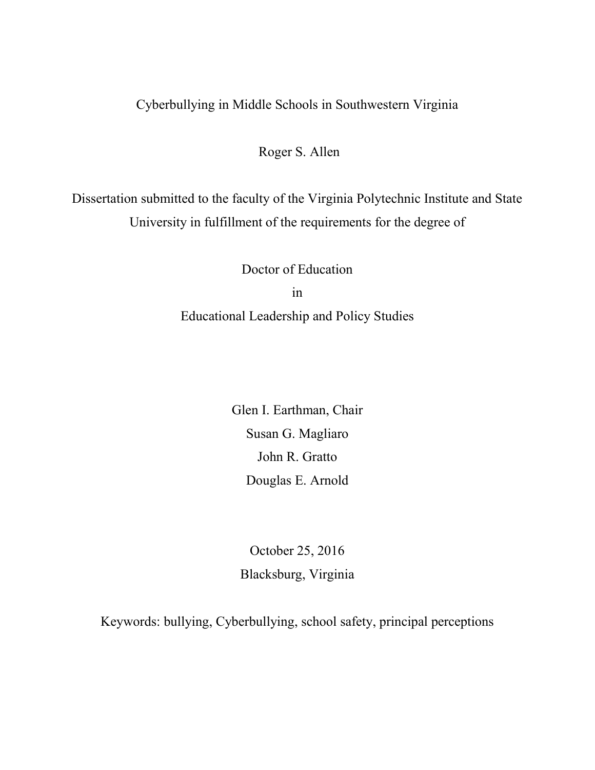# Cyberbullying in Middle Schools in Southwestern Virginia

Roger S. Allen

Dissertation submitted to the faculty of the Virginia Polytechnic Institute and State University in fulfillment of the requirements for the degree of

> Doctor of Education in Educational Leadership and Policy Studies

> > Glen I. Earthman, Chair Susan G. Magliaro John R. Gratto Douglas E. Arnold

October 25, 2016 Blacksburg, Virginia

Keywords: bullying, Cyberbullying, school safety, principal perceptions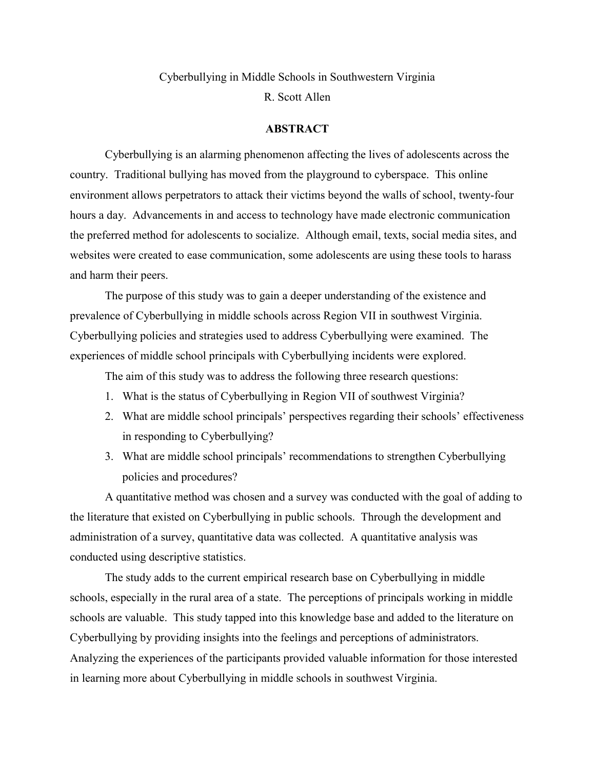# Cyberbullying in Middle Schools in Southwestern Virginia R. Scott Allen

### **ABSTRACT**

Cyberbullying is an alarming phenomenon affecting the lives of adolescents across the country. Traditional bullying has moved from the playground to cyberspace. This online environment allows perpetrators to attack their victims beyond the walls of school, twenty-four hours a day. Advancements in and access to technology have made electronic communication the preferred method for adolescents to socialize. Although email, texts, social media sites, and websites were created to ease communication, some adolescents are using these tools to harass and harm their peers.

The purpose of this study was to gain a deeper understanding of the existence and prevalence of Cyberbullying in middle schools across Region VII in southwest Virginia. Cyberbullying policies and strategies used to address Cyberbullying were examined. The experiences of middle school principals with Cyberbullying incidents were explored.

The aim of this study was to address the following three research questions:

- 1. What is the status of Cyberbullying in Region VII of southwest Virginia?
- 2. What are middle school principals' perspectives regarding their schools' effectiveness in responding to Cyberbullying?
- 3. What are middle school principals' recommendations to strengthen Cyberbullying policies and procedures?

A quantitative method was chosen and a survey was conducted with the goal of adding to the literature that existed on Cyberbullying in public schools. Through the development and administration of a survey, quantitative data was collected. A quantitative analysis was conducted using descriptive statistics.

The study adds to the current empirical research base on Cyberbullying in middle schools, especially in the rural area of a state. The perceptions of principals working in middle schools are valuable. This study tapped into this knowledge base and added to the literature on Cyberbullying by providing insights into the feelings and perceptions of administrators. Analyzing the experiences of the participants provided valuable information for those interested in learning more about Cyberbullying in middle schools in southwest Virginia.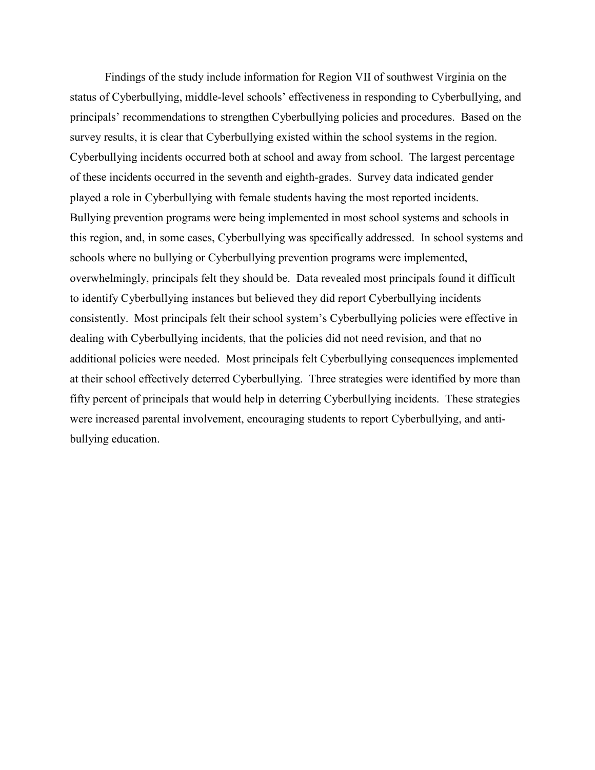Findings of the study include information for Region VII of southwest Virginia on the status of Cyberbullying, middle-level schools' effectiveness in responding to Cyberbullying, and principals' recommendations to strengthen Cyberbullying policies and procedures. Based on the survey results, it is clear that Cyberbullying existed within the school systems in the region. Cyberbullying incidents occurred both at school and away from school. The largest percentage of these incidents occurred in the seventh and eighth-grades. Survey data indicated gender played a role in Cyberbullying with female students having the most reported incidents. Bullying prevention programs were being implemented in most school systems and schools in this region, and, in some cases, Cyberbullying was specifically addressed. In school systems and schools where no bullying or Cyberbullying prevention programs were implemented, overwhelmingly, principals felt they should be. Data revealed most principals found it difficult to identify Cyberbullying instances but believed they did report Cyberbullying incidents consistently. Most principals felt their school system's Cyberbullying policies were effective in dealing with Cyberbullying incidents, that the policies did not need revision, and that no additional policies were needed. Most principals felt Cyberbullying consequences implemented at their school effectively deterred Cyberbullying. Three strategies were identified by more than fifty percent of principals that would help in deterring Cyberbullying incidents. These strategies were increased parental involvement, encouraging students to report Cyberbullying, and antibullying education.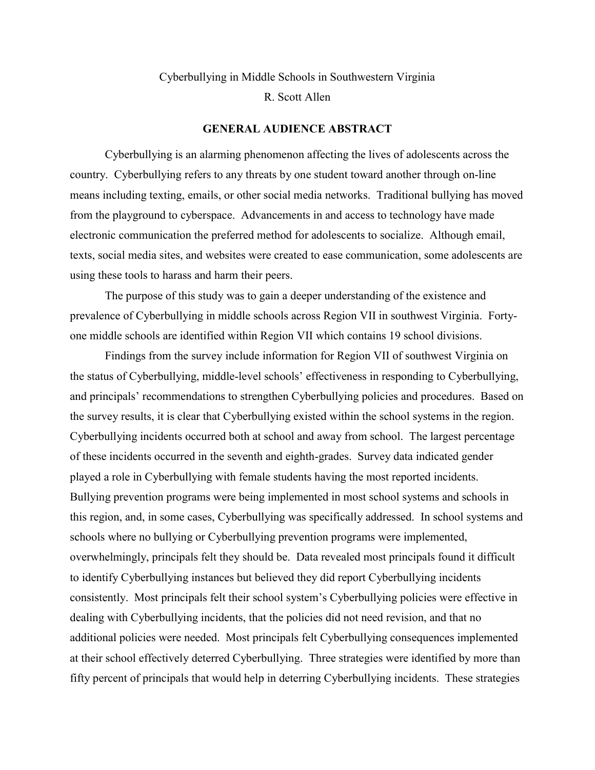# Cyberbullying in Middle Schools in Southwestern Virginia R. Scott Allen

### **GENERAL AUDIENCE ABSTRACT**

Cyberbullying is an alarming phenomenon affecting the lives of adolescents across the country. Cyberbullying refers to any threats by one student toward another through on-line means including texting, emails, or other social media networks. Traditional bullying has moved from the playground to cyberspace. Advancements in and access to technology have made electronic communication the preferred method for adolescents to socialize. Although email, texts, social media sites, and websites were created to ease communication, some adolescents are using these tools to harass and harm their peers.

The purpose of this study was to gain a deeper understanding of the existence and prevalence of Cyberbullying in middle schools across Region VII in southwest Virginia. Fortyone middle schools are identified within Region VII which contains 19 school divisions.

Findings from the survey include information for Region VII of southwest Virginia on the status of Cyberbullying, middle-level schools' effectiveness in responding to Cyberbullying, and principals' recommendations to strengthen Cyberbullying policies and procedures. Based on the survey results, it is clear that Cyberbullying existed within the school systems in the region. Cyberbullying incidents occurred both at school and away from school. The largest percentage of these incidents occurred in the seventh and eighth-grades. Survey data indicated gender played a role in Cyberbullying with female students having the most reported incidents. Bullying prevention programs were being implemented in most school systems and schools in this region, and, in some cases, Cyberbullying was specifically addressed. In school systems and schools where no bullying or Cyberbullying prevention programs were implemented, overwhelmingly, principals felt they should be. Data revealed most principals found it difficult to identify Cyberbullying instances but believed they did report Cyberbullying incidents consistently. Most principals felt their school system's Cyberbullying policies were effective in dealing with Cyberbullying incidents, that the policies did not need revision, and that no additional policies were needed. Most principals felt Cyberbullying consequences implemented at their school effectively deterred Cyberbullying. Three strategies were identified by more than fifty percent of principals that would help in deterring Cyberbullying incidents. These strategies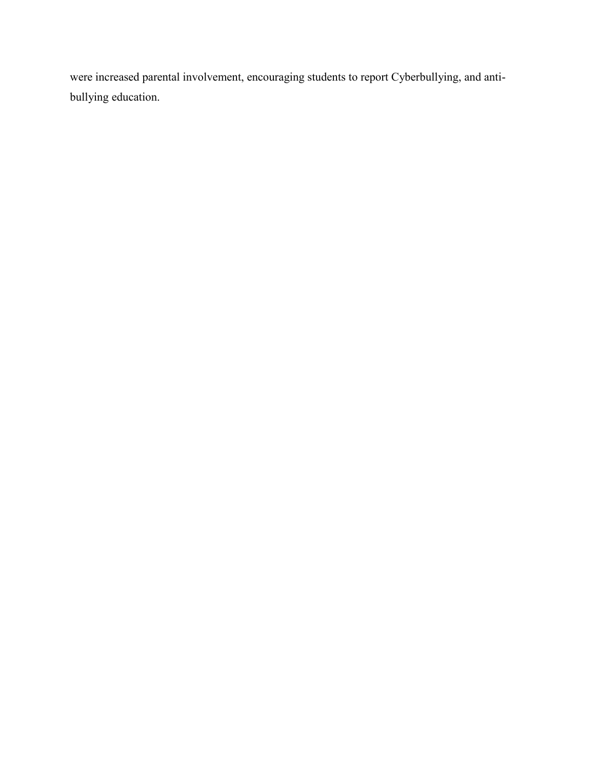were increased parental involvement, encouraging students to report Cyberbullying, and antibullying education.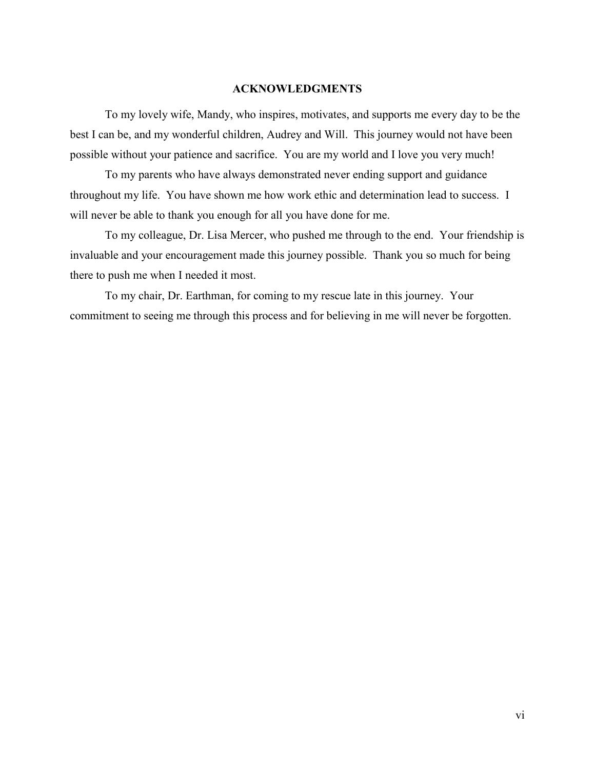#### **ACKNOWLEDGMENTS**

To my lovely wife, Mandy, who inspires, motivates, and supports me every day to be the best I can be, and my wonderful children, Audrey and Will. This journey would not have been possible without your patience and sacrifice. You are my world and I love you very much!

To my parents who have always demonstrated never ending support and guidance throughout my life. You have shown me how work ethic and determination lead to success. I will never be able to thank you enough for all you have done for me.

To my colleague, Dr. Lisa Mercer, who pushed me through to the end. Your friendship is invaluable and your encouragement made this journey possible. Thank you so much for being there to push me when I needed it most.

To my chair, Dr. Earthman, for coming to my rescue late in this journey. Your commitment to seeing me through this process and for believing in me will never be forgotten.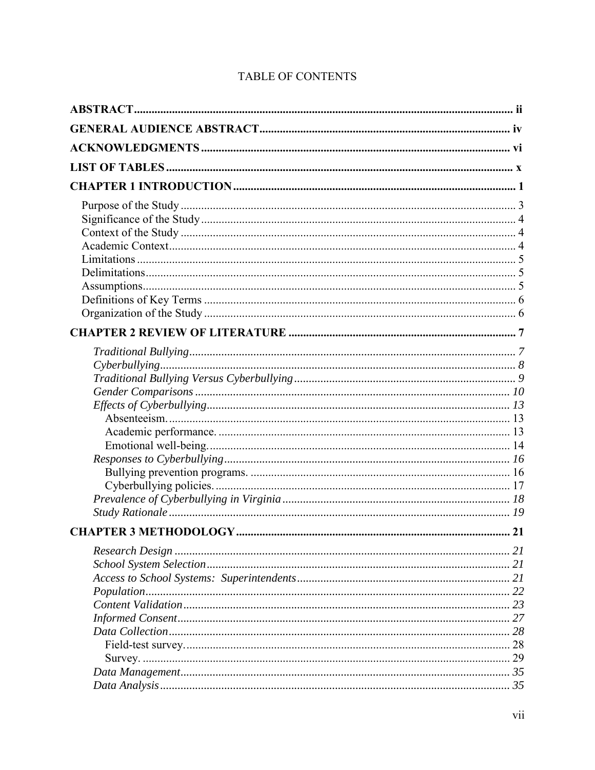## **TABLE OF CONTENTS**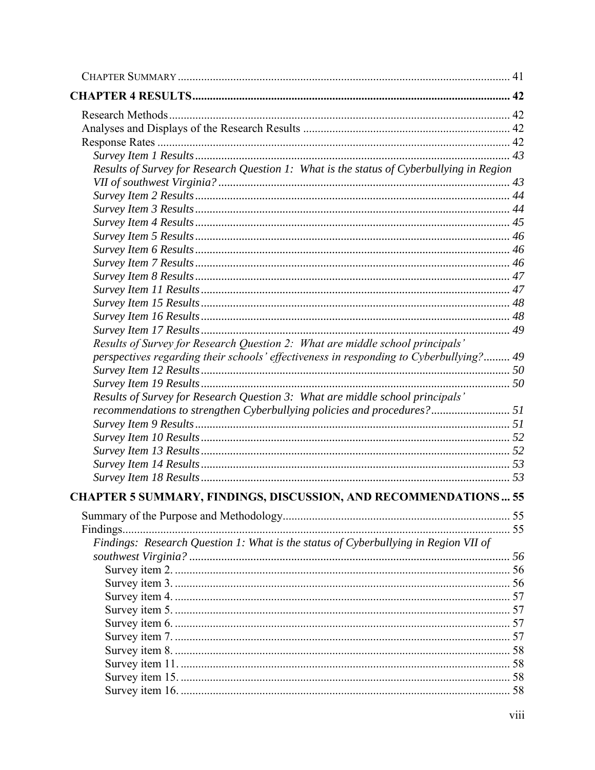| Results of Survey for Research Question 1: What is the status of Cyberbullying in Region |  |
|------------------------------------------------------------------------------------------|--|
|                                                                                          |  |
|                                                                                          |  |
|                                                                                          |  |
|                                                                                          |  |
|                                                                                          |  |
|                                                                                          |  |
|                                                                                          |  |
|                                                                                          |  |
|                                                                                          |  |
|                                                                                          |  |
|                                                                                          |  |
|                                                                                          |  |
| Results of Survey for Research Question 2: What are middle school principals'            |  |
| perspectives regarding their schools' effectiveness in responding to Cyberbullying? 49   |  |
|                                                                                          |  |
|                                                                                          |  |
| Results of Survey for Research Question 3: What are middle school principals'            |  |
| recommendations to strengthen Cyberbullying policies and procedures? 51                  |  |
|                                                                                          |  |
|                                                                                          |  |
|                                                                                          |  |
|                                                                                          |  |
|                                                                                          |  |
| CHAPTER 5 SUMMARY, FINDINGS, DISCUSSION, AND RECOMMENDATIONS 55                          |  |
|                                                                                          |  |
|                                                                                          |  |
| Findings: Research Question 1: What is the status of Cyberbullying in Region VII of      |  |
|                                                                                          |  |
|                                                                                          |  |
|                                                                                          |  |
|                                                                                          |  |
|                                                                                          |  |
|                                                                                          |  |
|                                                                                          |  |
|                                                                                          |  |
|                                                                                          |  |
|                                                                                          |  |
|                                                                                          |  |
|                                                                                          |  |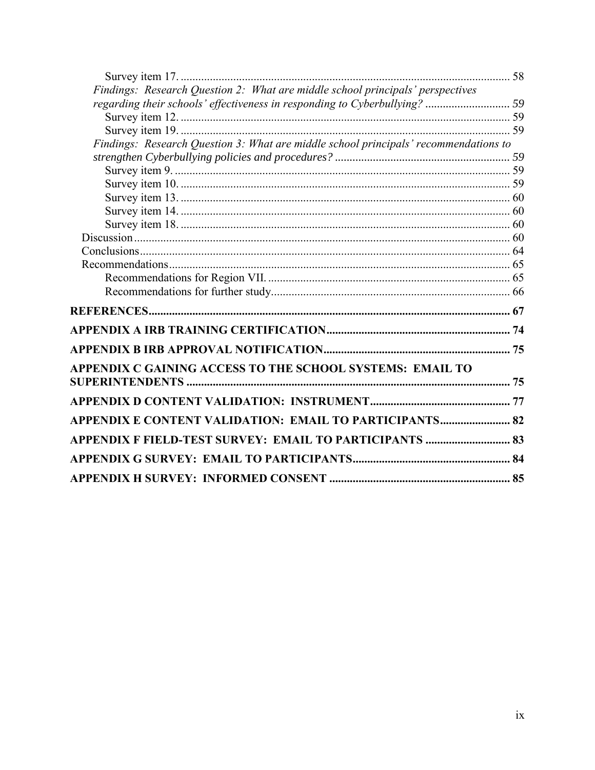| Findings: Research Question 2: What are middle school principals' perspectives       |  |
|--------------------------------------------------------------------------------------|--|
| regarding their schools' effectiveness in responding to Cyberbullying?  59           |  |
|                                                                                      |  |
|                                                                                      |  |
| Findings: Research Question 3: What are middle school principals' recommendations to |  |
|                                                                                      |  |
|                                                                                      |  |
|                                                                                      |  |
|                                                                                      |  |
|                                                                                      |  |
|                                                                                      |  |
|                                                                                      |  |
|                                                                                      |  |
|                                                                                      |  |
|                                                                                      |  |
|                                                                                      |  |
|                                                                                      |  |
|                                                                                      |  |
|                                                                                      |  |
| APPENDIX C GAINING ACCESS TO THE SCHOOL SYSTEMS: EMAIL TO                            |  |
|                                                                                      |  |
|                                                                                      |  |
| APPENDIX E CONTENT VALIDATION: EMAIL TO PARTICIPANTS 82                              |  |
| APPENDIX F FIELD-TEST SURVEY: EMAIL TO PARTICIPANTS  83                              |  |
|                                                                                      |  |
|                                                                                      |  |
|                                                                                      |  |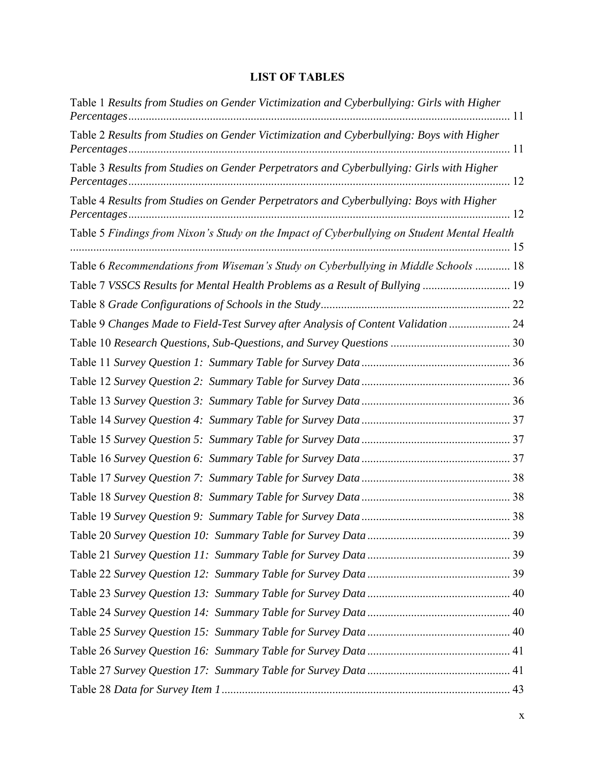## **LIST OF TABLES**

| Table 1 Results from Studies on Gender Victimization and Cyberbullying: Girls with Higher   |  |
|---------------------------------------------------------------------------------------------|--|
| Table 2 Results from Studies on Gender Victimization and Cyberbullying: Boys with Higher    |  |
| Table 3 Results from Studies on Gender Perpetrators and Cyberbullying: Girls with Higher    |  |
| Table 4 Results from Studies on Gender Perpetrators and Cyberbullying: Boys with Higher     |  |
| Table 5 Findings from Nixon's Study on the Impact of Cyberbullying on Student Mental Health |  |
| Table 6 Recommendations from Wiseman's Study on Cyberbullying in Middle Schools  18         |  |
| Table 7 VSSCS Results for Mental Health Problems as a Result of Bullying  19                |  |
|                                                                                             |  |
| Table 9 Changes Made to Field-Test Survey after Analysis of Content Validation  24          |  |
|                                                                                             |  |
|                                                                                             |  |
|                                                                                             |  |
|                                                                                             |  |
|                                                                                             |  |
|                                                                                             |  |
|                                                                                             |  |
|                                                                                             |  |
|                                                                                             |  |
|                                                                                             |  |
|                                                                                             |  |
|                                                                                             |  |
|                                                                                             |  |
|                                                                                             |  |
|                                                                                             |  |
|                                                                                             |  |
|                                                                                             |  |
|                                                                                             |  |
|                                                                                             |  |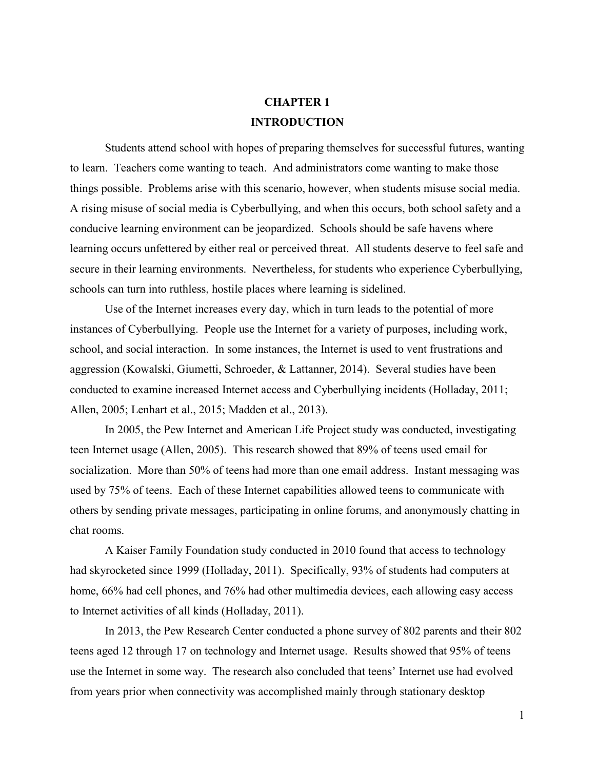# **CHAPTER 1 INTRODUCTION**

Students attend school with hopes of preparing themselves for successful futures, wanting to learn. Teachers come wanting to teach. And administrators come wanting to make those things possible. Problems arise with this scenario, however, when students misuse social media. A rising misuse of social media is Cyberbullying, and when this occurs, both school safety and a conducive learning environment can be jeopardized. Schools should be safe havens where learning occurs unfettered by either real or perceived threat. All students deserve to feel safe and secure in their learning environments. Nevertheless, for students who experience Cyberbullying, schools can turn into ruthless, hostile places where learning is sidelined.

Use of the Internet increases every day, which in turn leads to the potential of more instances of Cyberbullying. People use the Internet for a variety of purposes, including work, school, and social interaction. In some instances, the Internet is used to vent frustrations and aggression (Kowalski, Giumetti, Schroeder, & Lattanner, 2014). Several studies have been conducted to examine increased Internet access and Cyberbullying incidents (Holladay, 2011; Allen, 2005; Lenhart et al., 2015; Madden et al., 2013).

In 2005, the Pew Internet and American Life Project study was conducted, investigating teen Internet usage (Allen, 2005). This research showed that 89% of teens used email for socialization. More than 50% of teens had more than one email address. Instant messaging was used by 75% of teens. Each of these Internet capabilities allowed teens to communicate with others by sending private messages, participating in online forums, and anonymously chatting in chat rooms.

A Kaiser Family Foundation study conducted in 2010 found that access to technology had skyrocketed since 1999 (Holladay, 2011). Specifically, 93% of students had computers at home, 66% had cell phones, and 76% had other multimedia devices, each allowing easy access to Internet activities of all kinds (Holladay, 2011).

In 2013, the Pew Research Center conducted a phone survey of 802 parents and their 802 teens aged 12 through 17 on technology and Internet usage. Results showed that 95% of teens use the Internet in some way. The research also concluded that teens' Internet use had evolved from years prior when connectivity was accomplished mainly through stationary desktop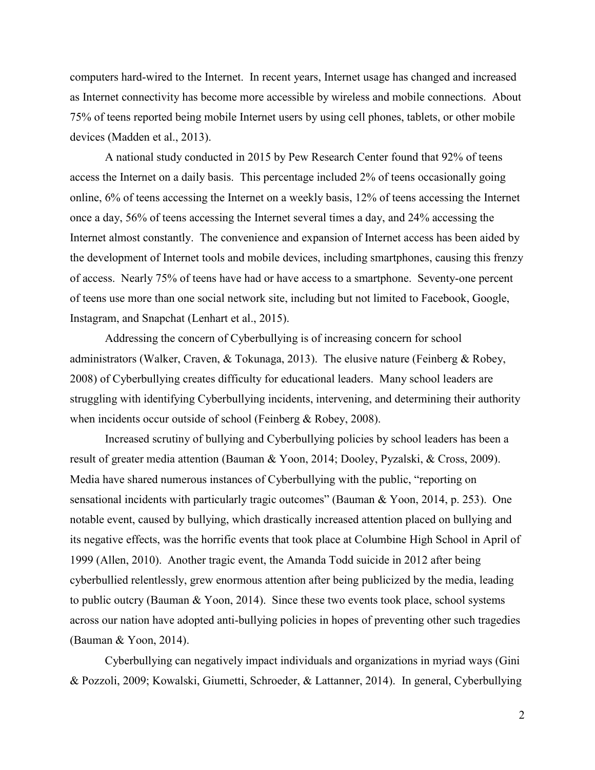computers hard-wired to the Internet. In recent years, Internet usage has changed and increased as Internet connectivity has become more accessible by wireless and mobile connections. About 75% of teens reported being mobile Internet users by using cell phones, tablets, or other mobile devices (Madden et al., 2013).

A national study conducted in 2015 by Pew Research Center found that 92% of teens access the Internet on a daily basis. This percentage included 2% of teens occasionally going online, 6% of teens accessing the Internet on a weekly basis, 12% of teens accessing the Internet once a day, 56% of teens accessing the Internet several times a day, and 24% accessing the Internet almost constantly. The convenience and expansion of Internet access has been aided by the development of Internet tools and mobile devices, including smartphones, causing this frenzy of access. Nearly 75% of teens have had or have access to a smartphone. Seventy-one percent of teens use more than one social network site, including but not limited to Facebook, Google, Instagram, and Snapchat (Lenhart et al., 2015).

Addressing the concern of Cyberbullying is of increasing concern for school administrators (Walker, Craven, & Tokunaga, 2013). The elusive nature (Feinberg & Robey, 2008) of Cyberbullying creates difficulty for educational leaders. Many school leaders are struggling with identifying Cyberbullying incidents, intervening, and determining their authority when incidents occur outside of school (Feinberg & Robey, 2008).

Increased scrutiny of bullying and Cyberbullying policies by school leaders has been a result of greater media attention (Bauman & Yoon, 2014; Dooley, Pyzalski, & Cross, 2009). Media have shared numerous instances of Cyberbullying with the public, "reporting on sensational incidents with particularly tragic outcomes" (Bauman & Yoon, 2014, p. 253). One notable event, caused by bullying, which drastically increased attention placed on bullying and its negative effects, was the horrific events that took place at Columbine High School in April of 1999 (Allen, 2010). Another tragic event, the Amanda Todd suicide in 2012 after being cyberbullied relentlessly, grew enormous attention after being publicized by the media, leading to public outcry (Bauman & Yoon, 2014). Since these two events took place, school systems across our nation have adopted anti-bullying policies in hopes of preventing other such tragedies (Bauman & Yoon, 2014).

Cyberbullying can negatively impact individuals and organizations in myriad ways (Gini & Pozzoli, 2009; Kowalski, Giumetti, Schroeder, & Lattanner, 2014). In general, Cyberbullying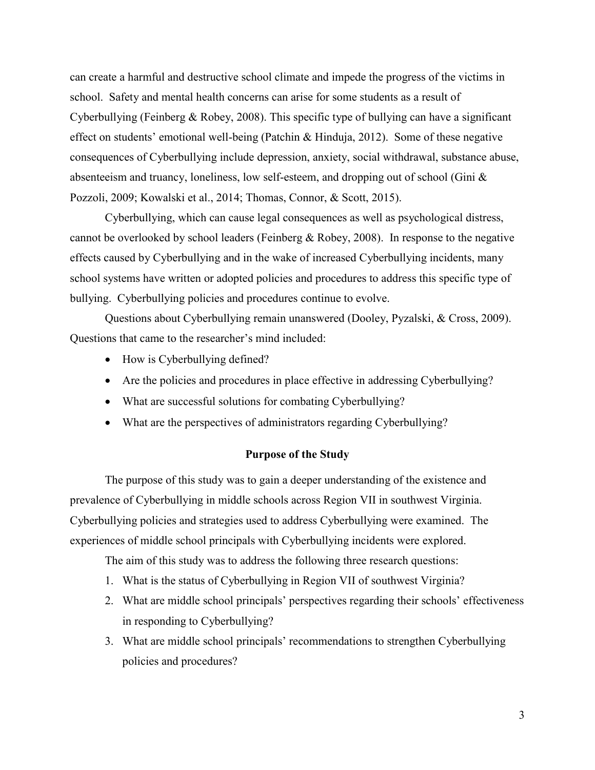can create a harmful and destructive school climate and impede the progress of the victims in school. Safety and mental health concerns can arise for some students as a result of Cyberbullying (Feinberg & Robey, 2008). This specific type of bullying can have a significant effect on students' emotional well-being (Patchin & Hinduja, 2012). Some of these negative consequences of Cyberbullying include depression, anxiety, social withdrawal, substance abuse, absenteeism and truancy, loneliness, low self-esteem, and dropping out of school (Gini & Pozzoli, 2009; Kowalski et al., 2014; Thomas, Connor, & Scott, 2015).

Cyberbullying, which can cause legal consequences as well as psychological distress, cannot be overlooked by school leaders (Feinberg & Robey, 2008). In response to the negative effects caused by Cyberbullying and in the wake of increased Cyberbullying incidents, many school systems have written or adopted policies and procedures to address this specific type of bullying. Cyberbullying policies and procedures continue to evolve.

Questions about Cyberbullying remain unanswered (Dooley, Pyzalski, & Cross, 2009). Questions that came to the researcher's mind included:

- How is Cyberbullying defined?
- Are the policies and procedures in place effective in addressing Cyberbullying?
- What are successful solutions for combating Cyberbullying?
- What are the perspectives of administrators regarding Cyberbullying?

#### **Purpose of the Study**

 The purpose of this study was to gain a deeper understanding of the existence and prevalence of Cyberbullying in middle schools across Region VII in southwest Virginia. Cyberbullying policies and strategies used to address Cyberbullying were examined. The experiences of middle school principals with Cyberbullying incidents were explored.

The aim of this study was to address the following three research questions:

- 1. What is the status of Cyberbullying in Region VII of southwest Virginia?
- 2. What are middle school principals' perspectives regarding their schools' effectiveness in responding to Cyberbullying?
- 3. What are middle school principals' recommendations to strengthen Cyberbullying policies and procedures?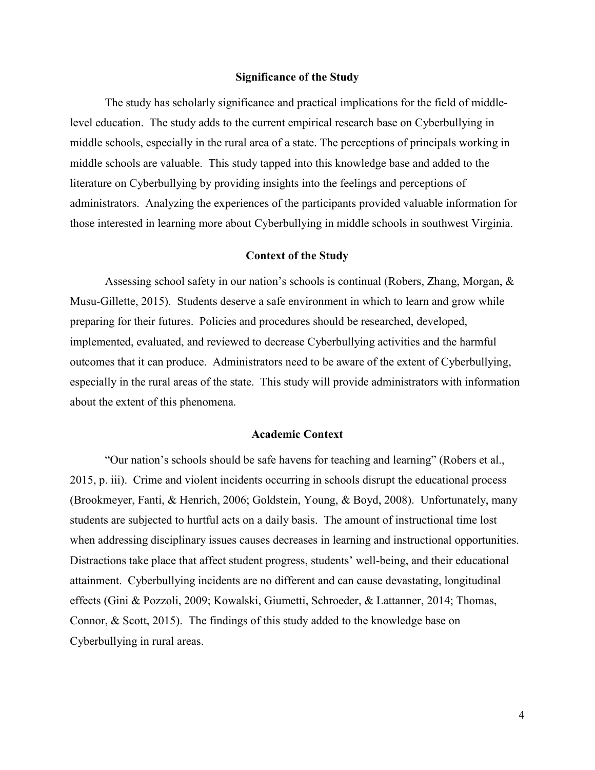### **Significance of the Study**

The study has scholarly significance and practical implications for the field of middlelevel education. The study adds to the current empirical research base on Cyberbullying in middle schools, especially in the rural area of a state. The perceptions of principals working in middle schools are valuable. This study tapped into this knowledge base and added to the literature on Cyberbullying by providing insights into the feelings and perceptions of administrators. Analyzing the experiences of the participants provided valuable information for those interested in learning more about Cyberbullying in middle schools in southwest Virginia.

### **Context of the Study**

Assessing school safety in our nation's schools is continual (Robers, Zhang, Morgan, & Musu-Gillette, 2015). Students deserve a safe environment in which to learn and grow while preparing for their futures. Policies and procedures should be researched, developed, implemented, evaluated, and reviewed to decrease Cyberbullying activities and the harmful outcomes that it can produce. Administrators need to be aware of the extent of Cyberbullying, especially in the rural areas of the state. This study will provide administrators with information about the extent of this phenomena.

#### **Academic Context**

"Our nation's schools should be safe havens for teaching and learning" (Robers et al., 2015, p. iii). Crime and violent incidents occurring in schools disrupt the educational process (Brookmeyer, Fanti, & Henrich, 2006; Goldstein, Young, & Boyd, 2008). Unfortunately, many students are subjected to hurtful acts on a daily basis. The amount of instructional time lost when addressing disciplinary issues causes decreases in learning and instructional opportunities. Distractions take place that affect student progress, students' well-being, and their educational attainment. Cyberbullying incidents are no different and can cause devastating, longitudinal effects (Gini & Pozzoli, 2009; Kowalski, Giumetti, Schroeder, & Lattanner, 2014; Thomas, Connor, & Scott, 2015). The findings of this study added to the knowledge base on Cyberbullying in rural areas.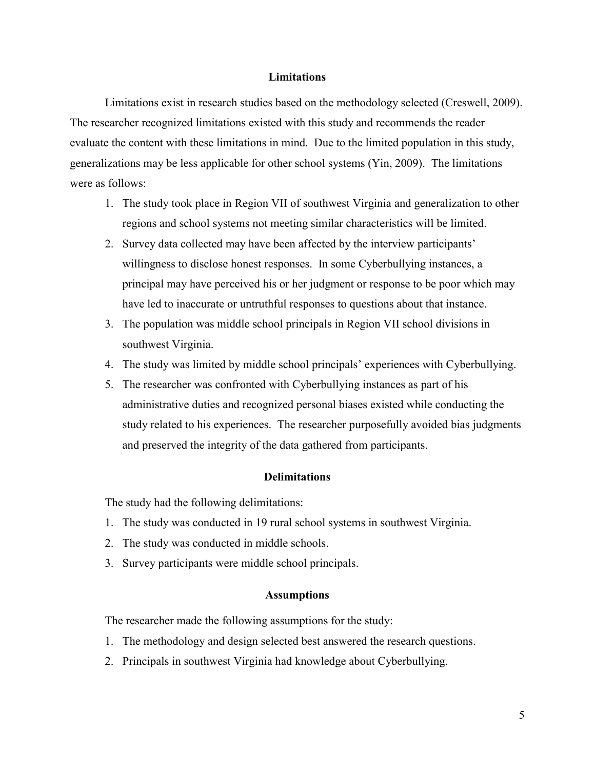#### **Limitations**

Limitations exist in research studies based on the methodology selected (Creswell, 2009). The researcher recognized limitations existed with this study and recommends the reader evaluate the content with these limitations in mind. Due to the limited population in this study, generalizations may be less applicable for other school systems (Yin, 2009). The limitations were as follows:

- 1. The study took place in Region VII of southwest Virginia and generalization to other regions and school systems not meeting similar characteristics will be limited.
- 2. Survey data collected may have been affected by the interview participants' willingness to disclose honest responses. In some Cyberbullying instances, a principal may have perceived his or her judgment or response to be poor which may have led to inaccurate or untruthful responses to questions about that instance.
- 3. The population was middle school principals in Region VII school divisions in southwest Virginia.
- 4. The study was limited by middle school principals' experiences with Cyberbullying.
- 5. The researcher was confronted with Cyberbullying instances as part of his administrative duties and recognized personal biases existed while conducting the study related to his experiences. The researcher purposefully avoided bias judgments and preserved the integrity of the data gathered from participants.

### **Delimitations**

The study had the following delimitations:

- 1. The study was conducted in 19 rural school systems in southwest Virginia.
- 2. The study was conducted in middle schools.
- 3. Survey participants were middle school principals.

#### **Assumptions**

The researcher made the following assumptions for the study:

- 1. The methodology and design selected best answered the research questions.
- 2. Principals in southwest Virginia had knowledge about Cyberbullying.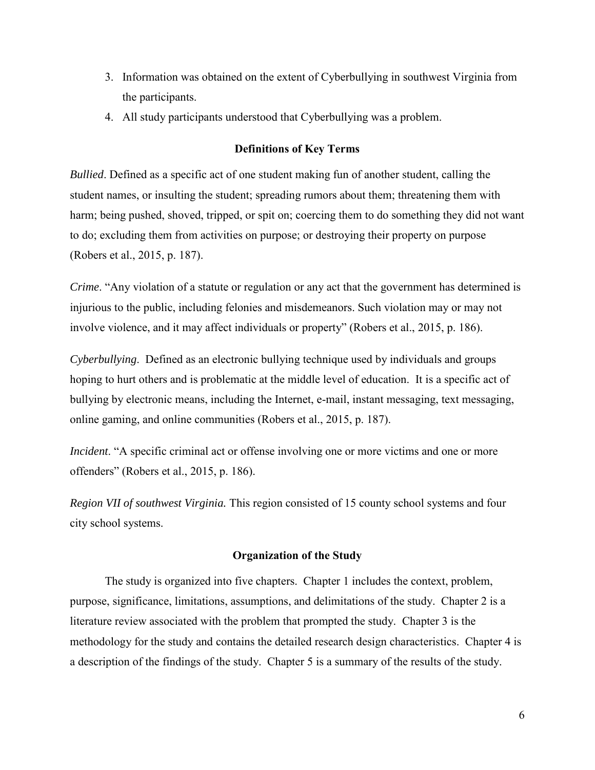- 3. Information was obtained on the extent of Cyberbullying in southwest Virginia from the participants.
- 4. All study participants understood that Cyberbullying was a problem.

### **Definitions of Key Terms**

*Bullied*. Defined as a specific act of one student making fun of another student, calling the student names, or insulting the student; spreading rumors about them; threatening them with harm; being pushed, shoved, tripped, or spit on; coercing them to do something they did not want to do; excluding them from activities on purpose; or destroying their property on purpose (Robers et al., 2015, p. 187).

*Crime*. "Any violation of a statute or regulation or any act that the government has determined is injurious to the public, including felonies and misdemeanors. Such violation may or may not involve violence, and it may affect individuals or property" (Robers et al., 2015, p. 186).

*Cyberbullying*. Defined as an electronic bullying technique used by individuals and groups hoping to hurt others and is problematic at the middle level of education. It is a specific act of bullying by electronic means, including the Internet, e-mail, instant messaging, text messaging, online gaming, and online communities (Robers et al., 2015, p. 187).

*Incident*. "A specific criminal act or offense involving one or more victims and one or more offenders" (Robers et al., 2015, p. 186).

*Region VII of southwest Virginia.* This region consisted of 15 county school systems and four city school systems.

### **Organization of the Study**

The study is organized into five chapters. Chapter 1 includes the context, problem, purpose, significance, limitations, assumptions, and delimitations of the study. Chapter 2 is a literature review associated with the problem that prompted the study. Chapter 3 is the methodology for the study and contains the detailed research design characteristics. Chapter 4 is a description of the findings of the study. Chapter 5 is a summary of the results of the study.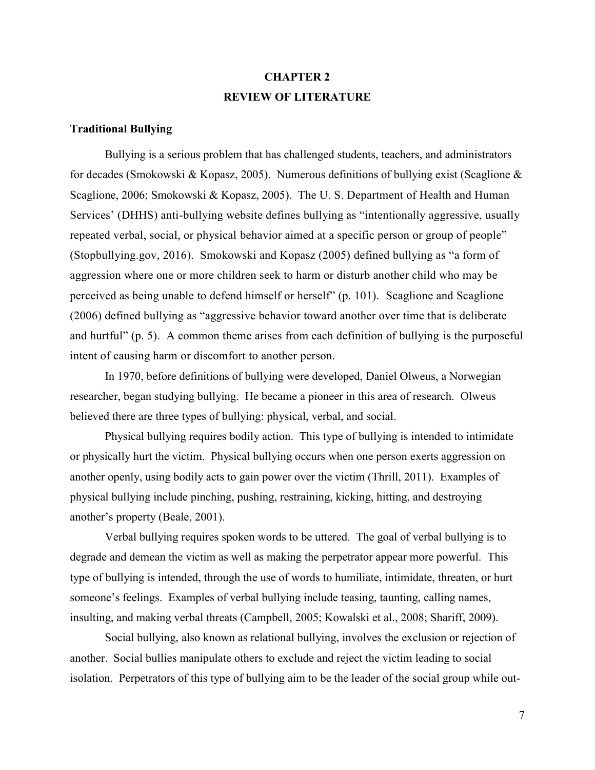# **CHAPTER 2 REVIEW OF LITERATURE**

#### **Traditional Bullying**

Bullying is a serious problem that has challenged students, teachers, and administrators for decades (Smokowski & Kopasz, 2005). Numerous definitions of bullying exist (Scaglione & Scaglione, 2006; Smokowski & Kopasz, 2005). The U. S. Department of Health and Human Services' (DHHS) anti-bullying website defines bullying as "intentionally aggressive, usually repeated verbal, social, or physical behavior aimed at a specific person or group of people" (Stopbullying.gov, 2016). Smokowski and Kopasz (2005) defined bullying as "a form of aggression where one or more children seek to harm or disturb another child who may be perceived as being unable to defend himself or herself" (p. 101). Scaglione and Scaglione (2006) defined bullying as "aggressive behavior toward another over time that is deliberate and hurtful" (p. 5). A common theme arises from each definition of bullying is the purposeful intent of causing harm or discomfort to another person.

In 1970, before definitions of bullying were developed, Daniel Olweus, a Norwegian researcher, began studying bullying. He became a pioneer in this area of research. Olweus believed there are three types of bullying: physical, verbal, and social.

Physical bullying requires bodily action. This type of bullying is intended to intimidate or physically hurt the victim. Physical bullying occurs when one person exerts aggression on another openly, using bodily acts to gain power over the victim (Thrill, 2011). Examples of physical bullying include pinching, pushing, restraining, kicking, hitting, and destroying another's property (Beale, 2001).

Verbal bullying requires spoken words to be uttered. The goal of verbal bullying is to degrade and demean the victim as well as making the perpetrator appear more powerful. This type of bullying is intended, through the use of words to humiliate, intimidate, threaten, or hurt someone's feelings. Examples of verbal bullying include teasing, taunting, calling names, insulting, and making verbal threats (Campbell, 2005; Kowalski et al., 2008; Shariff, 2009).

Social bullying, also known as relational bullying, involves the exclusion or rejection of another. Social bullies manipulate others to exclude and reject the victim leading to social isolation. Perpetrators of this type of bullying aim to be the leader of the social group while out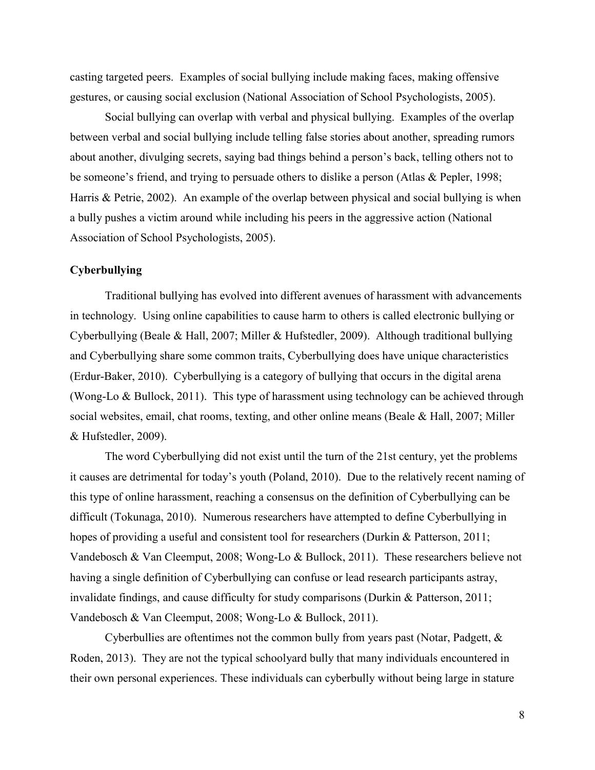casting targeted peers. Examples of social bullying include making faces, making offensive gestures, or causing social exclusion (National Association of School Psychologists, 2005).

Social bullying can overlap with verbal and physical bullying. Examples of the overlap between verbal and social bullying include telling false stories about another, spreading rumors about another, divulging secrets, saying bad things behind a person's back, telling others not to be someone's friend, and trying to persuade others to dislike a person (Atlas & Pepler, 1998; Harris & Petrie, 2002). An example of the overlap between physical and social bullying is when a bully pushes a victim around while including his peers in the aggressive action (National Association of School Psychologists, 2005).

#### **Cyberbullying**

Traditional bullying has evolved into different avenues of harassment with advancements in technology. Using online capabilities to cause harm to others is called electronic bullying or Cyberbullying (Beale & Hall, 2007; Miller & Hufstedler, 2009). Although traditional bullying and Cyberbullying share some common traits, Cyberbullying does have unique characteristics (Erdur-Baker, 2010). Cyberbullying is a category of bullying that occurs in the digital arena (Wong-Lo & Bullock, 2011). This type of harassment using technology can be achieved through social websites, email, chat rooms, texting, and other online means (Beale & Hall, 2007; Miller & Hufstedler, 2009).

The word Cyberbullying did not exist until the turn of the 21st century, yet the problems it causes are detrimental for today's youth (Poland, 2010). Due to the relatively recent naming of this type of online harassment, reaching a consensus on the definition of Cyberbullying can be difficult (Tokunaga, 2010). Numerous researchers have attempted to define Cyberbullying in hopes of providing a useful and consistent tool for researchers (Durkin & Patterson, 2011; Vandebosch & Van Cleemput, 2008; Wong-Lo & Bullock, 2011). These researchers believe not having a single definition of Cyberbullying can confuse or lead research participants astray, invalidate findings, and cause difficulty for study comparisons (Durkin & Patterson, 2011; Vandebosch & Van Cleemput, 2008; Wong-Lo & Bullock, 2011).

Cyberbullies are oftentimes not the common bully from years past (Notar, Padgett, & Roden, 2013). They are not the typical schoolyard bully that many individuals encountered in their own personal experiences. These individuals can cyberbully without being large in stature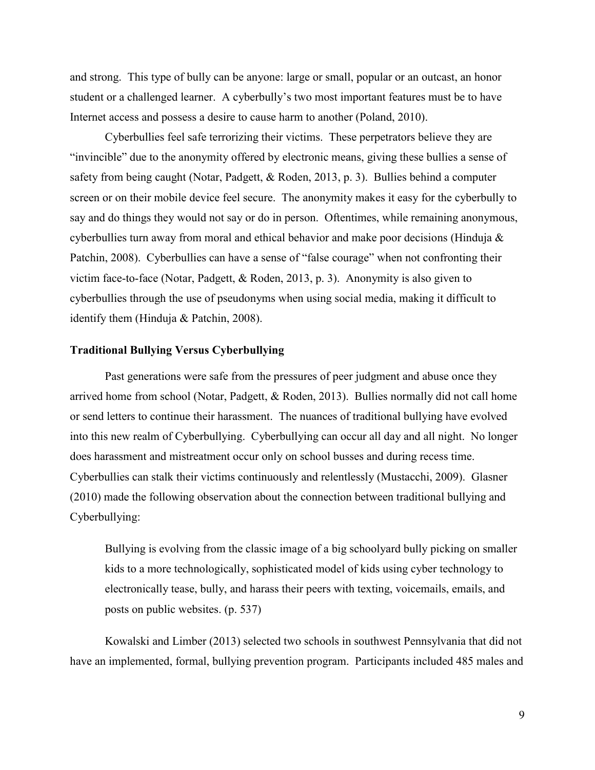and strong. This type of bully can be anyone: large or small, popular or an outcast, an honor student or a challenged learner. A cyberbully's two most important features must be to have Internet access and possess a desire to cause harm to another (Poland, 2010).

Cyberbullies feel safe terrorizing their victims. These perpetrators believe they are "invincible" due to the anonymity offered by electronic means, giving these bullies a sense of safety from being caught (Notar, Padgett, & Roden, 2013, p. 3). Bullies behind a computer screen or on their mobile device feel secure. The anonymity makes it easy for the cyberbully to say and do things they would not say or do in person. Oftentimes, while remaining anonymous, cyberbullies turn away from moral and ethical behavior and make poor decisions (Hinduja & Patchin, 2008). Cyberbullies can have a sense of "false courage" when not confronting their victim face-to-face (Notar, Padgett, & Roden, 2013, p. 3). Anonymity is also given to cyberbullies through the use of pseudonyms when using social media, making it difficult to identify them (Hinduja & Patchin, 2008).

### **Traditional Bullying Versus Cyberbullying**

Past generations were safe from the pressures of peer judgment and abuse once they arrived home from school (Notar, Padgett, & Roden, 2013). Bullies normally did not call home or send letters to continue their harassment. The nuances of traditional bullying have evolved into this new realm of Cyberbullying. Cyberbullying can occur all day and all night. No longer does harassment and mistreatment occur only on school busses and during recess time. Cyberbullies can stalk their victims continuously and relentlessly (Mustacchi, 2009). Glasner (2010) made the following observation about the connection between traditional bullying and Cyberbullying:

Bullying is evolving from the classic image of a big schoolyard bully picking on smaller kids to a more technologically, sophisticated model of kids using cyber technology to electronically tease, bully, and harass their peers with texting, voicemails, emails, and posts on public websites. (p. 537)

Kowalski and Limber (2013) selected two schools in southwest Pennsylvania that did not have an implemented, formal, bullying prevention program. Participants included 485 males and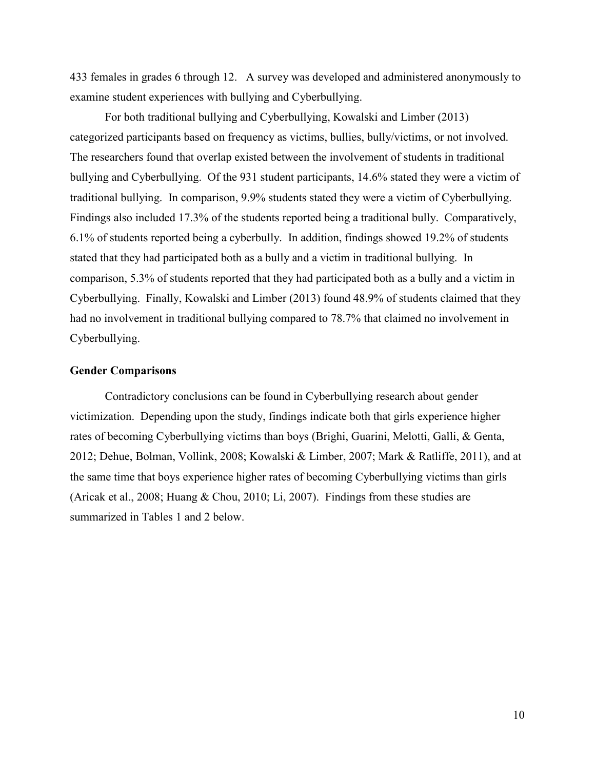433 females in grades 6 through 12. A survey was developed and administered anonymously to examine student experiences with bullying and Cyberbullying.

For both traditional bullying and Cyberbullying, Kowalski and Limber (2013) categorized participants based on frequency as victims, bullies, bully/victims, or not involved. The researchers found that overlap existed between the involvement of students in traditional bullying and Cyberbullying. Of the 931 student participants, 14.6% stated they were a victim of traditional bullying. In comparison, 9.9% students stated they were a victim of Cyberbullying. Findings also included 17.3% of the students reported being a traditional bully. Comparatively, 6.1% of students reported being a cyberbully. In addition, findings showed 19.2% of students stated that they had participated both as a bully and a victim in traditional bullying. In comparison, 5.3% of students reported that they had participated both as a bully and a victim in Cyberbullying. Finally, Kowalski and Limber (2013) found 48.9% of students claimed that they had no involvement in traditional bullying compared to 78.7% that claimed no involvement in Cyberbullying.

### **Gender Comparisons**

Contradictory conclusions can be found in Cyberbullying research about gender victimization. Depending upon the study, findings indicate both that girls experience higher rates of becoming Cyberbullying victims than boys (Brighi, Guarini, Melotti, Galli, & Genta, 2012; Dehue, Bolman, Vollink, 2008; Kowalski & Limber, 2007; Mark & Ratliffe, 2011), and at the same time that boys experience higher rates of becoming Cyberbullying victims than girls (Aricak et al., 2008; Huang & Chou, 2010; Li, 2007). Findings from these studies are summarized in Tables 1 and 2 below.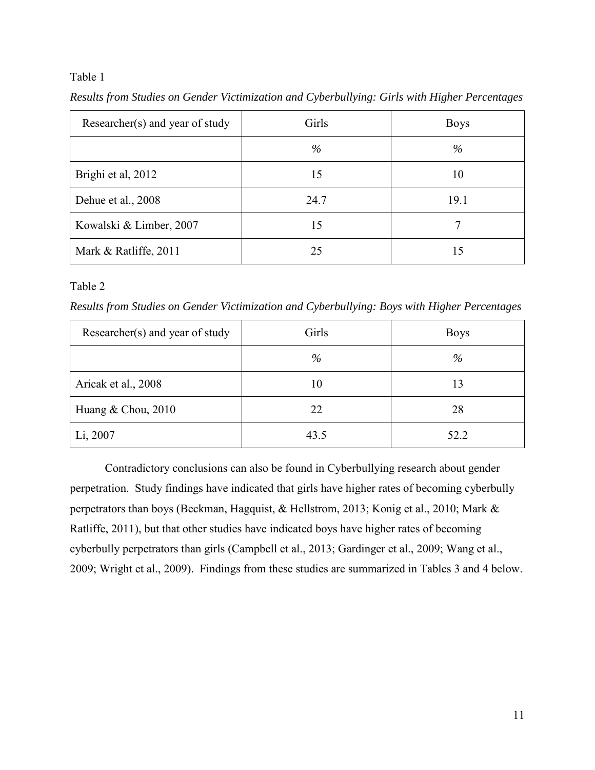### Table 1

| Researcher(s) and year of study | Girls | <b>Boys</b> |
|---------------------------------|-------|-------------|
|                                 | $\%$  | $\%$        |
| Brighi et al, 2012              | 15    | 10          |
| Dehue et al., 2008              | 24.7  | 19.1        |
| Kowalski & Limber, 2007         | 15    |             |
| Mark & Ratliffe, 2011           | 25    | 15          |

*Results from Studies on Gender Victimization and Cyberbullying: Girls with Higher Percentages* 

### Table 2

*Results from Studies on Gender Victimization and Cyberbullying: Boys with Higher Percentages* 

| Researcher(s) and year of study | Girls | <b>Boys</b> |
|---------------------------------|-------|-------------|
|                                 | $\%$  | $\%$        |
| Aricak et al., 2008             | 10    | 13          |
| Huang & Chou, 2010              | 22    | 28          |
| Li, 2007                        | 43.5  | 52.2        |

Contradictory conclusions can also be found in Cyberbullying research about gender perpetration. Study findings have indicated that girls have higher rates of becoming cyberbully perpetrators than boys (Beckman, Hagquist, & Hellstrom, 2013; Konig et al., 2010; Mark & Ratliffe, 2011), but that other studies have indicated boys have higher rates of becoming cyberbully perpetrators than girls (Campbell et al., 2013; Gardinger et al., 2009; Wang et al., 2009; Wright et al., 2009). Findings from these studies are summarized in Tables 3 and 4 below.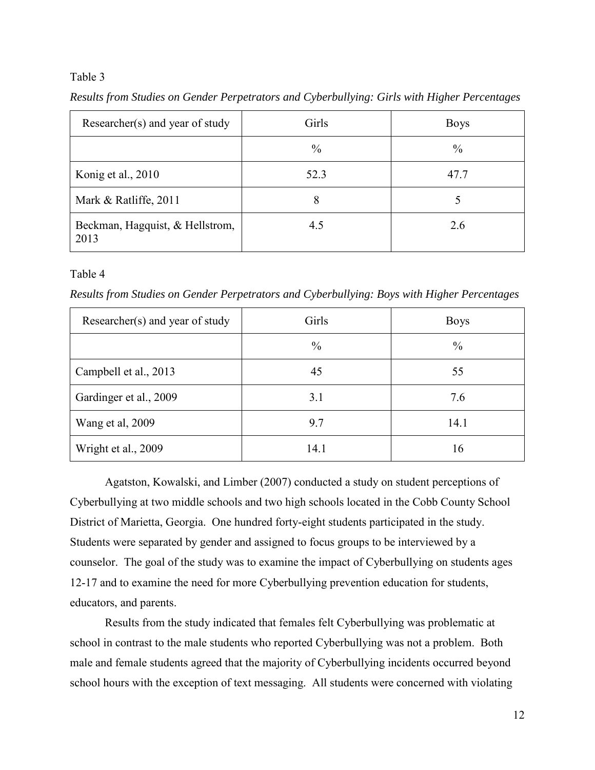### Table 3

| Researcher(s) and year of study         | Girls         | <b>Boys</b>   |
|-----------------------------------------|---------------|---------------|
|                                         | $\frac{0}{0}$ | $\frac{0}{0}$ |
| Konig et al., 2010                      | 52.3          | 47.7          |
| Mark & Ratliffe, 2011                   | 8             |               |
| Beckman, Hagquist, & Hellstrom,<br>2013 | 4.5           | 2.6           |

*Results from Studies on Gender Perpetrators and Cyberbullying: Girls with Higher Percentages* 

### Table 4

*Results from Studies on Gender Perpetrators and Cyberbullying: Boys with Higher Percentages* 

| Researcher(s) and year of study | Girls         | <b>Boys</b>   |
|---------------------------------|---------------|---------------|
|                                 | $\frac{0}{0}$ | $\frac{0}{0}$ |
| Campbell et al., 2013           | 45            | 55            |
| Gardinger et al., 2009          | 3.1           | 7.6           |
| Wang et al, 2009                | 9.7           | 14.1          |
| Wright et al., 2009             | 14.1          | 16            |

Agatston, Kowalski, and Limber (2007) conducted a study on student perceptions of Cyberbullying at two middle schools and two high schools located in the Cobb County School District of Marietta, Georgia. One hundred forty-eight students participated in the study. Students were separated by gender and assigned to focus groups to be interviewed by a counselor. The goal of the study was to examine the impact of Cyberbullying on students ages 12-17 and to examine the need for more Cyberbullying prevention education for students, educators, and parents.

Results from the study indicated that females felt Cyberbullying was problematic at school in contrast to the male students who reported Cyberbullying was not a problem. Both male and female students agreed that the majority of Cyberbullying incidents occurred beyond school hours with the exception of text messaging. All students were concerned with violating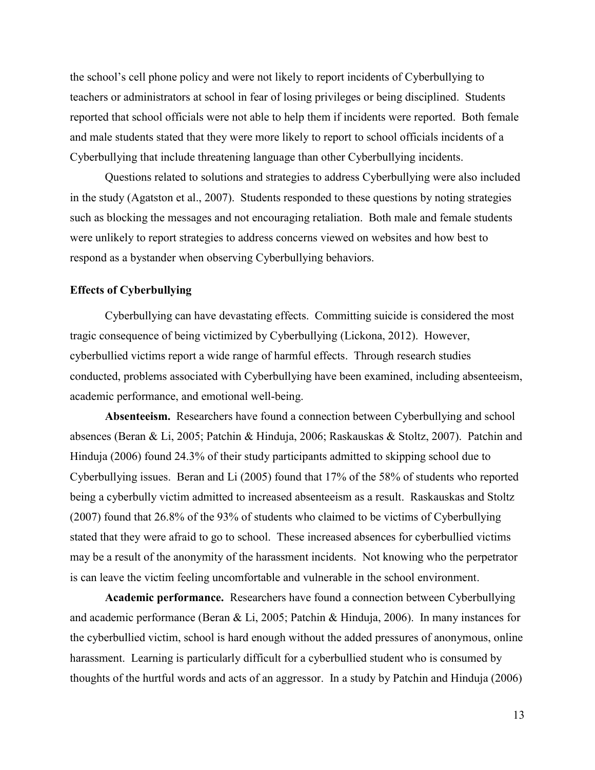the school's cell phone policy and were not likely to report incidents of Cyberbullying to teachers or administrators at school in fear of losing privileges or being disciplined. Students reported that school officials were not able to help them if incidents were reported. Both female and male students stated that they were more likely to report to school officials incidents of a Cyberbullying that include threatening language than other Cyberbullying incidents.

Questions related to solutions and strategies to address Cyberbullying were also included in the study (Agatston et al., 2007). Students responded to these questions by noting strategies such as blocking the messages and not encouraging retaliation. Both male and female students were unlikely to report strategies to address concerns viewed on websites and how best to respond as a bystander when observing Cyberbullying behaviors.

### **Effects of Cyberbullying**

Cyberbullying can have devastating effects. Committing suicide is considered the most tragic consequence of being victimized by Cyberbullying (Lickona, 2012). However, cyberbullied victims report a wide range of harmful effects. Through research studies conducted, problems associated with Cyberbullying have been examined, including absenteeism, academic performance, and emotional well-being.

**Absenteeism.** Researchers have found a connection between Cyberbullying and school absences (Beran & Li, 2005; Patchin & Hinduja, 2006; Raskauskas & Stoltz, 2007). Patchin and Hinduja (2006) found 24.3% of their study participants admitted to skipping school due to Cyberbullying issues. Beran and Li (2005) found that 17% of the 58% of students who reported being a cyberbully victim admitted to increased absenteeism as a result. Raskauskas and Stoltz (2007) found that 26.8% of the 93% of students who claimed to be victims of Cyberbullying stated that they were afraid to go to school. These increased absences for cyberbullied victims may be a result of the anonymity of the harassment incidents. Not knowing who the perpetrator is can leave the victim feeling uncomfortable and vulnerable in the school environment.

**Academic performance.** Researchers have found a connection between Cyberbullying and academic performance (Beran & Li, 2005; Patchin & Hinduja, 2006). In many instances for the cyberbullied victim, school is hard enough without the added pressures of anonymous, online harassment. Learning is particularly difficult for a cyberbullied student who is consumed by thoughts of the hurtful words and acts of an aggressor. In a study by Patchin and Hinduja (2006)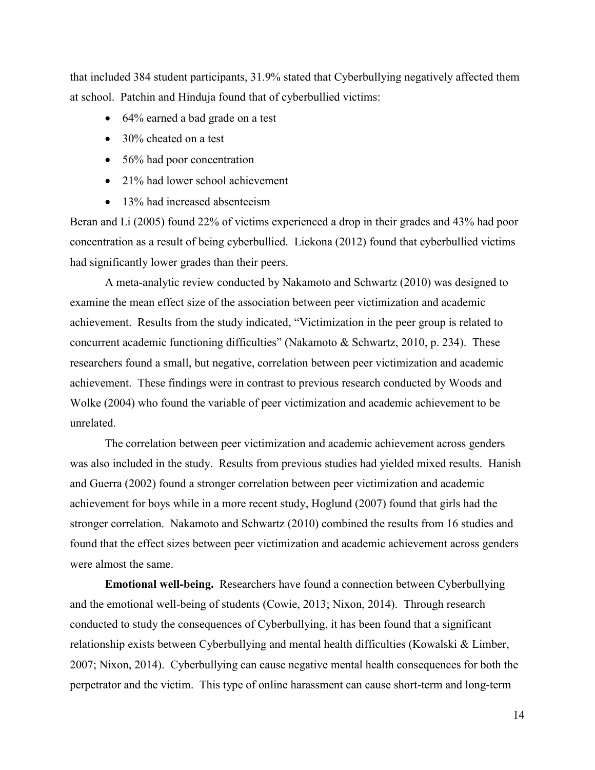that included 384 student participants, 31.9% stated that Cyberbullying negatively affected them at school. Patchin and Hinduja found that of cyberbullied victims:

- 64% earned a bad grade on a test
- 30% cheated on a test
- 56% had poor concentration
- 21% had lower school achievement
- 13% had increased absenteeism

Beran and Li (2005) found 22% of victims experienced a drop in their grades and 43% had poor concentration as a result of being cyberbullied. Lickona (2012) found that cyberbullied victims had significantly lower grades than their peers.

A meta-analytic review conducted by Nakamoto and Schwartz (2010) was designed to examine the mean effect size of the association between peer victimization and academic achievement. Results from the study indicated, "Victimization in the peer group is related to concurrent academic functioning difficulties" (Nakamoto & Schwartz, 2010, p. 234). These researchers found a small, but negative, correlation between peer victimization and academic achievement. These findings were in contrast to previous research conducted by Woods and Wolke (2004) who found the variable of peer victimization and academic achievement to be unrelated.

The correlation between peer victimization and academic achievement across genders was also included in the study. Results from previous studies had yielded mixed results. Hanish and Guerra (2002) found a stronger correlation between peer victimization and academic achievement for boys while in a more recent study, Hoglund (2007) found that girls had the stronger correlation. Nakamoto and Schwartz (2010) combined the results from 16 studies and found that the effect sizes between peer victimization and academic achievement across genders were almost the same.

**Emotional well-being.** Researchers have found a connection between Cyberbullying and the emotional well-being of students (Cowie, 2013; Nixon, 2014). Through research conducted to study the consequences of Cyberbullying, it has been found that a significant relationship exists between Cyberbullying and mental health difficulties (Kowalski & Limber, 2007; Nixon, 2014). Cyberbullying can cause negative mental health consequences for both the perpetrator and the victim. This type of online harassment can cause short-term and long-term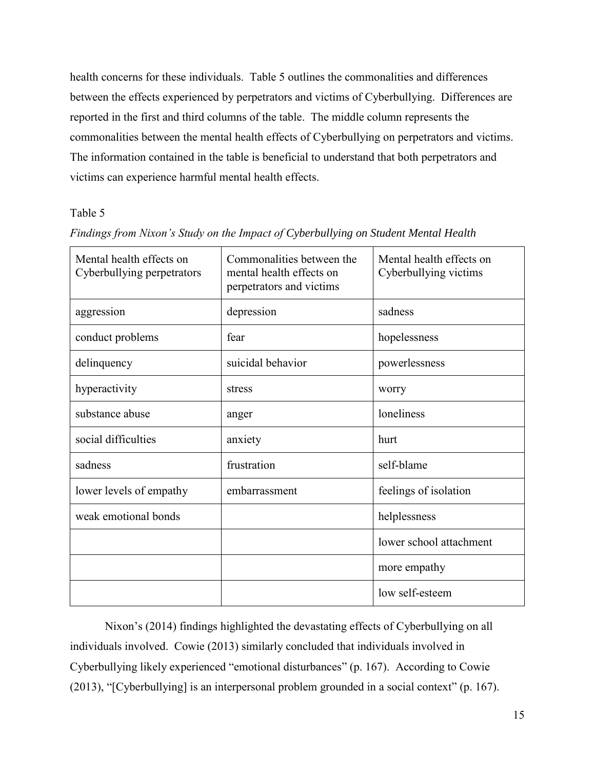health concerns for these individuals. Table 5 outlines the commonalities and differences between the effects experienced by perpetrators and victims of Cyberbullying. Differences are reported in the first and third columns of the table. The middle column represents the commonalities between the mental health effects of Cyberbullying on perpetrators and victims. The information contained in the table is beneficial to understand that both perpetrators and victims can experience harmful mental health effects.

### Table 5

| Mental health effects on<br>Cyberbullying perpetrators | Commonalities between the<br>mental health effects on<br>perpetrators and victims | Mental health effects on<br>Cyberbullying victims |
|--------------------------------------------------------|-----------------------------------------------------------------------------------|---------------------------------------------------|
| aggression                                             | depression                                                                        | sadness                                           |
| conduct problems                                       | fear                                                                              | hopelessness                                      |
| delinquency                                            | suicidal behavior                                                                 | powerlessness                                     |
| hyperactivity                                          | stress                                                                            | worry                                             |
| substance abuse                                        | anger                                                                             | loneliness                                        |
| social difficulties                                    | anxiety                                                                           | hurt                                              |
| sadness                                                | frustration                                                                       | self-blame                                        |
| lower levels of empathy                                | embarrassment                                                                     | feelings of isolation                             |
| weak emotional bonds                                   |                                                                                   | helplessness                                      |
|                                                        |                                                                                   | lower school attachment                           |
|                                                        |                                                                                   | more empathy                                      |
|                                                        |                                                                                   | low self-esteem                                   |

### *Findings from Nixon's Study on the Impact of Cyberbullying on Student Mental Health*

Nixon's (2014) findings highlighted the devastating effects of Cyberbullying on all individuals involved. Cowie (2013) similarly concluded that individuals involved in Cyberbullying likely experienced "emotional disturbances" (p. 167). According to Cowie (2013), "[Cyberbullying] is an interpersonal problem grounded in a social context" (p. 167).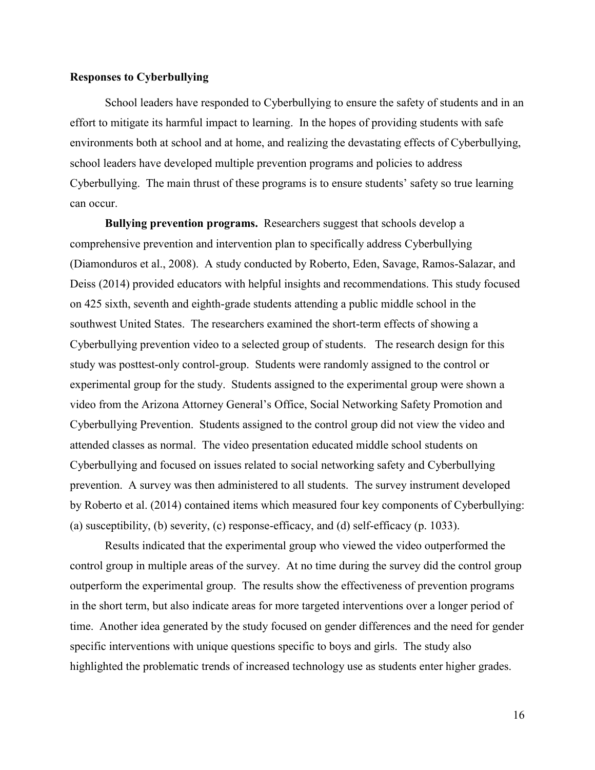### **Responses to Cyberbullying**

School leaders have responded to Cyberbullying to ensure the safety of students and in an effort to mitigate its harmful impact to learning. In the hopes of providing students with safe environments both at school and at home, and realizing the devastating effects of Cyberbullying, school leaders have developed multiple prevention programs and policies to address Cyberbullying. The main thrust of these programs is to ensure students' safety so true learning can occur.

**Bullying prevention programs.** Researchers suggest that schools develop a comprehensive prevention and intervention plan to specifically address Cyberbullying (Diamonduros et al., 2008). A study conducted by Roberto, Eden, Savage, Ramos-Salazar, and Deiss (2014) provided educators with helpful insights and recommendations. This study focused on 425 sixth, seventh and eighth-grade students attending a public middle school in the southwest United States. The researchers examined the short-term effects of showing a Cyberbullying prevention video to a selected group of students. The research design for this study was posttest-only control-group. Students were randomly assigned to the control or experimental group for the study. Students assigned to the experimental group were shown a video from the Arizona Attorney General's Office, Social Networking Safety Promotion and Cyberbullying Prevention. Students assigned to the control group did not view the video and attended classes as normal. The video presentation educated middle school students on Cyberbullying and focused on issues related to social networking safety and Cyberbullying prevention. A survey was then administered to all students. The survey instrument developed by Roberto et al. (2014) contained items which measured four key components of Cyberbullying: (a) susceptibility, (b) severity, (c) response-efficacy, and (d) self-efficacy (p. 1033).

Results indicated that the experimental group who viewed the video outperformed the control group in multiple areas of the survey. At no time during the survey did the control group outperform the experimental group. The results show the effectiveness of prevention programs in the short term, but also indicate areas for more targeted interventions over a longer period of time. Another idea generated by the study focused on gender differences and the need for gender specific interventions with unique questions specific to boys and girls. The study also highlighted the problematic trends of increased technology use as students enter higher grades.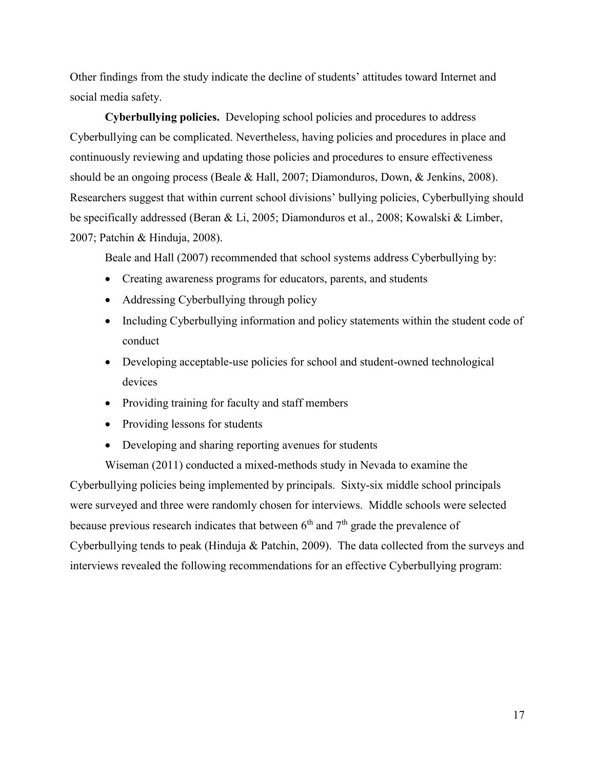Other findings from the study indicate the decline of students' attitudes toward Internet and social media safety.

**Cyberbullying policies.** Developing school policies and procedures to address Cyberbullying can be complicated. Nevertheless, having policies and procedures in place and continuously reviewing and updating those policies and procedures to ensure effectiveness should be an ongoing process (Beale & Hall, 2007; Diamonduros, Down, & Jenkins, 2008). Researchers suggest that within current school divisions' bullying policies, Cyberbullying should be specifically addressed (Beran & Li, 2005; Diamonduros et al., 2008; Kowalski & Limber, 2007; Patchin & Hinduja, 2008).

Beale and Hall (2007) recommended that school systems address Cyberbullying by:

- Creating awareness programs for educators, parents, and students
- Addressing Cyberbullying through policy
- Including Cyberbullying information and policy statements within the student code of conduct
- Developing acceptable-use policies for school and student-owned technological devices
- Providing training for faculty and staff members
- Providing lessons for students
- Developing and sharing reporting avenues for students

Wiseman (2011) conducted a mixed-methods study in Nevada to examine the Cyberbullying policies being implemented by principals. Sixty-six middle school principals were surveyed and three were randomly chosen for interviews. Middle schools were selected because previous research indicates that between  $6<sup>th</sup>$  and  $7<sup>th</sup>$  grade the prevalence of Cyberbullying tends to peak (Hinduja & Patchin, 2009). The data collected from the surveys and interviews revealed the following recommendations for an effective Cyberbullying program: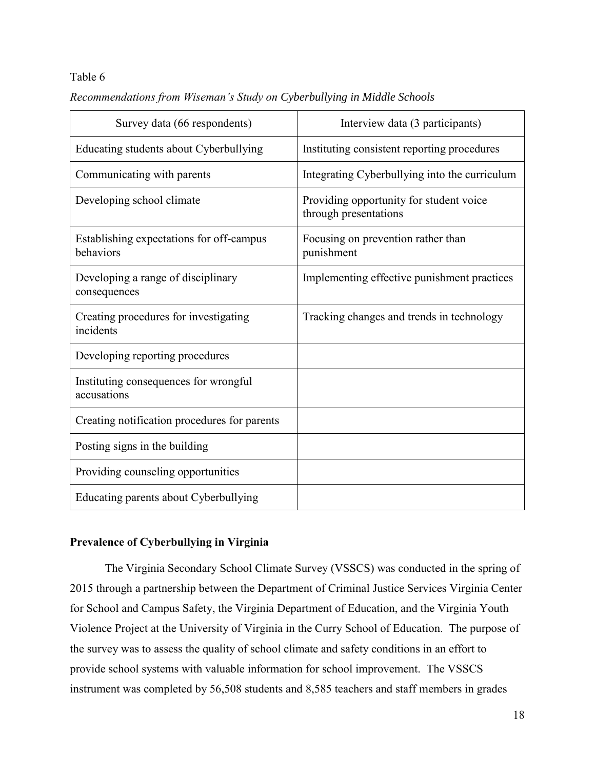### Table 6

| Recommendations from Wiseman's Study on Cyberbullying in Middle Schools |  |  |  |
|-------------------------------------------------------------------------|--|--|--|
|-------------------------------------------------------------------------|--|--|--|

| Survey data (66 respondents)                          | Interview data (3 participants)                                  |
|-------------------------------------------------------|------------------------------------------------------------------|
| Educating students about Cyberbullying                | Instituting consistent reporting procedures                      |
| Communicating with parents                            | Integrating Cyberbullying into the curriculum                    |
| Developing school climate                             | Providing opportunity for student voice<br>through presentations |
| Establishing expectations for off-campus<br>behaviors | Focusing on prevention rather than<br>punishment                 |
| Developing a range of disciplinary<br>consequences    | Implementing effective punishment practices                      |
| Creating procedures for investigating<br>incidents    | Tracking changes and trends in technology                        |
| Developing reporting procedures                       |                                                                  |
| Instituting consequences for wrongful<br>accusations  |                                                                  |
| Creating notification procedures for parents          |                                                                  |
| Posting signs in the building                         |                                                                  |
| Providing counseling opportunities                    |                                                                  |
| Educating parents about Cyberbullying                 |                                                                  |

### **Prevalence of Cyberbullying in Virginia**

The Virginia Secondary School Climate Survey (VSSCS) was conducted in the spring of 2015 through a partnership between the Department of Criminal Justice Services Virginia Center for School and Campus Safety, the Virginia Department of Education, and the Virginia Youth Violence Project at the University of Virginia in the Curry School of Education. The purpose of the survey was to assess the quality of school climate and safety conditions in an effort to provide school systems with valuable information for school improvement. The VSSCS instrument was completed by 56,508 students and 8,585 teachers and staff members in grades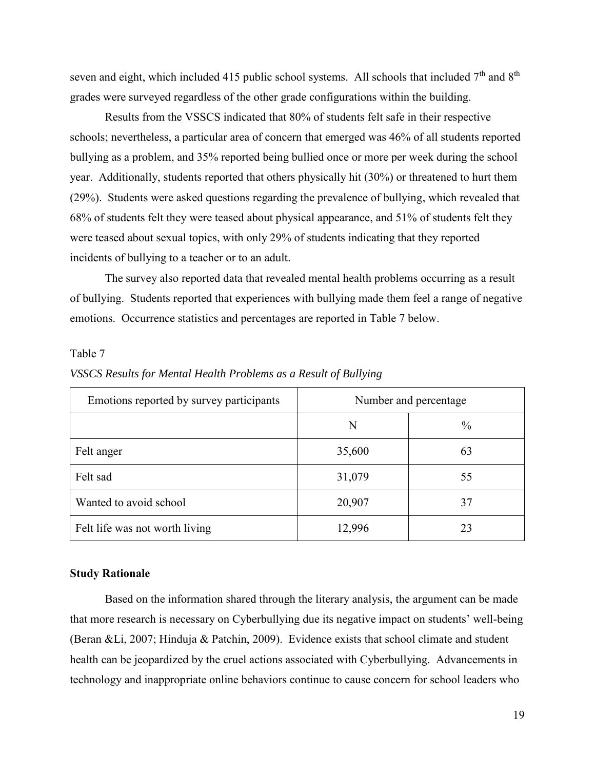seven and eight, which included 415 public school systems. All schools that included  $7<sup>th</sup>$  and  $8<sup>th</sup>$ grades were surveyed regardless of the other grade configurations within the building.

Results from the VSSCS indicated that 80% of students felt safe in their respective schools; nevertheless, a particular area of concern that emerged was 46% of all students reported bullying as a problem, and 35% reported being bullied once or more per week during the school year. Additionally, students reported that others physically hit (30%) or threatened to hurt them (29%). Students were asked questions regarding the prevalence of bullying, which revealed that 68% of students felt they were teased about physical appearance, and 51% of students felt they were teased about sexual topics, with only 29% of students indicating that they reported incidents of bullying to a teacher or to an adult.

The survey also reported data that revealed mental health problems occurring as a result of bullying. Students reported that experiences with bullying made them feel a range of negative emotions. Occurrence statistics and percentages are reported in Table 7 below.

### Table 7

| Emotions reported by survey participants | Number and percentage |               |
|------------------------------------------|-----------------------|---------------|
|                                          | N                     | $\frac{0}{0}$ |
| Felt anger                               | 35,600                | 63            |
| Felt sad                                 | 31,079                | 55            |
| Wanted to avoid school                   | 20,907                | 37            |
| Felt life was not worth living           | 12,996                | 23            |

### *VSSCS Results for Mental Health Problems as a Result of Bullying*

#### **Study Rationale**

Based on the information shared through the literary analysis, the argument can be made that more research is necessary on Cyberbullying due its negative impact on students' well-being (Beran &Li, 2007; Hinduja & Patchin, 2009). Evidence exists that school climate and student health can be jeopardized by the cruel actions associated with Cyberbullying. Advancements in technology and inappropriate online behaviors continue to cause concern for school leaders who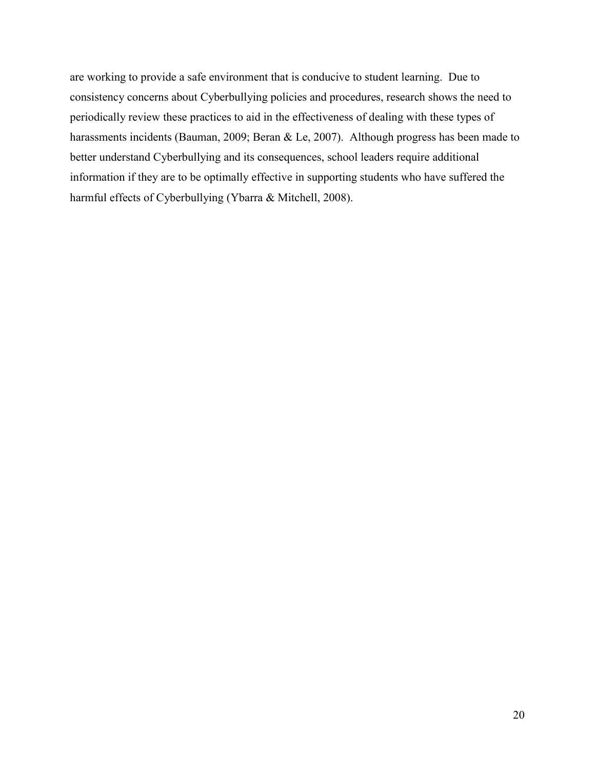are working to provide a safe environment that is conducive to student learning. Due to consistency concerns about Cyberbullying policies and procedures, research shows the need to periodically review these practices to aid in the effectiveness of dealing with these types of harassments incidents (Bauman, 2009; Beran & Le, 2007). Although progress has been made to better understand Cyberbullying and its consequences, school leaders require additional information if they are to be optimally effective in supporting students who have suffered the harmful effects of Cyberbullying (Ybarra & Mitchell, 2008).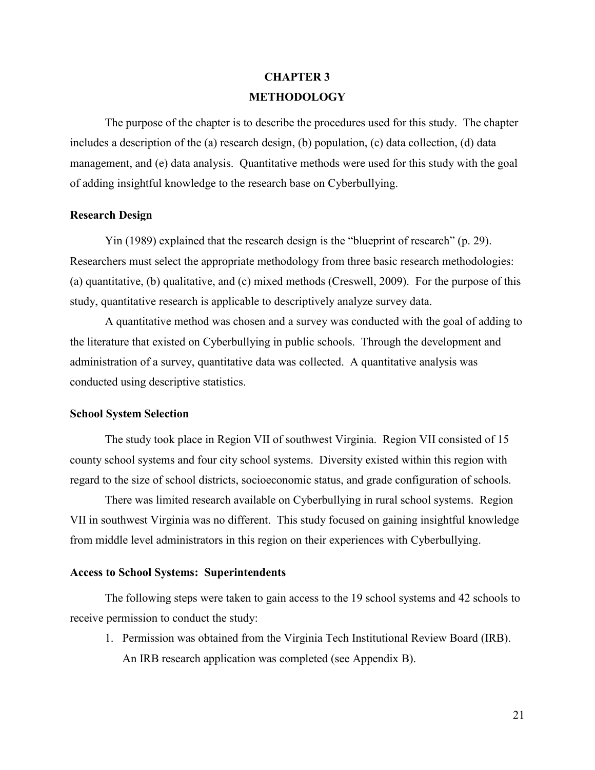# **CHAPTER 3 METHODOLOGY**

The purpose of the chapter is to describe the procedures used for this study. The chapter includes a description of the (a) research design, (b) population, (c) data collection, (d) data management, and (e) data analysis. Quantitative methods were used for this study with the goal of adding insightful knowledge to the research base on Cyberbullying.

#### **Research Design**

Yin (1989) explained that the research design is the "blueprint of research" (p. 29). Researchers must select the appropriate methodology from three basic research methodologies: (a) quantitative, (b) qualitative, and (c) mixed methods (Creswell, 2009). For the purpose of this study, quantitative research is applicable to descriptively analyze survey data.

A quantitative method was chosen and a survey was conducted with the goal of adding to the literature that existed on Cyberbullying in public schools. Through the development and administration of a survey, quantitative data was collected. A quantitative analysis was conducted using descriptive statistics.

### **School System Selection**

The study took place in Region VII of southwest Virginia. Region VII consisted of 15 county school systems and four city school systems. Diversity existed within this region with regard to the size of school districts, socioeconomic status, and grade configuration of schools.

There was limited research available on Cyberbullying in rural school systems. Region VII in southwest Virginia was no different. This study focused on gaining insightful knowledge from middle level administrators in this region on their experiences with Cyberbullying.

#### **Access to School Systems: Superintendents**

The following steps were taken to gain access to the 19 school systems and 42 schools to receive permission to conduct the study:

1. Permission was obtained from the Virginia Tech Institutional Review Board (IRB). An IRB research application was completed (see Appendix B).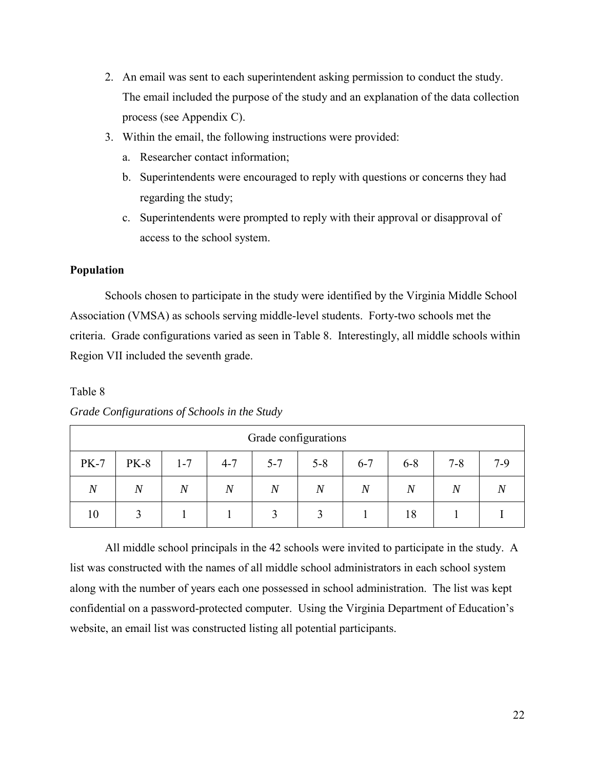- 2. An email was sent to each superintendent asking permission to conduct the study. The email included the purpose of the study and an explanation of the data collection process (see Appendix C).
- 3. Within the email, the following instructions were provided:
	- a. Researcher contact information;
	- b. Superintendents were encouraged to reply with questions or concerns they had regarding the study;
	- c. Superintendents were prompted to reply with their approval or disapproval of access to the school system.

### **Population**

Schools chosen to participate in the study were identified by the Virginia Middle School Association (VMSA) as schools serving middle-level students. Forty-two schools met the criteria. Grade configurations varied as seen in Table 8. Interestingly, all middle schools within Region VII included the seventh grade.

### Table 8

| Grade configurations |                |                  |                |                  |                |                |                |                |                |
|----------------------|----------------|------------------|----------------|------------------|----------------|----------------|----------------|----------------|----------------|
| <b>PK-7</b>          | <b>PK-8</b>    | $1 - 7$          | $4 - 7$        | $5 - 7$          | $5 - 8$        | $6 - 7$        | $6 - 8$        | $7 - 8$        | $7-9$          |
| $\boldsymbol{N}$     | $\overline{N}$ | $\boldsymbol{N}$ | $\overline{N}$ | $\boldsymbol{N}$ | $\overline{N}$ | $\overline{N}$ | $\overline{N}$ | $\overline{N}$ | $\overline{N}$ |
| 10                   |                |                  |                |                  |                |                | 18             |                |                |

*Grade Configurations of Schools in the Study* 

All middle school principals in the 42 schools were invited to participate in the study. A list was constructed with the names of all middle school administrators in each school system along with the number of years each one possessed in school administration. The list was kept confidential on a password-protected computer. Using the Virginia Department of Education's website, an email list was constructed listing all potential participants.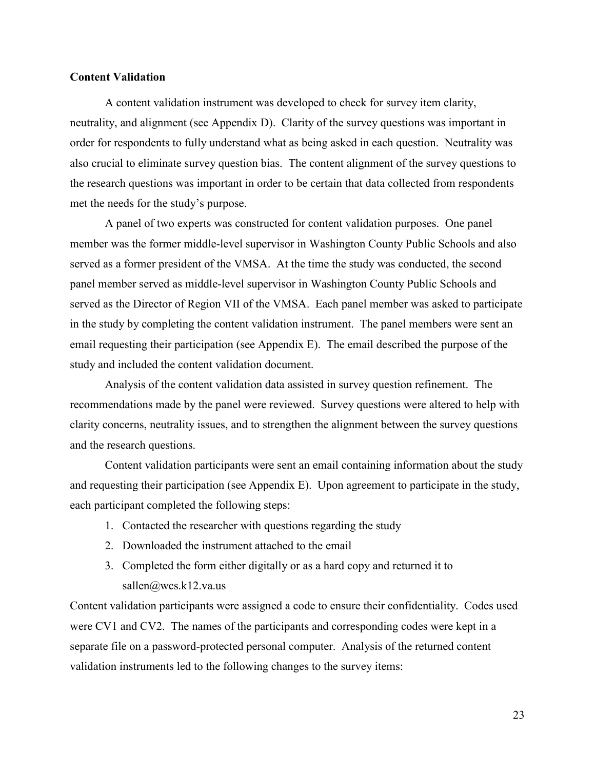### **Content Validation**

A content validation instrument was developed to check for survey item clarity, neutrality, and alignment (see Appendix D). Clarity of the survey questions was important in order for respondents to fully understand what as being asked in each question. Neutrality was also crucial to eliminate survey question bias. The content alignment of the survey questions to the research questions was important in order to be certain that data collected from respondents met the needs for the study's purpose.

A panel of two experts was constructed for content validation purposes. One panel member was the former middle-level supervisor in Washington County Public Schools and also served as a former president of the VMSA. At the time the study was conducted, the second panel member served as middle-level supervisor in Washington County Public Schools and served as the Director of Region VII of the VMSA. Each panel member was asked to participate in the study by completing the content validation instrument. The panel members were sent an email requesting their participation (see Appendix E). The email described the purpose of the study and included the content validation document.

Analysis of the content validation data assisted in survey question refinement. The recommendations made by the panel were reviewed. Survey questions were altered to help with clarity concerns, neutrality issues, and to strengthen the alignment between the survey questions and the research questions.

Content validation participants were sent an email containing information about the study and requesting their participation (see Appendix E). Upon agreement to participate in the study, each participant completed the following steps:

- 1. Contacted the researcher with questions regarding the study
- 2. Downloaded the instrument attached to the email
- 3. Completed the form either digitally or as a hard copy and returned it to sallen@wcs.k12.va.us

Content validation participants were assigned a code to ensure their confidentiality. Codes used were CV1 and CV2. The names of the participants and corresponding codes were kept in a separate file on a password-protected personal computer. Analysis of the returned content validation instruments led to the following changes to the survey items: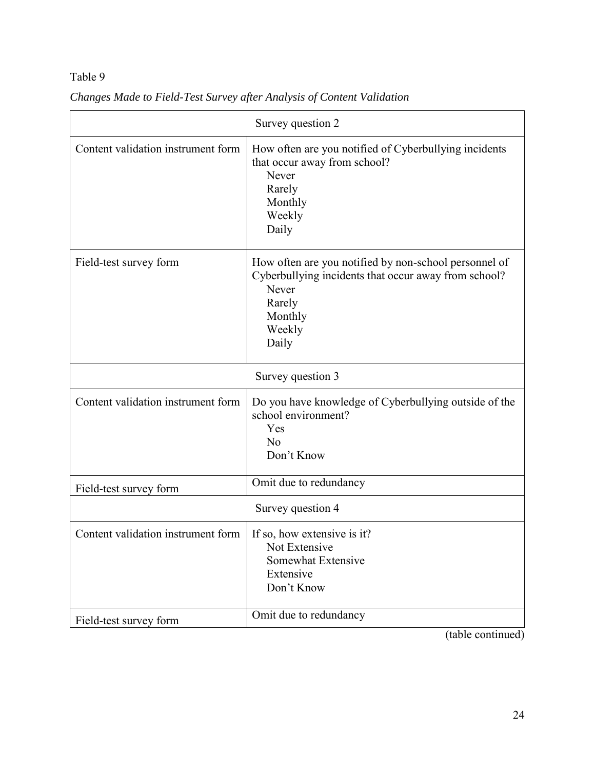## Table 9

| Survey question 2                  |                                                                                                                                                                |  |  |
|------------------------------------|----------------------------------------------------------------------------------------------------------------------------------------------------------------|--|--|
| Content validation instrument form | How often are you notified of Cyberbullying incidents<br>that occur away from school?<br>Never<br>Rarely<br>Monthly<br>Weekly<br>Daily                         |  |  |
| Field-test survey form             | How often are you notified by non-school personnel of<br>Cyberbullying incidents that occur away from school?<br>Never<br>Rarely<br>Monthly<br>Weekly<br>Daily |  |  |
| Survey question 3                  |                                                                                                                                                                |  |  |
| Content validation instrument form | Do you have knowledge of Cyberbullying outside of the<br>school environment?<br>Yes<br>N <sub>o</sub><br>Don't Know                                            |  |  |
| Field-test survey form             | Omit due to redundancy                                                                                                                                         |  |  |
| Survey question 4                  |                                                                                                                                                                |  |  |
| Content validation instrument form | If so, how extensive is it?<br>Not Extensive<br>Somewhat Extensive<br>Extensive<br>Don't Know                                                                  |  |  |
| Field-test survey form             | Omit due to redundancy                                                                                                                                         |  |  |
|                                    | (table continued)                                                                                                                                              |  |  |

*Changes Made to Field-Test Survey after Analysis of Content Validation* 

24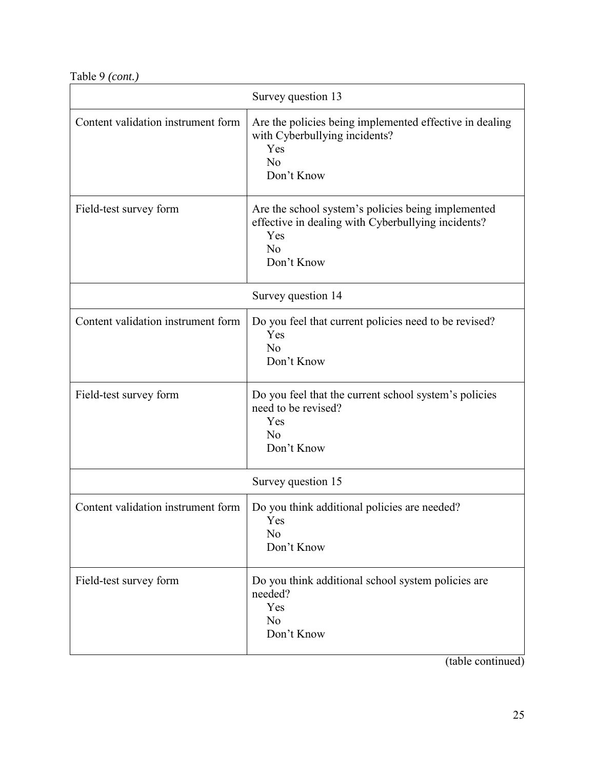Table 9 *(cont.)*

| Survey question 13                 |                                                                                                                                     |  |  |
|------------------------------------|-------------------------------------------------------------------------------------------------------------------------------------|--|--|
| Content validation instrument form | Are the policies being implemented effective in dealing<br>with Cyberbullying incidents?<br>Yes<br>N <sub>o</sub><br>Don't Know     |  |  |
| Field-test survey form             | Are the school system's policies being implemented<br>effective in dealing with Cyberbullying incidents?<br>Yes<br>No<br>Don't Know |  |  |
|                                    | Survey question 14                                                                                                                  |  |  |
| Content validation instrument form | Do you feel that current policies need to be revised?<br>Yes<br>N <sub>o</sub><br>Don't Know                                        |  |  |
| Field-test survey form             | Do you feel that the current school system's policies<br>need to be revised?<br>Yes<br>N <sub>o</sub><br>Don't Know                 |  |  |
|                                    | Survey question 15                                                                                                                  |  |  |
| Content validation instrument form | Do you think additional policies are needed?<br>Yes<br>N <sub>o</sub><br>Don't Know                                                 |  |  |
| Field-test survey form             | Do you think additional school system policies are<br>needed?<br>Yes<br>No<br>Don't Know                                            |  |  |

(table continued)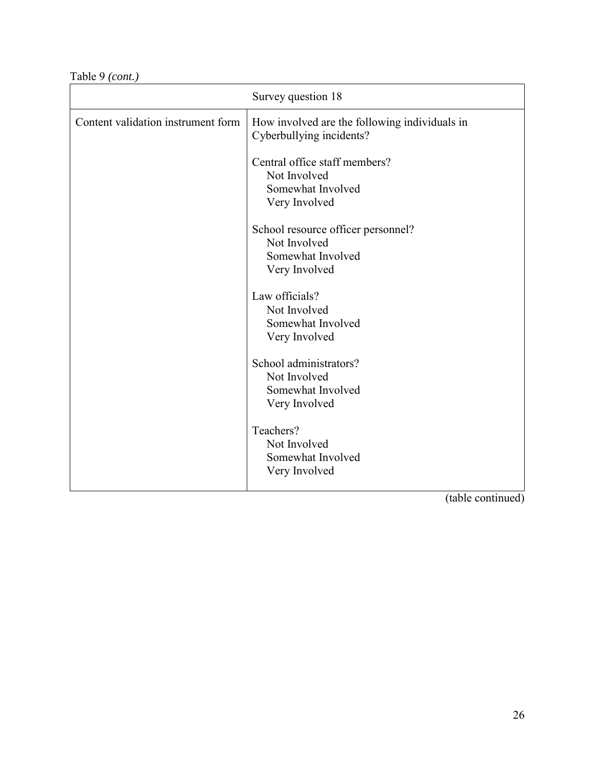Table 9 *(cont.)*

|                                    | Survey question 18                                                                       |
|------------------------------------|------------------------------------------------------------------------------------------|
| Content validation instrument form | How involved are the following individuals in<br>Cyberbullying incidents?                |
|                                    | Central office staff members?<br>Not Involved<br>Somewhat Involved<br>Very Involved      |
|                                    | School resource officer personnel?<br>Not Involved<br>Somewhat Involved<br>Very Involved |
|                                    | Law officials?<br>Not Involved<br>Somewhat Involved<br>Very Involved                     |
|                                    | School administrators?<br>Not Involved<br>Somewhat Involved<br>Very Involved             |
|                                    | Teachers?<br>Not Involved<br>Somewhat Involved<br>Very Involved                          |

(table continued)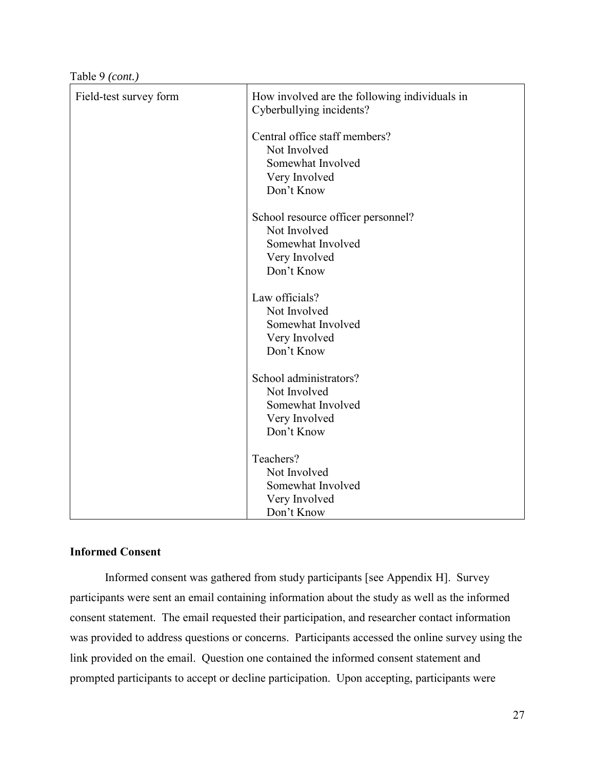Table 9 *(cont.)*

| Field-test survey form | How involved are the following individuals in<br>Cyberbullying incidents?                              |
|------------------------|--------------------------------------------------------------------------------------------------------|
|                        | Central office staff members?<br>Not Involved<br>Somewhat Involved<br>Very Involved<br>Don't Know      |
|                        | School resource officer personnel?<br>Not Involved<br>Somewhat Involved<br>Very Involved<br>Don't Know |
|                        | Law officials?<br>Not Involved<br>Somewhat Involved<br>Very Involved<br>Don't Know                     |
|                        | School administrators?<br>Not Involved<br>Somewhat Involved<br>Very Involved<br>Don't Know             |
|                        | Teachers?<br>Not Involved<br>Somewhat Involved<br>Very Involved<br>Don't Know                          |

#### **Informed Consent**

Informed consent was gathered from study participants [see Appendix H]. Survey participants were sent an email containing information about the study as well as the informed consent statement. The email requested their participation, and researcher contact information was provided to address questions or concerns. Participants accessed the online survey using the link provided on the email. Question one contained the informed consent statement and prompted participants to accept or decline participation. Upon accepting, participants were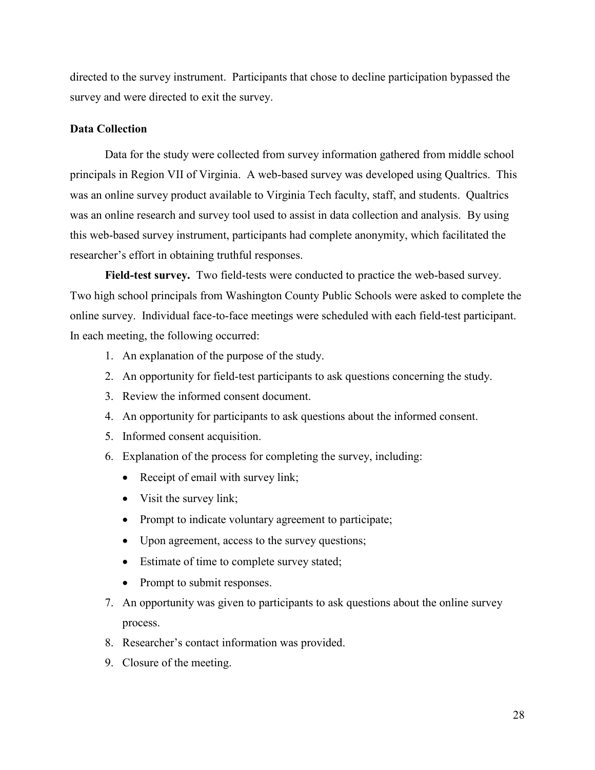directed to the survey instrument. Participants that chose to decline participation bypassed the survey and were directed to exit the survey.

#### **Data Collection**

Data for the study were collected from survey information gathered from middle school principals in Region VII of Virginia. A web-based survey was developed using Qualtrics. This was an online survey product available to Virginia Tech faculty, staff, and students. Qualtrics was an online research and survey tool used to assist in data collection and analysis. By using this web-based survey instrument, participants had complete anonymity, which facilitated the researcher's effort in obtaining truthful responses.

**Field-test survey.** Two field-tests were conducted to practice the web-based survey. Two high school principals from Washington County Public Schools were asked to complete the online survey. Individual face-to-face meetings were scheduled with each field-test participant. In each meeting, the following occurred:

- 1. An explanation of the purpose of the study.
- 2. An opportunity for field-test participants to ask questions concerning the study.
- 3. Review the informed consent document.
- 4. An opportunity for participants to ask questions about the informed consent.
- 5. Informed consent acquisition.
- 6. Explanation of the process for completing the survey, including:
	- Receipt of email with survey link;
	- Visit the survey link;
	- Prompt to indicate voluntary agreement to participate;
	- Upon agreement, access to the survey questions;
	- Estimate of time to complete survey stated;
	- Prompt to submit responses.
- 7. An opportunity was given to participants to ask questions about the online survey process.
- 8. Researcher's contact information was provided.
- 9. Closure of the meeting.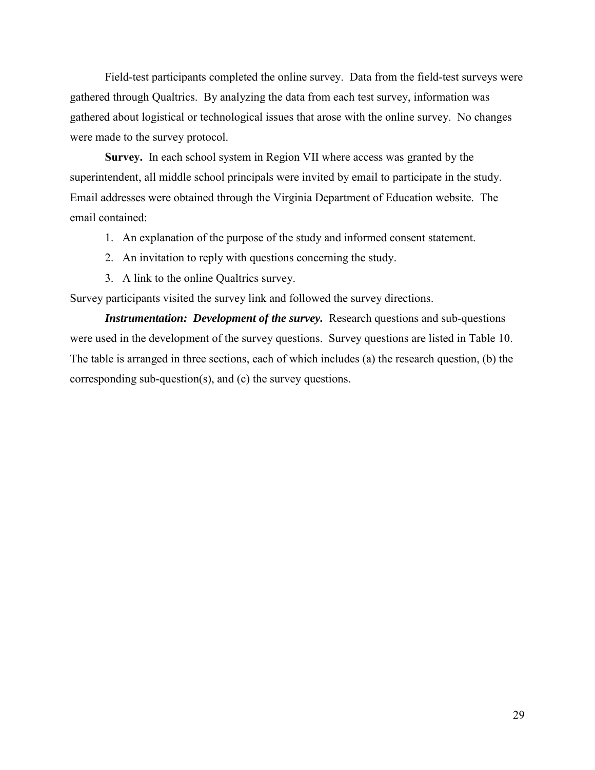Field-test participants completed the online survey. Data from the field-test surveys were gathered through Qualtrics. By analyzing the data from each test survey, information was gathered about logistical or technological issues that arose with the online survey. No changes were made to the survey protocol.

**Survey.** In each school system in Region VII where access was granted by the superintendent, all middle school principals were invited by email to participate in the study. Email addresses were obtained through the Virginia Department of Education website. The email contained:

- 1. An explanation of the purpose of the study and informed consent statement.
- 2. An invitation to reply with questions concerning the study.
- 3. A link to the online Qualtrics survey.

Survey participants visited the survey link and followed the survey directions.

**Instrumentation: Development of the survey.** Research questions and sub-questions were used in the development of the survey questions. Survey questions are listed in Table 10. The table is arranged in three sections, each of which includes (a) the research question, (b) the corresponding sub-question(s), and (c) the survey questions.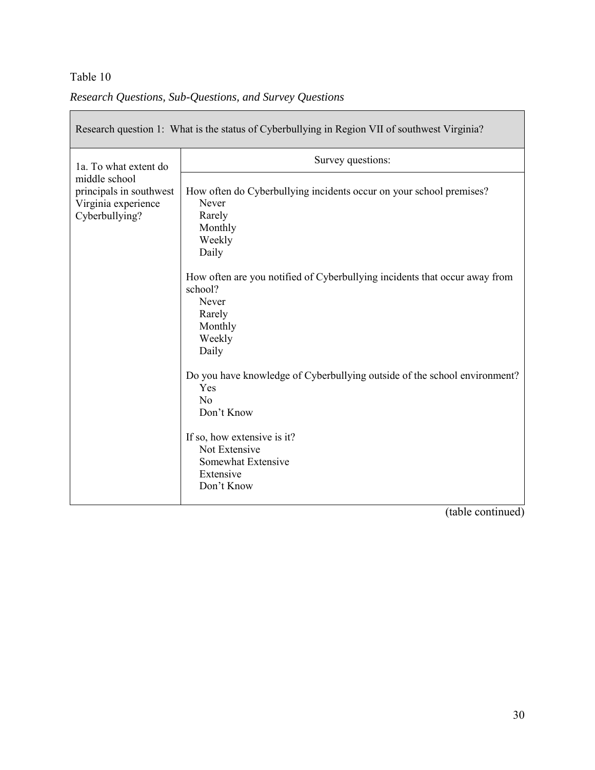|  |  | Research Questions, Sub-Questions, and Survey Questions |  |  |
|--|--|---------------------------------------------------------|--|--|
|--|--|---------------------------------------------------------|--|--|

|                                                | Research question 1: What is the status of Cyberbullying in Region VII of southwest Virginia? |
|------------------------------------------------|-----------------------------------------------------------------------------------------------|
| 1a. To what extent do                          | Survey questions:                                                                             |
| middle school                                  |                                                                                               |
| principals in southwest<br>Virginia experience | How often do Cyberbullying incidents occur on your school premises?<br>Never                  |
| Cyberbullying?                                 | Rarely                                                                                        |
|                                                | Monthly                                                                                       |
|                                                | Weekly                                                                                        |
|                                                | Daily                                                                                         |
|                                                | How often are you notified of Cyberbullying incidents that occur away from<br>school?         |
|                                                | Never                                                                                         |
|                                                | Rarely                                                                                        |
|                                                | Monthly                                                                                       |
|                                                | Weekly                                                                                        |
|                                                | Daily                                                                                         |
|                                                | Do you have knowledge of Cyberbullying outside of the school environment?<br>Yes              |
|                                                | N <sub>o</sub>                                                                                |
|                                                | Don't Know                                                                                    |
|                                                | If so, how extensive is it?<br>Not Extensive<br>Somewhat Extensive<br>Extensive<br>Don't Know |

(table continued)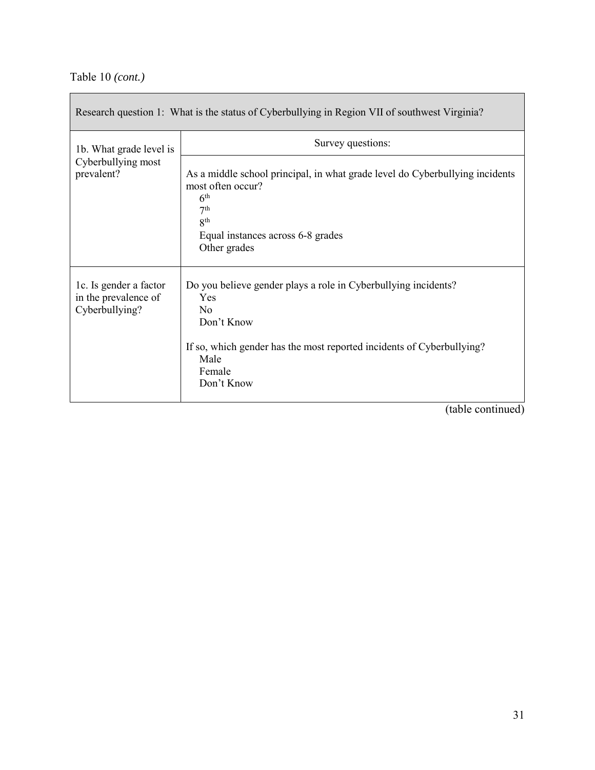|                                                                  | Research question 1: What is the status of Cyberbullying in Region VII of southwest Virginia?                                                                                                                   |
|------------------------------------------------------------------|-----------------------------------------------------------------------------------------------------------------------------------------------------------------------------------------------------------------|
| 1b. What grade level is<br>Cyberbullying most<br>prevalent?      | Survey questions:                                                                                                                                                                                               |
|                                                                  | As a middle school principal, in what grade level do Cyberbullying incidents<br>most often occur?<br>6 <sup>th</sup><br>7 <sup>th</sup><br>8 <sup>th</sup><br>Equal instances across 6-8 grades<br>Other grades |
| 1c. Is gender a factor<br>in the prevalence of<br>Cyberbullying? | Do you believe gender plays a role in Cyberbullying incidents?<br>Yes<br>$\rm N_{0}$<br>Don't Know<br>If so, which gender has the most reported incidents of Cyberbullying?<br>Male<br>Female<br>Don't Know     |

(table continued)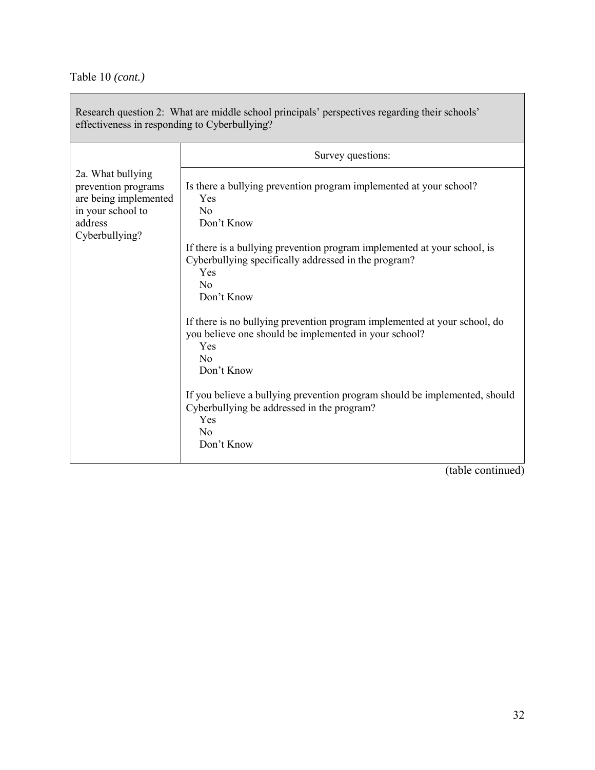| effectiveness in responding to Cyberbullying?                                                     | Research question 2: What are middle school principals' perspectives regarding their schools'                                                                       |
|---------------------------------------------------------------------------------------------------|---------------------------------------------------------------------------------------------------------------------------------------------------------------------|
|                                                                                                   | Survey questions:                                                                                                                                                   |
| 2a. What bullying<br>prevention programs<br>are being implemented<br>in your school to<br>address | Is there a bullying prevention program implemented at your school?<br>Yes<br>N <sub>o</sub><br>Don't Know                                                           |
| Cyberbullying?                                                                                    | If there is a bullying prevention program implemented at your school, is<br>Cyberbullying specifically addressed in the program?<br>Yes<br>No<br>Don't Know         |
|                                                                                                   | If there is no bullying prevention program implemented at your school, do<br>you believe one should be implemented in your school?<br>Yes<br>$\rm No$<br>Don't Know |
|                                                                                                   | If you believe a bullying prevention program should be implemented, should<br>Cyberbullying be addressed in the program?<br>Yes<br>$\rm No$<br>Don't Know           |

(table continued)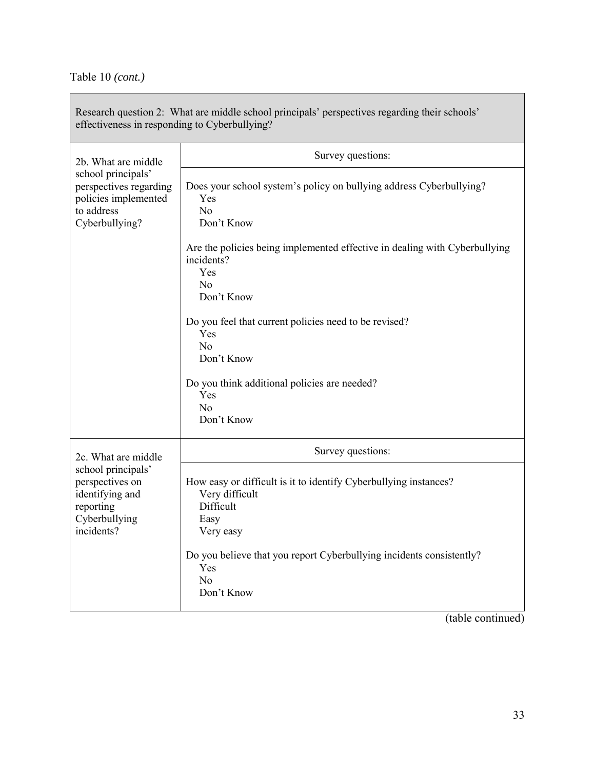$\overline{\phantom{a}}$ 

| Research question 2: What are middle school principals' perspectives regarding their schools'<br>effectiveness in responding to Cyberbullying?                                                                                                                                         |
|----------------------------------------------------------------------------------------------------------------------------------------------------------------------------------------------------------------------------------------------------------------------------------------|
| Survey questions:                                                                                                                                                                                                                                                                      |
| Does your school system's policy on bullying address Cyberbullying?<br>Yes<br>N <sub>o</sub><br>Don't Know                                                                                                                                                                             |
| Are the policies being implemented effective in dealing with Cyberbullying<br>incidents?<br>Yes<br>N <sub>o</sub><br>Don't Know<br>Do you feel that current policies need to be revised?<br>Yes<br>N <sub>o</sub><br>Don't Know<br>Do you think additional policies are needed?<br>Yes |
| N <sub>o</sub><br>Don't Know                                                                                                                                                                                                                                                           |
| Survey questions:                                                                                                                                                                                                                                                                      |
| How easy or difficult is it to identify Cyberbullying instances?<br>Very difficult<br>Difficult<br>Easy<br>Very easy<br>Do you believe that you report Cyberbullying incidents consistently?<br>Yes<br>N <sub>o</sub><br>Don't Know                                                    |
|                                                                                                                                                                                                                                                                                        |

(table continued)

 $\mathbb{R}^n$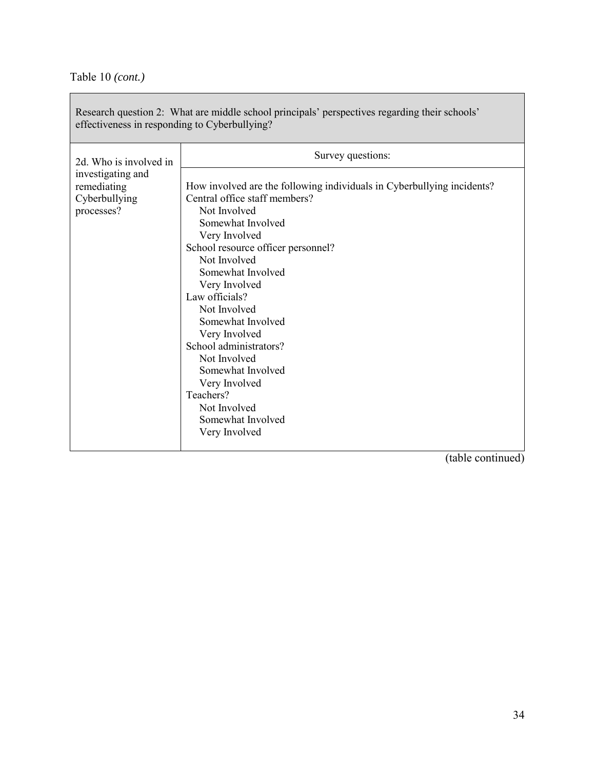| Research question 2: What are middle school principals' perspectives regarding their schools'<br>effectiveness in responding to Cyberbullying? |                                                                                                                                                                                                                                                                                                                                                                                                                                                                                                           |  |  |  |  |  |  |
|------------------------------------------------------------------------------------------------------------------------------------------------|-----------------------------------------------------------------------------------------------------------------------------------------------------------------------------------------------------------------------------------------------------------------------------------------------------------------------------------------------------------------------------------------------------------------------------------------------------------------------------------------------------------|--|--|--|--|--|--|
| 2d. Who is involved in<br>investigating and<br>remediating<br>Cyberbullying<br>processes?                                                      | Survey questions:<br>How involved are the following individuals in Cyberbullying incidents?<br>Central office staff members?<br>Not Involved<br>Somewhat Involved<br>Very Involved<br>School resource officer personnel?<br>Not Involved<br>Somewhat Involved<br>Very Involved<br>Law officials?<br>Not Involved<br>Somewhat Involved<br>Very Involved<br>School administrators?<br>Not Involved<br>Somewhat Involved<br>Very Involved<br>Teachers?<br>Not Involved<br>Somewhat Involved<br>Very Involved |  |  |  |  |  |  |

(table continued)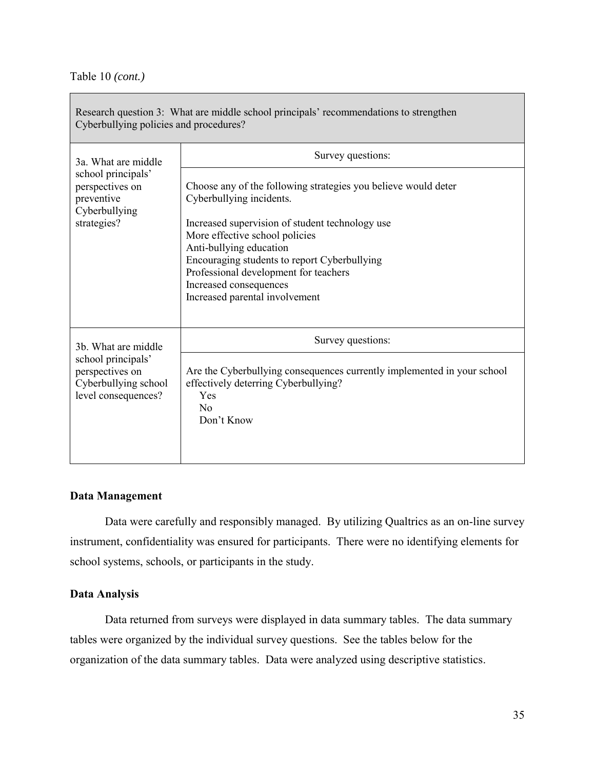| Cyberbullying policies and procedures?                                               | Research question 3: What are middle school principals' recommendations to strengthen                                                                                                                                                                                                                                                                           |
|--------------------------------------------------------------------------------------|-----------------------------------------------------------------------------------------------------------------------------------------------------------------------------------------------------------------------------------------------------------------------------------------------------------------------------------------------------------------|
| 3a. What are middle                                                                  | Survey questions:                                                                                                                                                                                                                                                                                                                                               |
| school principals'<br>perspectives on<br>preventive<br>Cyberbullying<br>strategies?  | Choose any of the following strategies you believe would deter<br>Cyberbullying incidents.<br>Increased supervision of student technology use<br>More effective school policies<br>Anti-bullying education<br>Encouraging students to report Cyberbullying<br>Professional development for teachers<br>Increased consequences<br>Increased parental involvement |
| 3b. What are middle                                                                  | Survey questions:                                                                                                                                                                                                                                                                                                                                               |
| school principals'<br>perspectives on<br>Cyberbullying school<br>level consequences? | Are the Cyberbullying consequences currently implemented in your school<br>effectively deterring Cyberbullying?<br>Yes<br>N <sub>0</sub><br>Don't Know                                                                                                                                                                                                          |

### **Data Management**

Data were carefully and responsibly managed. By utilizing Qualtrics as an on-line survey instrument, confidentiality was ensured for participants. There were no identifying elements for school systems, schools, or participants in the study.

#### **Data Analysis**

Data returned from surveys were displayed in data summary tables. The data summary tables were organized by the individual survey questions. See the tables below for the organization of the data summary tables. Data were analyzed using descriptive statistics.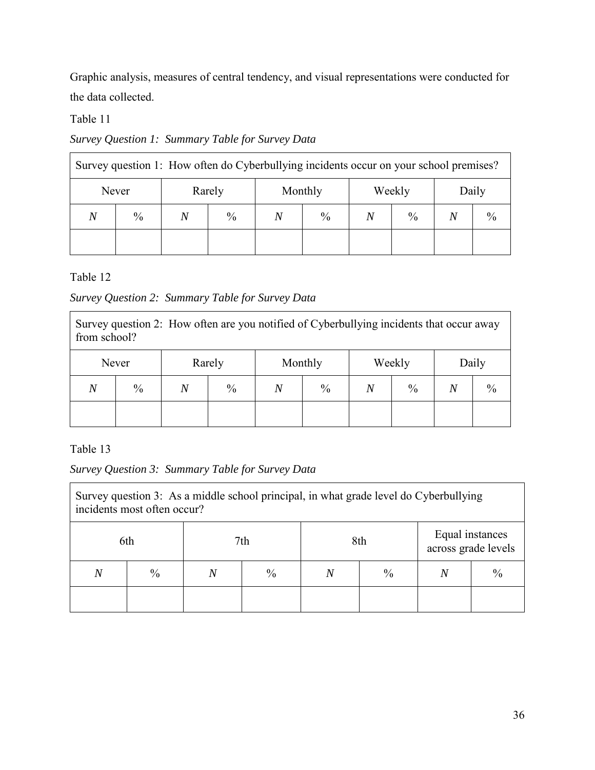Graphic analysis, measures of central tendency, and visual representations were conducted for the data collected.

### Table 11

## *Survey Question 1: Summary Table for Survey Data*

| Survey question 1: How often do Cyberbullying incidents occur on your school premises? |      |  |               |  |               |  |               |  |               |
|----------------------------------------------------------------------------------------|------|--|---------------|--|---------------|--|---------------|--|---------------|
| Rarely<br>Never                                                                        |      |  | Monthly       |  | Weekly        |  | Daily         |  |               |
| N                                                                                      | $\%$ |  | $\frac{0}{0}$ |  | $\frac{0}{0}$ |  | $\frac{0}{0}$ |  | $\frac{0}{0}$ |
|                                                                                        |      |  |               |  |               |  |               |  |               |

Table 12

## *Survey Question 2: Summary Table for Survey Data*

Survey question 2: How often are you notified of Cyberbullying incidents that occur away from school?

|                | Never<br>Rarely |                | Monthly       |                | Weekly |                | Daily         |                |      |
|----------------|-----------------|----------------|---------------|----------------|--------|----------------|---------------|----------------|------|
| $\overline{N}$ | $\frac{0}{0}$   | $\overline{N}$ | $\frac{0}{0}$ | $\overline{N}$ | $\%$   | $\overline{N}$ | $\frac{0}{0}$ | $\overline{N}$ | $\%$ |
|                |                 |                |               |                |        |                |               |                |      |

Table 13

*Survey Question 3: Summary Table for Survey Data*

| Survey question 3: As a middle school principal, in what grade level do Cyberbullying<br>incidents most often occur? |      |  |               |                    |  |  |               |  |
|----------------------------------------------------------------------------------------------------------------------|------|--|---------------|--------------------|--|--|---------------|--|
| Equal instances<br>7th<br>8th<br>6th<br>across grade levels                                                          |      |  |               |                    |  |  |               |  |
| $\,N$                                                                                                                | $\%$ |  | $\frac{0}{0}$ | $\frac{0}{0}$<br>Ν |  |  | $\frac{0}{0}$ |  |
|                                                                                                                      |      |  |               |                    |  |  |               |  |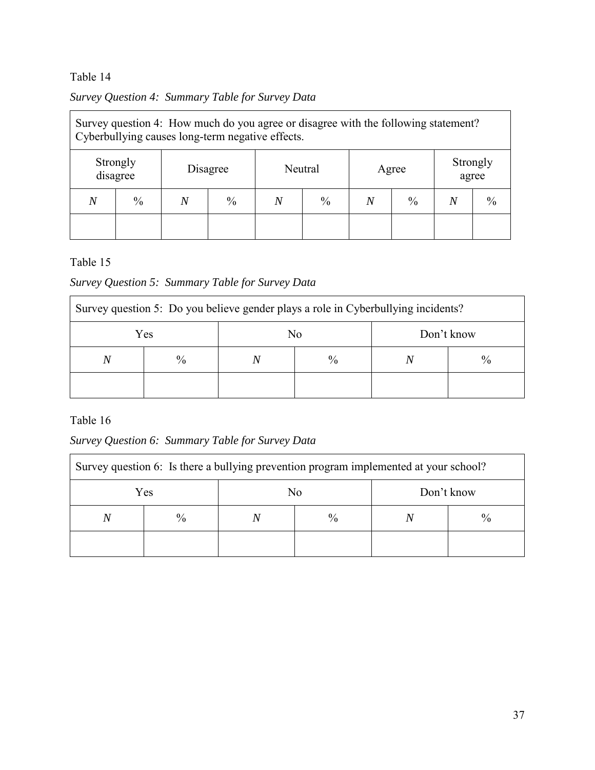| Survey Question 4: Summary Table for Survey Data |  |
|--------------------------------------------------|--|
|                                                  |  |

| Survey question 4: How much do you agree or disagree with the following statement?<br>Cyberbullying causes long-term negative effects. |  |  |  |  |  |  |  |  |  |
|----------------------------------------------------------------------------------------------------------------------------------------|--|--|--|--|--|--|--|--|--|
| Strongly<br>Strongly<br>Neutral<br>Disagree<br>Agree<br>disagree<br>agree                                                              |  |  |  |  |  |  |  |  |  |
| $\frac{0}{0}$<br>$\frac{0}{0}$<br>$\frac{0}{0}$<br>$\frac{0}{0}$<br>$\frac{0}{0}$<br>Ν<br>N<br>N<br>N                                  |  |  |  |  |  |  |  |  |  |
|                                                                                                                                        |  |  |  |  |  |  |  |  |  |

### Table 15

# *Survey Question 5: Summary Table for Survey Data*

| Survey question 5: Do you believe gender plays a role in Cyberbullying incidents? |      |  |               |  |  |  |  |  |  |
|-----------------------------------------------------------------------------------|------|--|---------------|--|--|--|--|--|--|
| No<br>Yes<br>Don't know                                                           |      |  |               |  |  |  |  |  |  |
| N                                                                                 | $\%$ |  | $\frac{0}{0}$ |  |  |  |  |  |  |
|                                                                                   |      |  |               |  |  |  |  |  |  |

### Table 16

## *Survey Question 6: Summary Table for Survey Data*

| Survey question 6: Is there a bullying prevention program implemented at your school? |               |  |               |  |  |  |  |  |  |
|---------------------------------------------------------------------------------------|---------------|--|---------------|--|--|--|--|--|--|
| Yes<br>Don't know<br>No                                                               |               |  |               |  |  |  |  |  |  |
|                                                                                       | $\frac{0}{0}$ |  | $\frac{0}{0}$ |  |  |  |  |  |  |
|                                                                                       |               |  |               |  |  |  |  |  |  |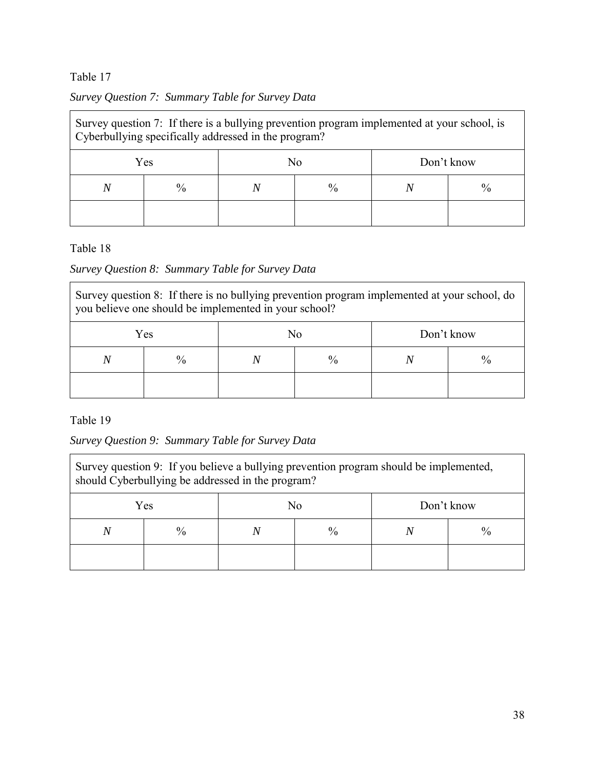|  | Survey Question 7: Summary Table for Survey Data |  |  |
|--|--------------------------------------------------|--|--|
|  |                                                  |  |  |

| Survey question 7: If there is a bullying prevention program implemented at your school, is<br>Cyberbullying specifically addressed in the program? |               |  |                                |  |  |  |  |  |
|-----------------------------------------------------------------------------------------------------------------------------------------------------|---------------|--|--------------------------------|--|--|--|--|--|
| Yes<br>No<br>Don't know                                                                                                                             |               |  |                                |  |  |  |  |  |
| Ν                                                                                                                                                   | $\frac{0}{0}$ |  | $\frac{0}{0}$<br>$\frac{0}{0}$ |  |  |  |  |  |
|                                                                                                                                                     |               |  |                                |  |  |  |  |  |

Table 18

### *Survey Question 8: Summary Table for Survey Data*

Survey question 8: If there is no bullying prevention program implemented at your school, do you believe one should be implemented in your school?

| Yes            |      | No   |      | Don't know |  |
|----------------|------|------|------|------------|--|
| $\overline{N}$ | $\%$ | $\%$ | $\%$ |            |  |
|                |      |      |      |            |  |

Table 19

*Survey Question 9: Summary Table for Survey Data* 

| Survey question 9: If you believe a bullying prevention program should be implemented,<br>should Cyberbullying be addressed in the program? |               |  |                                |  |  |  |  |
|---------------------------------------------------------------------------------------------------------------------------------------------|---------------|--|--------------------------------|--|--|--|--|
| Don't know<br>No<br>Yes                                                                                                                     |               |  |                                |  |  |  |  |
|                                                                                                                                             | $\frac{0}{0}$ |  | $\frac{0}{0}$<br>$\frac{0}{0}$ |  |  |  |  |
|                                                                                                                                             |               |  |                                |  |  |  |  |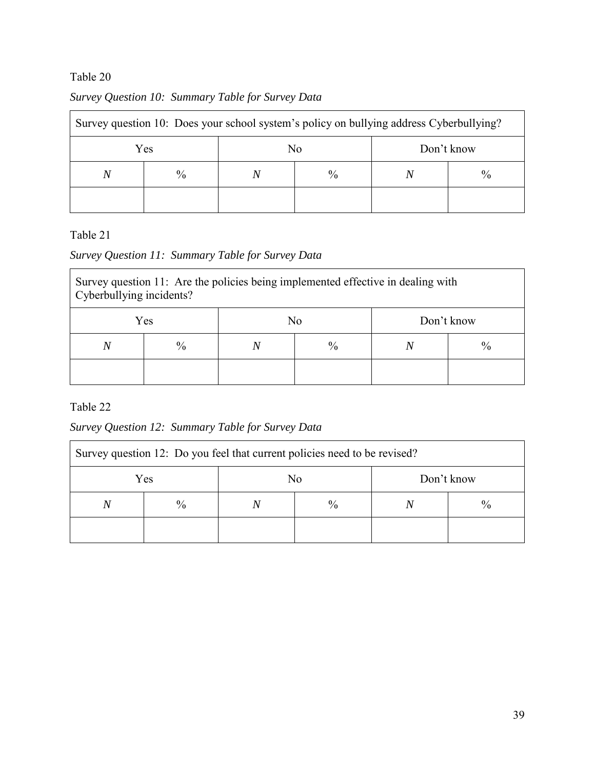| Survey question 10: Does your school system's policy on bullying address Cyberbullying? |               |  |               |            |  |  |  |  |  |
|-----------------------------------------------------------------------------------------|---------------|--|---------------|------------|--|--|--|--|--|
|                                                                                         | Yes           |  | No            | Don't know |  |  |  |  |  |
| N                                                                                       | $\frac{0}{0}$ |  | $\frac{0}{0}$ |            |  |  |  |  |  |
|                                                                                         |               |  |               |            |  |  |  |  |  |

## *Survey Question 10: Summary Table for Survey Data*

### Table 21

## *Survey Question 11: Summary Table for Survey Data*

| Survey question 11: Are the policies being implemented effective in dealing with<br>Cyberbullying incidents? |               |  |                                |  |  |  |  |  |  |
|--------------------------------------------------------------------------------------------------------------|---------------|--|--------------------------------|--|--|--|--|--|--|
| Yes<br>No<br>Don't know                                                                                      |               |  |                                |  |  |  |  |  |  |
| N                                                                                                            | $\frac{0}{0}$ |  | $\frac{0}{0}$<br>$\frac{0}{0}$ |  |  |  |  |  |  |
|                                                                                                              |               |  |                                |  |  |  |  |  |  |

Table 22

## *Survey Question 12: Summary Table for Survey Data*

| Survey question 12: Do you feel that current policies need to be revised? |               |  |               |  |  |  |  |  |  |
|---------------------------------------------------------------------------|---------------|--|---------------|--|--|--|--|--|--|
| Don't know<br>Yes<br>No                                                   |               |  |               |  |  |  |  |  |  |
| N                                                                         | $\frac{0}{0}$ |  | $\frac{0}{0}$ |  |  |  |  |  |  |
|                                                                           |               |  |               |  |  |  |  |  |  |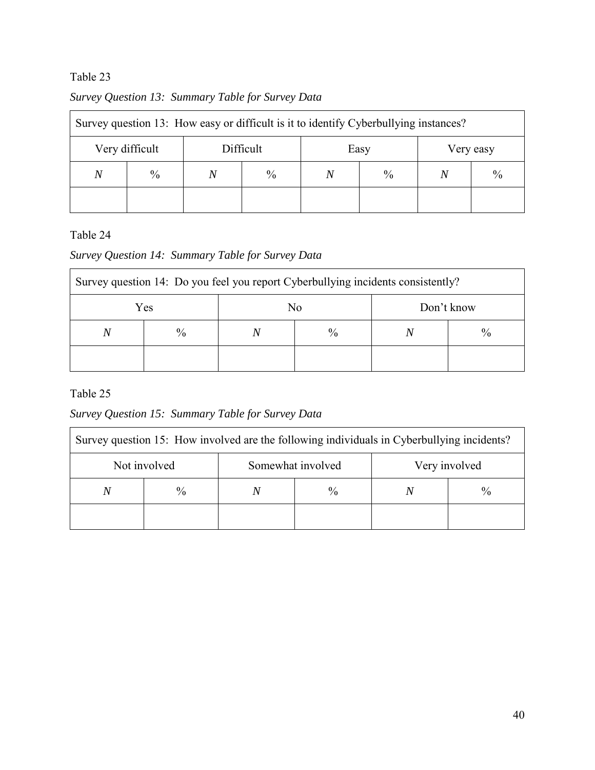|   | Survey question 13: How easy or difficult is it to identify Cyberbullying instances? |                                |               |                                |  |  |  |  |  |
|---|--------------------------------------------------------------------------------------|--------------------------------|---------------|--------------------------------|--|--|--|--|--|
|   | Very difficult                                                                       | Difficult<br>Easy<br>Very easy |               |                                |  |  |  |  |  |
| N | $\frac{0}{0}$                                                                        |                                | $\frac{0}{0}$ | $\frac{0}{0}$<br>$\frac{0}{0}$ |  |  |  |  |  |
|   |                                                                                      |                                |               |                                |  |  |  |  |  |

### *Survey Question 13: Summary Table for Survey Data*

## Table 24

### *Survey Question 14: Summary Table for Survey Data*

| Survey question 14: Do you feel you report Cyberbullying incidents consistently? |               |    |      |            |               |  |
|----------------------------------------------------------------------------------|---------------|----|------|------------|---------------|--|
| Yes                                                                              |               | No |      | Don't know |               |  |
| N                                                                                | $\frac{0}{0}$ |    | $\%$ |            | $\frac{0}{0}$ |  |
|                                                                                  |               |    |      |            |               |  |

### Table 25

# *Survey Question 15: Summary Table for Survey Data*

| Survey question 15: How involved are the following individuals in Cyberbullying incidents? |      |                   |               |               |               |  |
|--------------------------------------------------------------------------------------------|------|-------------------|---------------|---------------|---------------|--|
| Not involved                                                                               |      | Somewhat involved |               | Very involved |               |  |
| N                                                                                          | $\%$ |                   | $\frac{0}{0}$ |               | $\frac{0}{0}$ |  |
|                                                                                            |      |                   |               |               |               |  |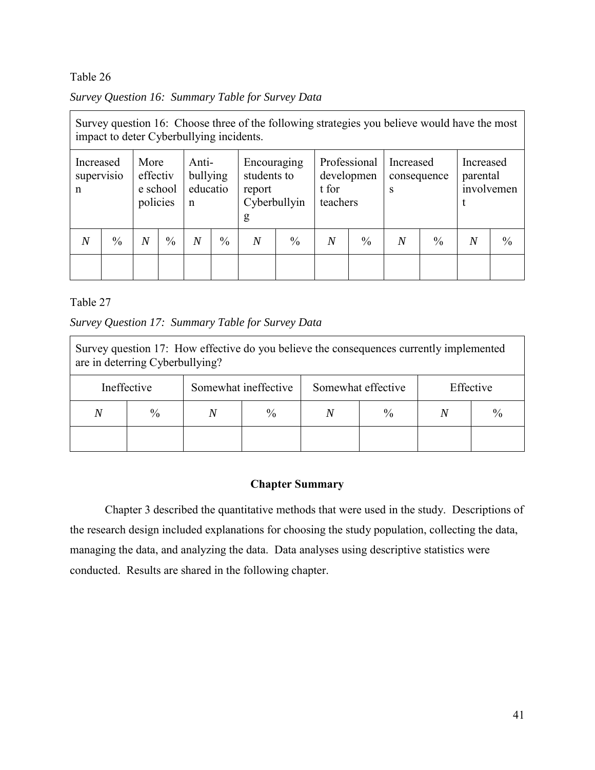|  |  |  | Survey Question 16: Summary Table for Survey Data |  |  |  |  |
|--|--|--|---------------------------------------------------|--|--|--|--|
|--|--|--|---------------------------------------------------|--|--|--|--|

|                                         | Survey question 16: Choose three of the following strategies you believe would have the most<br>impact to deter Cyberbullying incidents. |                              |               |                                              |               |                                                           |               |                   |                            |                               |               |                       |               |
|-----------------------------------------|------------------------------------------------------------------------------------------------------------------------------------------|------------------------------|---------------|----------------------------------------------|---------------|-----------------------------------------------------------|---------------|-------------------|----------------------------|-------------------------------|---------------|-----------------------|---------------|
| Increased<br>supervisio<br>$\mathsf{n}$ |                                                                                                                                          | More<br>effectiv<br>policies | e school      | Anti-<br>bullying<br>educatio<br>$\mathbf n$ |               | Encouraging<br>students to<br>report<br>Cyberbullyin<br>g |               | t for<br>teachers | Professional<br>developmen | Increased<br>consequence<br>S |               | Increased<br>parental | involvemen    |
| $\overline{N}$                          | $\frac{0}{0}$                                                                                                                            | N                            | $\frac{0}{0}$ | $\overline{N}$                               | $\frac{0}{0}$ | $\overline{N}$                                            | $\frac{0}{0}$ | $\overline{N}$    | $\frac{0}{0}$              | N                             | $\frac{0}{0}$ | N                     | $\frac{0}{0}$ |
|                                         |                                                                                                                                          |                              |               |                                              |               |                                                           |               |                   |                            |                               |               |                       |               |

Table 27

*Survey Question 17: Summary Table for Survey Data* 

| Survey question 17: How effective do you believe the consequences currently implemented<br>are in deterring Cyberbullying? |                                                           |  |               |   |               |           |               |
|----------------------------------------------------------------------------------------------------------------------------|-----------------------------------------------------------|--|---------------|---|---------------|-----------|---------------|
|                                                                                                                            | Somewhat ineffective<br>Ineffective<br>Somewhat effective |  |               |   |               | Effective |               |
| N                                                                                                                          | $\frac{0}{0}$                                             |  | $\frac{0}{0}$ | N | $\frac{0}{0}$ |           | $\frac{0}{0}$ |
|                                                                                                                            |                                                           |  |               |   |               |           |               |

### **Chapter Summary**

Chapter 3 described the quantitative methods that were used in the study. Descriptions of the research design included explanations for choosing the study population, collecting the data, managing the data, and analyzing the data. Data analyses using descriptive statistics were conducted. Results are shared in the following chapter.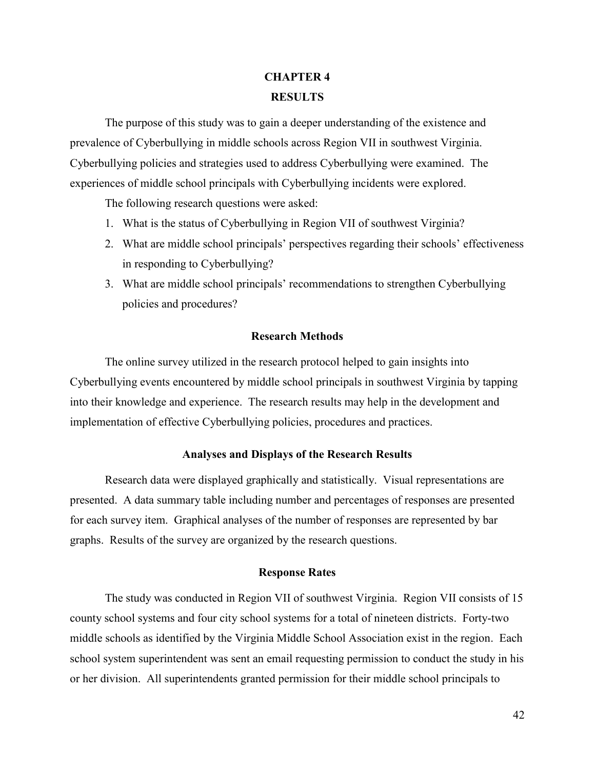# **CHAPTER 4 RESULTS**

The purpose of this study was to gain a deeper understanding of the existence and prevalence of Cyberbullying in middle schools across Region VII in southwest Virginia. Cyberbullying policies and strategies used to address Cyberbullying were examined. The experiences of middle school principals with Cyberbullying incidents were explored.

The following research questions were asked:

- 1. What is the status of Cyberbullying in Region VII of southwest Virginia?
- 2. What are middle school principals' perspectives regarding their schools' effectiveness in responding to Cyberbullying?
- 3. What are middle school principals' recommendations to strengthen Cyberbullying policies and procedures?

#### **Research Methods**

The online survey utilized in the research protocol helped to gain insights into Cyberbullying events encountered by middle school principals in southwest Virginia by tapping into their knowledge and experience. The research results may help in the development and implementation of effective Cyberbullying policies, procedures and practices.

#### **Analyses and Displays of the Research Results**

Research data were displayed graphically and statistically. Visual representations are presented. A data summary table including number and percentages of responses are presented for each survey item. Graphical analyses of the number of responses are represented by bar graphs. Results of the survey are organized by the research questions.

#### **Response Rates**

The study was conducted in Region VII of southwest Virginia. Region VII consists of 15 county school systems and four city school systems for a total of nineteen districts. Forty-two middle schools as identified by the Virginia Middle School Association exist in the region. Each school system superintendent was sent an email requesting permission to conduct the study in his or her division. All superintendents granted permission for their middle school principals to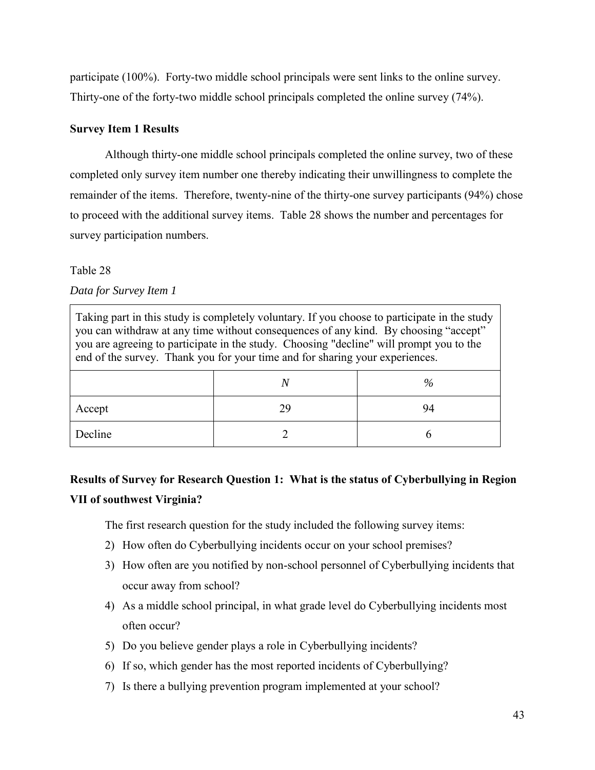participate (100%). Forty-two middle school principals were sent links to the online survey. Thirty-one of the forty-two middle school principals completed the online survey (74%).

#### **Survey Item 1 Results**

Although thirty-one middle school principals completed the online survey, two of these completed only survey item number one thereby indicating their unwillingness to complete the remainder of the items. Therefore, twenty-nine of the thirty-one survey participants (94%) chose to proceed with the additional survey items. Table 28 shows the number and percentages for survey participation numbers.

#### Table 28

*Data for Survey Item 1* 

| Taking part in this study is completely voluntary. If you choose to participate in the study<br>you can withdraw at any time without consequences of any kind. By choosing "accept"<br>you are agreeing to participate in the study. Choosing "decline" will prompt you to the<br>end of the survey. Thank you for your time and for sharing your experiences. |  |    |  |  |  |
|----------------------------------------------------------------------------------------------------------------------------------------------------------------------------------------------------------------------------------------------------------------------------------------------------------------------------------------------------------------|--|----|--|--|--|
|                                                                                                                                                                                                                                                                                                                                                                |  | %  |  |  |  |
| Accept                                                                                                                                                                                                                                                                                                                                                         |  | 94 |  |  |  |
| Decline                                                                                                                                                                                                                                                                                                                                                        |  |    |  |  |  |

# **Results of Survey for Research Question 1: What is the status of Cyberbullying in Region VII of southwest Virginia?**

The first research question for the study included the following survey items:

- 2) How often do Cyberbullying incidents occur on your school premises?
- 3) How often are you notified by non-school personnel of Cyberbullying incidents that occur away from school?
- 4) As a middle school principal, in what grade level do Cyberbullying incidents most often occur?
- 5) Do you believe gender plays a role in Cyberbullying incidents?
- 6) If so, which gender has the most reported incidents of Cyberbullying?
- 7) Is there a bullying prevention program implemented at your school?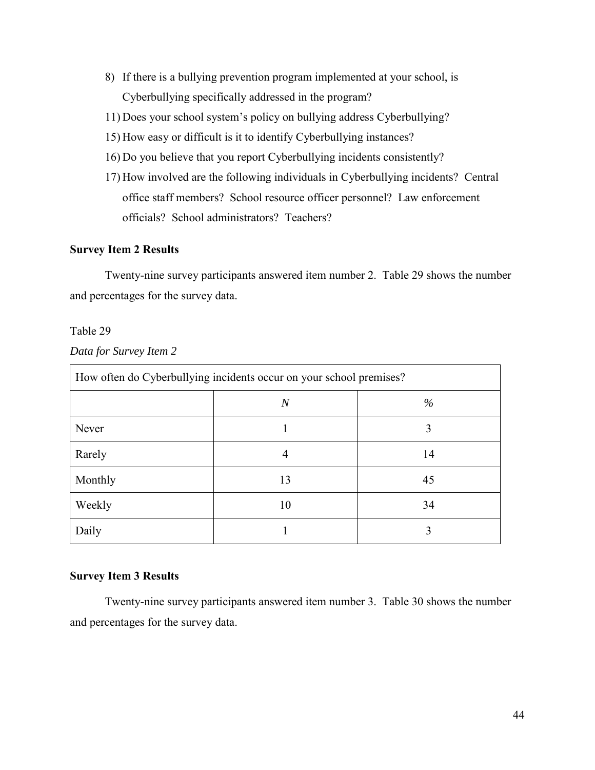- 8) If there is a bullying prevention program implemented at your school, is Cyberbullying specifically addressed in the program?
- 11) Does your school system's policy on bullying address Cyberbullying?
- 15) How easy or difficult is it to identify Cyberbullying instances?
- 16) Do you believe that you report Cyberbullying incidents consistently?
- 17) How involved are the following individuals in Cyberbullying incidents? Central office staff members? School resource officer personnel? Law enforcement officials? School administrators? Teachers?

#### **Survey Item 2 Results**

Twenty-nine survey participants answered item number 2. Table 29 shows the number and percentages for the survey data.

#### Table 29

*Data for Survey Item 2* 

| How often do Cyberbullying incidents occur on your school premises? |                |      |  |  |
|---------------------------------------------------------------------|----------------|------|--|--|
|                                                                     | $\overline{N}$ | $\%$ |  |  |
| Never                                                               |                | 3    |  |  |
| Rarely                                                              | 4              | 14   |  |  |
| Monthly                                                             | 13             | 45   |  |  |
| Weekly                                                              | 10             | 34   |  |  |
| Daily                                                               |                |      |  |  |

#### **Survey Item 3 Results**

Twenty-nine survey participants answered item number 3. Table 30 shows the number and percentages for the survey data.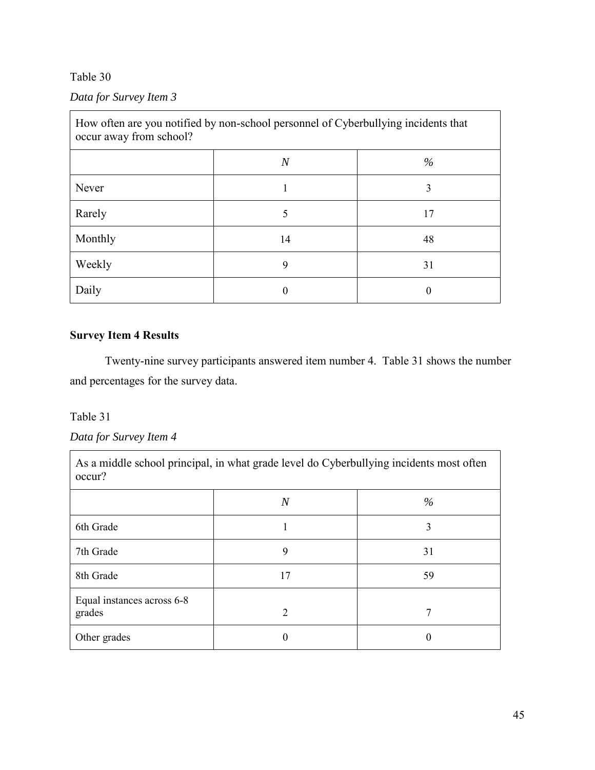## *Data for Survey Item 3*

| How often are you notified by non-school personnel of Cyberbullying incidents that<br>occur away from school? |                |      |  |  |
|---------------------------------------------------------------------------------------------------------------|----------------|------|--|--|
|                                                                                                               | $\overline{N}$ | $\%$ |  |  |
| Never                                                                                                         |                | 3    |  |  |
| Rarely                                                                                                        | 5              | 17   |  |  |
| Monthly                                                                                                       | 14             | 48   |  |  |
| Weekly                                                                                                        | 9              | 31   |  |  |
| Daily                                                                                                         |                |      |  |  |

### **Survey Item 4 Results**

Twenty-nine survey participants answered item number 4. Table 31 shows the number and percentages for the survey data.

#### Table 31

*Data for Survey Item 4* 

As a middle school principal, in what grade level do Cyberbullying incidents most often occur? *N %* 6th Grade 1 3  $7th$  Grade  $9$   $31$ 8th Grade 17 59 Equal instances across 6-8 grades  $2$  7 Other grades 0 0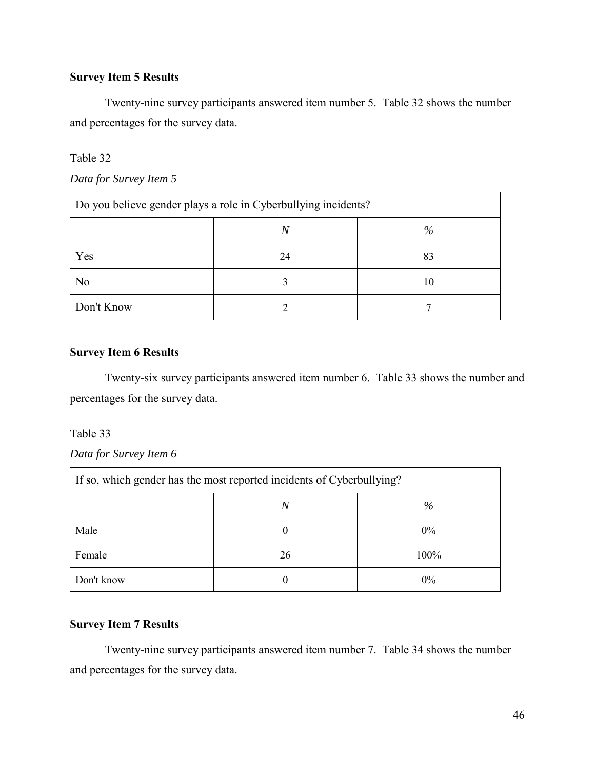### **Survey Item 5 Results**

Twenty-nine survey participants answered item number 5. Table 32 shows the number and percentages for the survey data.

#### Table 32

| Data for Survey Item 5 |  |  |  |
|------------------------|--|--|--|
|------------------------|--|--|--|

| Do you believe gender plays a role in Cyberbullying incidents? |    |      |  |  |
|----------------------------------------------------------------|----|------|--|--|
|                                                                | N  | $\%$ |  |  |
| Yes                                                            | 24 | 83   |  |  |
| No                                                             |    | 10   |  |  |
| Don't Know                                                     |    |      |  |  |

### **Survey Item 6 Results**

Twenty-six survey participants answered item number 6. Table 33 shows the number and percentages for the survey data.

#### Table 33

### *Data for Survey Item 6*

| If so, which gender has the most reported incidents of Cyberbullying? |    |       |  |  |
|-----------------------------------------------------------------------|----|-------|--|--|
|                                                                       | N  | %     |  |  |
| Male                                                                  |    | $0\%$ |  |  |
| Female                                                                | 26 | 100%  |  |  |
| Don't know                                                            |    | 0%    |  |  |

### **Survey Item 7 Results**

Twenty-nine survey participants answered item number 7. Table 34 shows the number and percentages for the survey data.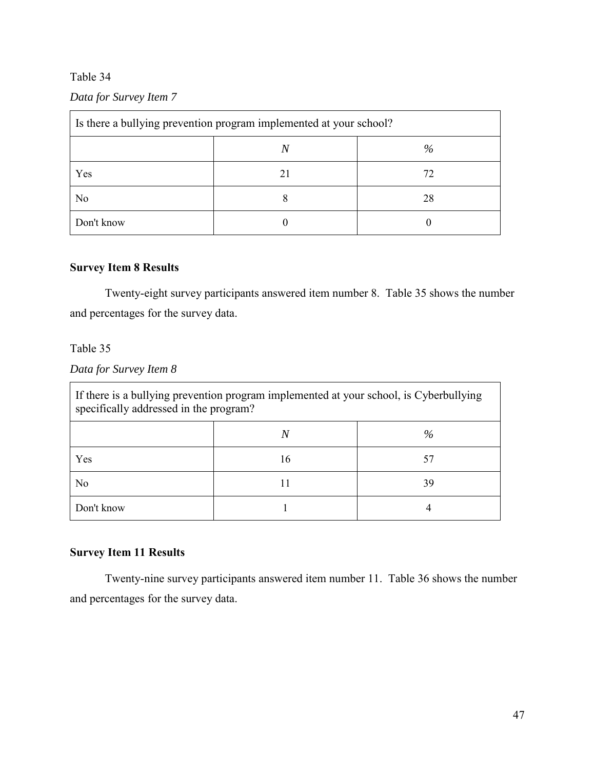## *Data for Survey Item 7*

| Is there a bullying prevention program implemented at your school? |    |      |  |  |
|--------------------------------------------------------------------|----|------|--|--|
|                                                                    |    | $\%$ |  |  |
| Yes                                                                | 21 | 72   |  |  |
| No                                                                 |    | 28   |  |  |
| Don't know                                                         |    |      |  |  |

### **Survey Item 8 Results**

Twenty-eight survey participants answered item number 8. Table 35 shows the number and percentages for the survey data.

### Table 35

*Data for Survey Item 8* 

| If there is a bullying prevention program implemented at your school, is Cyberbullying<br>specifically addressed in the program? |    |    |  |  |
|----------------------------------------------------------------------------------------------------------------------------------|----|----|--|--|
| $\%$                                                                                                                             |    |    |  |  |
| Yes                                                                                                                              | 16 | 57 |  |  |
| No                                                                                                                               |    | 39 |  |  |
| Don't know                                                                                                                       |    |    |  |  |

## **Survey Item 11 Results**

Twenty-nine survey participants answered item number 11. Table 36 shows the number and percentages for the survey data.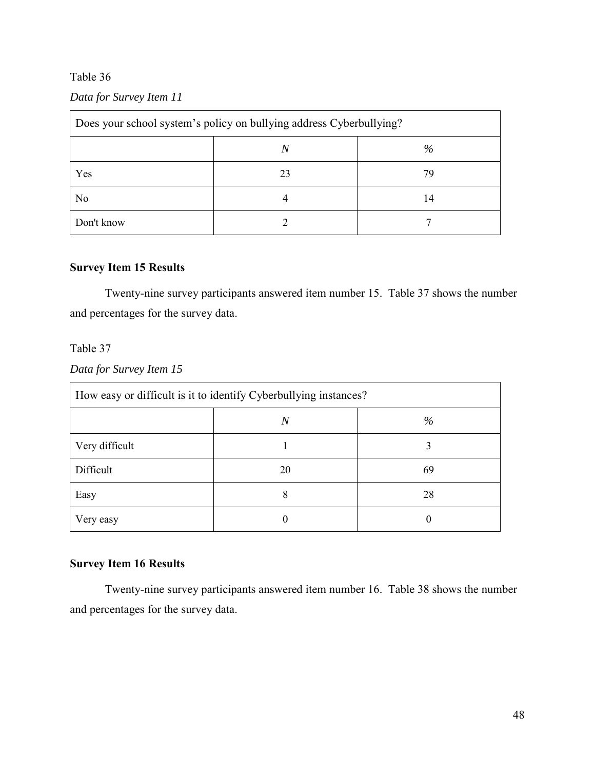### *Data for Survey Item 11*

| Does your school system's policy on bullying address Cyberbullying? |    |    |  |
|---------------------------------------------------------------------|----|----|--|
| %<br>N                                                              |    |    |  |
| Yes                                                                 | 23 | 79 |  |
| N <sub>0</sub>                                                      |    | 14 |  |
| Don't know                                                          |    |    |  |

### **Survey Item 15 Results**

Twenty-nine survey participants answered item number 15. Table 37 shows the number and percentages for the survey data.

#### Table 37

*Data for Survey Item 15* 

| How easy or difficult is it to identify Cyberbullying instances? |                |      |  |
|------------------------------------------------------------------|----------------|------|--|
|                                                                  | $\overline{N}$ | $\%$ |  |
| Very difficult                                                   |                | 3    |  |
| Difficult                                                        | 20             | 69   |  |
| Easy                                                             | 8              | 28   |  |
| Very easy                                                        |                | 0    |  |

### **Survey Item 16 Results**

Twenty-nine survey participants answered item number 16. Table 38 shows the number and percentages for the survey data.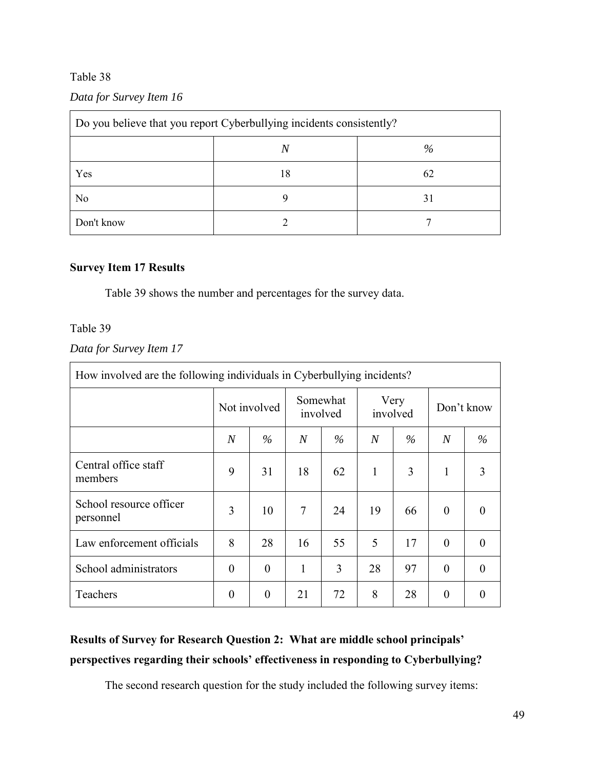### *Data for Survey Item 16*

| Do you believe that you report Cyberbullying incidents consistently? |    |      |  |
|----------------------------------------------------------------------|----|------|--|
|                                                                      | N  | $\%$ |  |
| Yes                                                                  | 18 | 62   |  |
| No                                                                   |    | 31   |  |
| Don't know                                                           |    |      |  |

### **Survey Item 17 Results**

Table 39 shows the number and percentages for the survey data.

### Table 39

## *Data for Survey Item 17*

| How involved are the following individuals in Cyberbullying incidents? |                  |                |                |                      |                |      |                |            |
|------------------------------------------------------------------------|------------------|----------------|----------------|----------------------|----------------|------|----------------|------------|
|                                                                        |                  | Not involved   |                | Somewhat<br>involved | involved       | Very |                | Don't know |
|                                                                        | $\boldsymbol{N}$ | $\%$           | $\overline{N}$ | $\%$                 | $\overline{N}$ | $\%$ | $\overline{N}$ | $\%$       |
| Central office staff<br>members                                        | 9                | 31             | 18             | 62                   | 1              | 3    | 1              | 3          |
| School resource officer<br>personnel                                   | 3                | 10             | 7              | 24                   | 19             | 66   | $\theta$       |            |
| Law enforcement officials                                              | 8                | 28             | 16             | 55                   | 5              | 17   | $\theta$       | 0          |
| School administrators                                                  | $\theta$         | $\theta$       | 1              | 3                    | 28             | 97   | $\theta$       | $\Omega$   |
| Teachers                                                               | $\boldsymbol{0}$ | $\overline{0}$ | 21             | 72                   | 8              | 28   | $\theta$       | 0          |

# **Results of Survey for Research Question 2: What are middle school principals' perspectives regarding their schools' effectiveness in responding to Cyberbullying?**

The second research question for the study included the following survey items: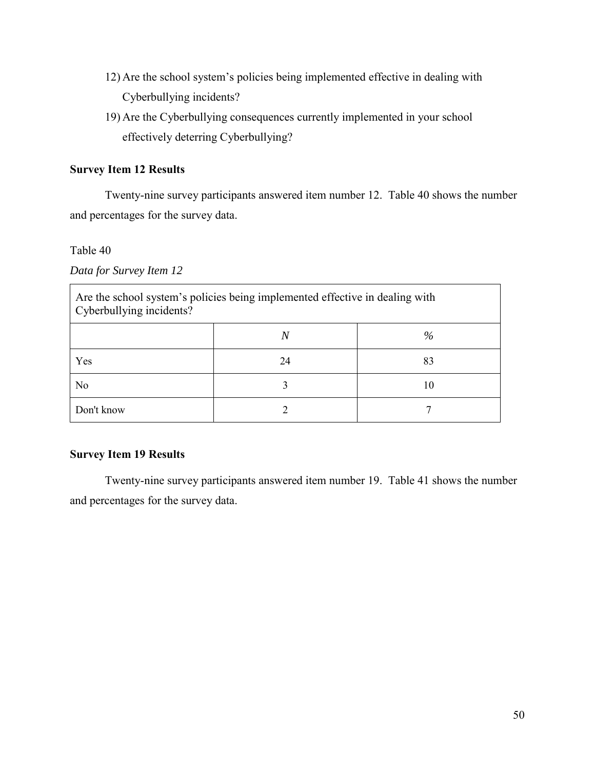- 12) Are the school system's policies being implemented effective in dealing with Cyberbullying incidents?
- 19) Are the Cyberbullying consequences currently implemented in your school effectively deterring Cyberbullying?

### **Survey Item 12 Results**

Twenty-nine survey participants answered item number 12. Table 40 shows the number and percentages for the survey data.

#### Table 40

*Data for Survey Item 12* 

| Are the school system's policies being implemented effective in dealing with<br>Cyberbullying incidents? |    |    |  |  |
|----------------------------------------------------------------------------------------------------------|----|----|--|--|
| $\%$<br>N                                                                                                |    |    |  |  |
| Yes                                                                                                      | 24 | 83 |  |  |
| No                                                                                                       |    | 10 |  |  |
| Don't know                                                                                               |    |    |  |  |

#### **Survey Item 19 Results**

Twenty-nine survey participants answered item number 19. Table 41 shows the number and percentages for the survey data.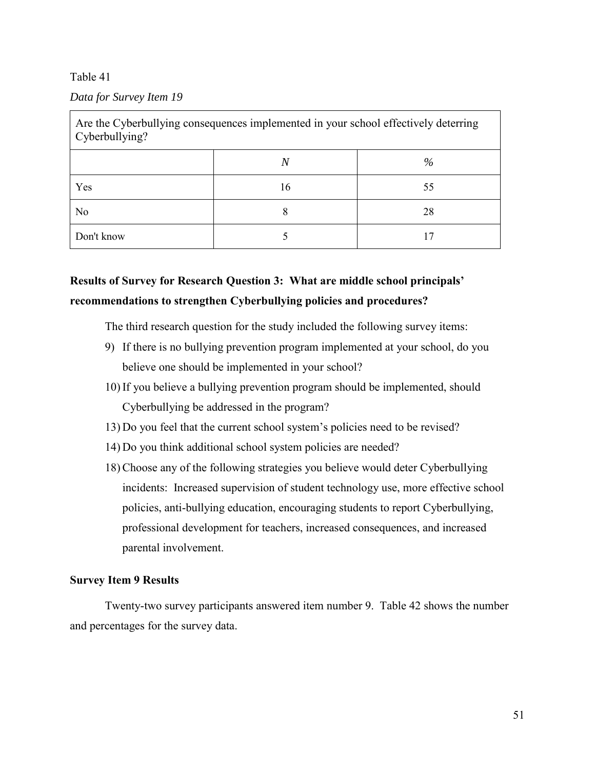#### *Data for Survey Item 19*

| Are the Cyberbullying consequences implemented in your school effectively deterring<br>Cyberbullying? |    |    |  |  |
|-------------------------------------------------------------------------------------------------------|----|----|--|--|
| $\%$<br>N                                                                                             |    |    |  |  |
| Yes                                                                                                   | 16 | 55 |  |  |
| N <sub>o</sub>                                                                                        |    | 28 |  |  |
| Don't know                                                                                            |    |    |  |  |

# **Results of Survey for Research Question 3: What are middle school principals' recommendations to strengthen Cyberbullying policies and procedures?**

The third research question for the study included the following survey items:

- 9) If there is no bullying prevention program implemented at your school, do you believe one should be implemented in your school?
- 10) If you believe a bullying prevention program should be implemented, should Cyberbullying be addressed in the program?
- 13) Do you feel that the current school system's policies need to be revised?
- 14) Do you think additional school system policies are needed?
- 18) Choose any of the following strategies you believe would deter Cyberbullying incidents: Increased supervision of student technology use, more effective school policies, anti-bullying education, encouraging students to report Cyberbullying, professional development for teachers, increased consequences, and increased parental involvement.

#### **Survey Item 9 Results**

Twenty-two survey participants answered item number 9. Table 42 shows the number and percentages for the survey data.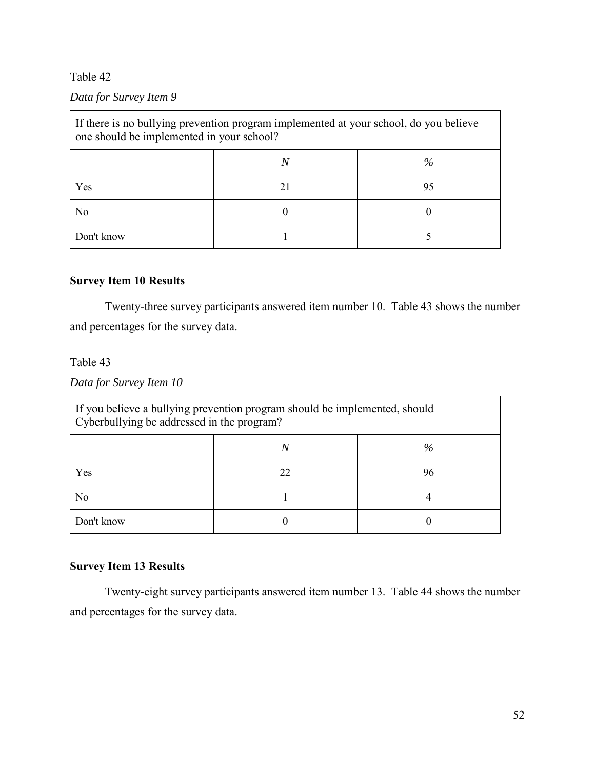### *Data for Survey Item 9*

| If there is no bullying prevention program implemented at your school, do you believe<br>one should be implemented in your school? |  |      |
|------------------------------------------------------------------------------------------------------------------------------------|--|------|
|                                                                                                                                    |  | $\%$ |
| Yes                                                                                                                                |  | 95   |
| No                                                                                                                                 |  |      |
| Don't know                                                                                                                         |  |      |

### **Survey Item 10 Results**

Twenty-three survey participants answered item number 10. Table 43 shows the number and percentages for the survey data.

### Table 43

*Data for Survey Item 10* 

| If you believe a bullying prevention program should be implemented, should<br>Cyberbullying be addressed in the program? |    |    |  |  |
|--------------------------------------------------------------------------------------------------------------------------|----|----|--|--|
| %                                                                                                                        |    |    |  |  |
| Yes                                                                                                                      | 22 | 96 |  |  |
| No                                                                                                                       |    |    |  |  |
| Don't know                                                                                                               |    |    |  |  |

## **Survey Item 13 Results**

Twenty-eight survey participants answered item number 13. Table 44 shows the number and percentages for the survey data.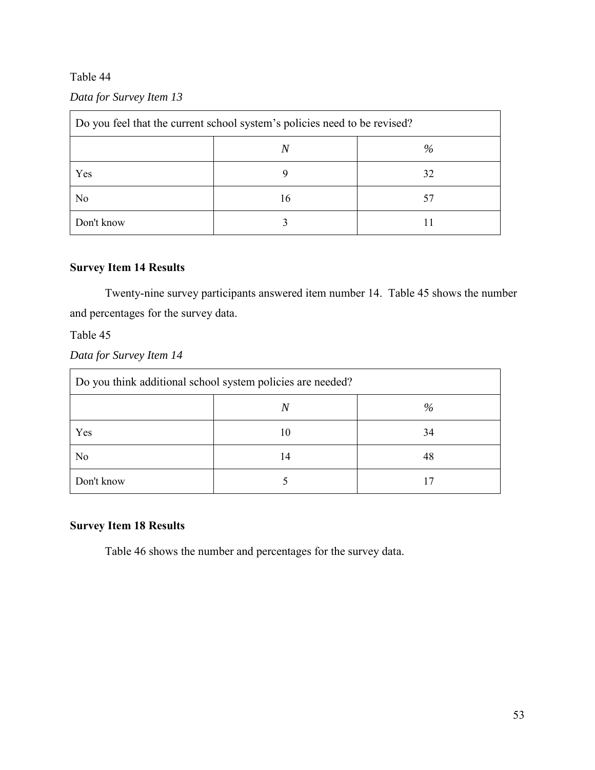### *Data for Survey Item 13*

| Do you feel that the current school system's policies need to be revised? |    |    |  |
|---------------------------------------------------------------------------|----|----|--|
| $\%$                                                                      |    |    |  |
| Yes                                                                       |    | 32 |  |
| No                                                                        | 16 | 57 |  |
| Don't know                                                                |    |    |  |

### **Survey Item 14 Results**

Twenty-nine survey participants answered item number 14. Table 45 shows the number and percentages for the survey data.

#### Table 45

*Data for Survey Item 14* 

| Do you think additional school system policies are needed? |    |      |  |
|------------------------------------------------------------|----|------|--|
|                                                            | Ν  | $\%$ |  |
| Yes                                                        | 10 | 34   |  |
| No                                                         | 14 | 48   |  |
| Don't know                                                 |    | 17   |  |

## **Survey Item 18 Results**

Table 46 shows the number and percentages for the survey data.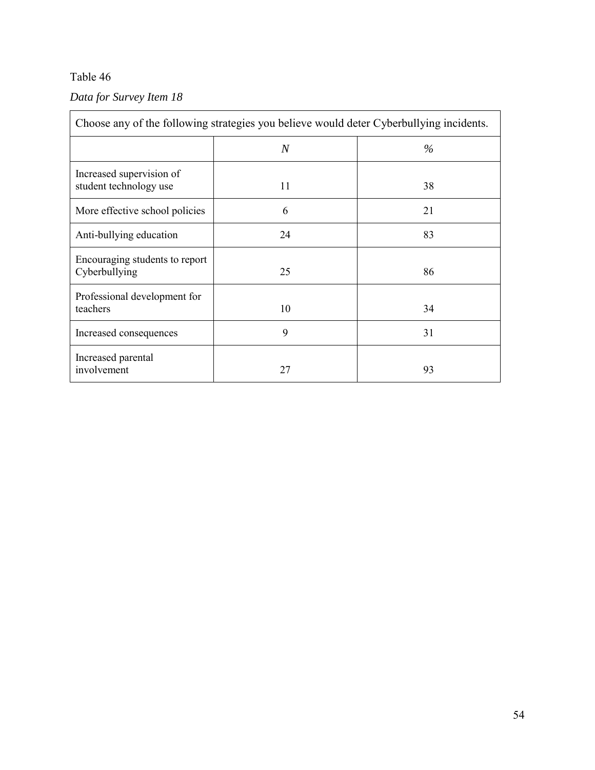## *Data for Survey Item 18*

| Choose any of the following strategies you believe would deter Cyberbullying incidents. |    |      |  |
|-----------------------------------------------------------------------------------------|----|------|--|
|                                                                                         | N  | $\%$ |  |
| Increased supervision of<br>student technology use                                      | 11 | 38   |  |
| More effective school policies                                                          | 6  | 21   |  |
| Anti-bullying education                                                                 | 24 | 83   |  |
| Encouraging students to report<br>Cyberbullying                                         | 25 | 86   |  |
| Professional development for<br>teachers                                                | 10 | 34   |  |
| Increased consequences                                                                  | 9  | 31   |  |
| Increased parental<br>involvement                                                       | 27 | 93   |  |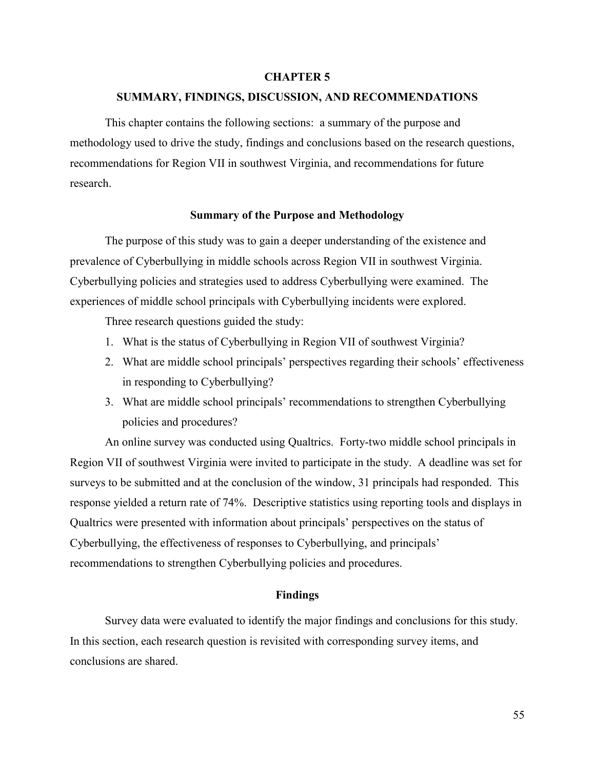#### **CHAPTER 5**

#### **SUMMARY, FINDINGS, DISCUSSION, AND RECOMMENDATIONS**

This chapter contains the following sections: a summary of the purpose and methodology used to drive the study, findings and conclusions based on the research questions, recommendations for Region VII in southwest Virginia, and recommendations for future research.

#### **Summary of the Purpose and Methodology**

The purpose of this study was to gain a deeper understanding of the existence and prevalence of Cyberbullying in middle schools across Region VII in southwest Virginia. Cyberbullying policies and strategies used to address Cyberbullying were examined. The experiences of middle school principals with Cyberbullying incidents were explored.

Three research questions guided the study:

- 1. What is the status of Cyberbullying in Region VII of southwest Virginia?
- 2. What are middle school principals' perspectives regarding their schools' effectiveness in responding to Cyberbullying?
- 3. What are middle school principals' recommendations to strengthen Cyberbullying policies and procedures?

An online survey was conducted using Qualtrics. Forty-two middle school principals in Region VII of southwest Virginia were invited to participate in the study. A deadline was set for surveys to be submitted and at the conclusion of the window, 31 principals had responded. This response yielded a return rate of 74%. Descriptive statistics using reporting tools and displays in Qualtrics were presented with information about principals' perspectives on the status of Cyberbullying, the effectiveness of responses to Cyberbullying, and principals' recommendations to strengthen Cyberbullying policies and procedures.

#### **Findings**

Survey data were evaluated to identify the major findings and conclusions for this study. In this section, each research question is revisited with corresponding survey items, and conclusions are shared.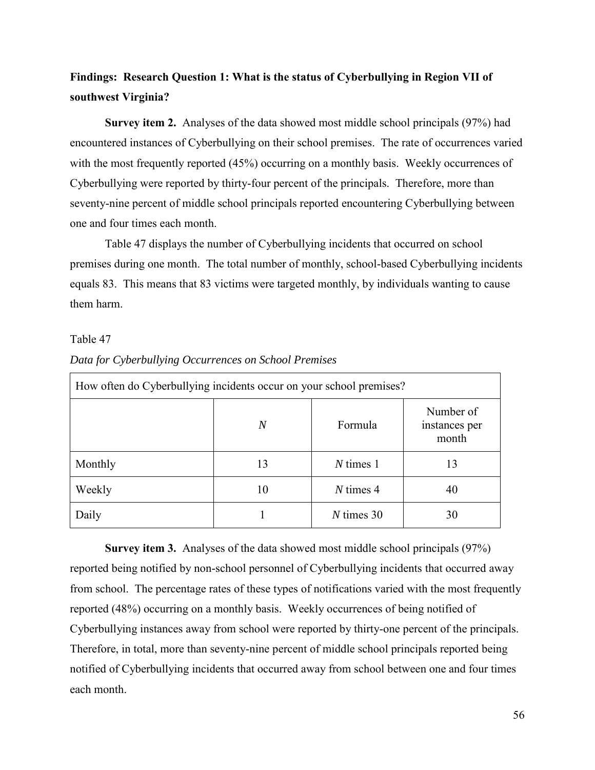# **Findings: Research Question 1: What is the status of Cyberbullying in Region VII of southwest Virginia?**

**Survey item 2.** Analyses of the data showed most middle school principals (97%) had encountered instances of Cyberbullying on their school premises. The rate of occurrences varied with the most frequently reported (45%) occurring on a monthly basis. Weekly occurrences of Cyberbullying were reported by thirty-four percent of the principals. Therefore, more than seventy-nine percent of middle school principals reported encountering Cyberbullying between one and four times each month.

Table 47 displays the number of Cyberbullying incidents that occurred on school premises during one month. The total number of monthly, school-based Cyberbullying incidents equals 83. This means that 83 victims were targeted monthly, by individuals wanting to cause them harm.

#### Table 47

| How often do Cyberbullying incidents occur on your school premises? |    |              |                                     |  |
|---------------------------------------------------------------------|----|--------------|-------------------------------------|--|
|                                                                     | N  | Formula      | Number of<br>instances per<br>month |  |
| Monthly                                                             | 13 | $N \times 1$ | 13                                  |  |
| Weekly                                                              | 10 | $N \times 4$ | 40                                  |  |
| Daily                                                               |    | $N$ times 30 | 30                                  |  |

#### *Data for Cyberbullying Occurrences on School Premises*

**Survey item 3.** Analyses of the data showed most middle school principals (97%) reported being notified by non-school personnel of Cyberbullying incidents that occurred away from school. The percentage rates of these types of notifications varied with the most frequently reported (48%) occurring on a monthly basis. Weekly occurrences of being notified of Cyberbullying instances away from school were reported by thirty-one percent of the principals. Therefore, in total, more than seventy-nine percent of middle school principals reported being notified of Cyberbullying incidents that occurred away from school between one and four times each month.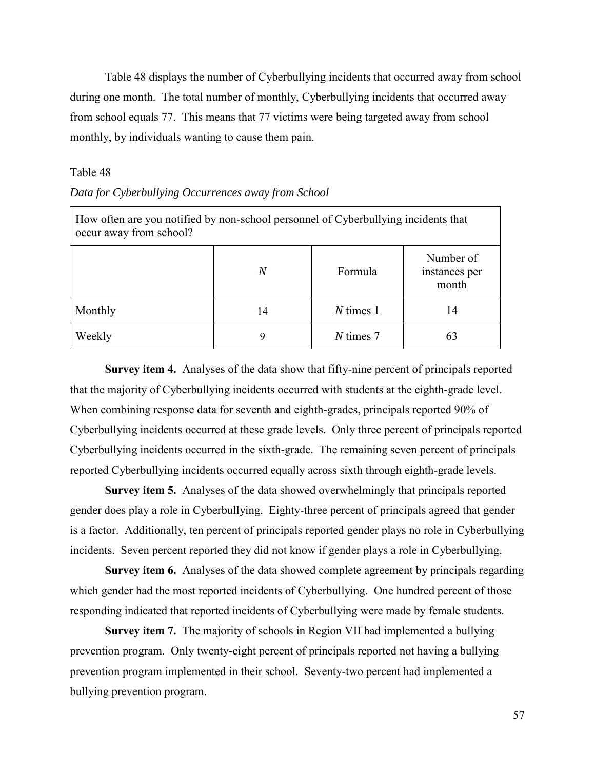Table 48 displays the number of Cyberbullying incidents that occurred away from school during one month. The total number of monthly, Cyberbullying incidents that occurred away from school equals 77. This means that 77 victims were being targeted away from school monthly, by individuals wanting to cause them pain.

#### Table 48

#### *Data for Cyberbullying Occurrences away from School*

| How often are you notified by non-school personnel of Cyberbullying incidents that<br>occur away from school? |    |              |                                     |  |
|---------------------------------------------------------------------------------------------------------------|----|--------------|-------------------------------------|--|
|                                                                                                               | N  | Formula      | Number of<br>instances per<br>month |  |
| Monthly                                                                                                       | 14 | $N \times 1$ | 14                                  |  |
| Weekly                                                                                                        |    | N times 7    | 63                                  |  |

**Survey item 4.** Analyses of the data show that fifty-nine percent of principals reported that the majority of Cyberbullying incidents occurred with students at the eighth-grade level. When combining response data for seventh and eighth-grades, principals reported 90% of Cyberbullying incidents occurred at these grade levels. Only three percent of principals reported Cyberbullying incidents occurred in the sixth-grade. The remaining seven percent of principals reported Cyberbullying incidents occurred equally across sixth through eighth-grade levels.

**Survey item 5.** Analyses of the data showed overwhelmingly that principals reported gender does play a role in Cyberbullying. Eighty-three percent of principals agreed that gender is a factor. Additionally, ten percent of principals reported gender plays no role in Cyberbullying incidents. Seven percent reported they did not know if gender plays a role in Cyberbullying.

**Survey item 6.** Analyses of the data showed complete agreement by principals regarding which gender had the most reported incidents of Cyberbullying. One hundred percent of those responding indicated that reported incidents of Cyberbullying were made by female students.

**Survey item 7.** The majority of schools in Region VII had implemented a bullying prevention program. Only twenty-eight percent of principals reported not having a bullying prevention program implemented in their school. Seventy-two percent had implemented a bullying prevention program.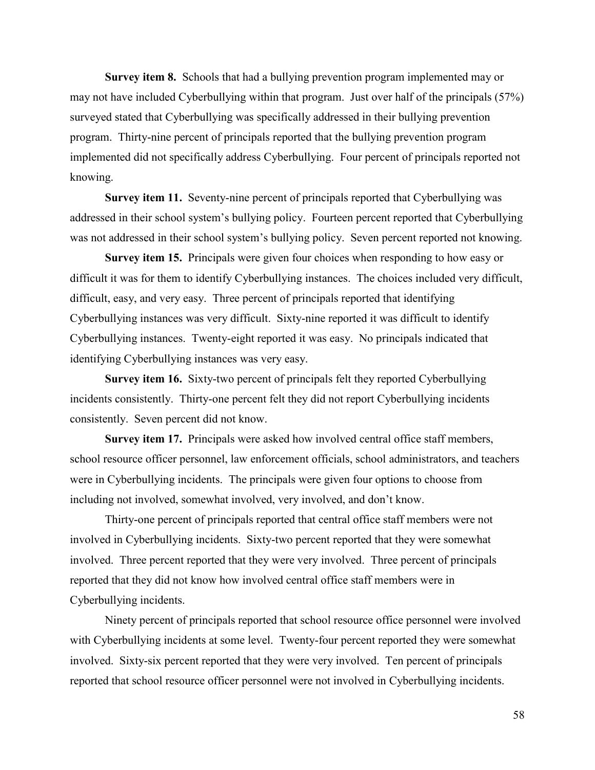**Survey item 8.** Schools that had a bullying prevention program implemented may or may not have included Cyberbullying within that program. Just over half of the principals (57%) surveyed stated that Cyberbullying was specifically addressed in their bullying prevention program. Thirty-nine percent of principals reported that the bullying prevention program implemented did not specifically address Cyberbullying. Four percent of principals reported not knowing.

**Survey item 11.** Seventy-nine percent of principals reported that Cyberbullying was addressed in their school system's bullying policy. Fourteen percent reported that Cyberbullying was not addressed in their school system's bullying policy. Seven percent reported not knowing.

**Survey item 15.** Principals were given four choices when responding to how easy or difficult it was for them to identify Cyberbullying instances. The choices included very difficult, difficult, easy, and very easy. Three percent of principals reported that identifying Cyberbullying instances was very difficult. Sixty-nine reported it was difficult to identify Cyberbullying instances. Twenty-eight reported it was easy. No principals indicated that identifying Cyberbullying instances was very easy.

**Survey item 16.** Sixty-two percent of principals felt they reported Cyberbullying incidents consistently. Thirty-one percent felt they did not report Cyberbullying incidents consistently. Seven percent did not know.

**Survey item 17.** Principals were asked how involved central office staff members, school resource officer personnel, law enforcement officials, school administrators, and teachers were in Cyberbullying incidents. The principals were given four options to choose from including not involved, somewhat involved, very involved, and don't know.

Thirty-one percent of principals reported that central office staff members were not involved in Cyberbullying incidents. Sixty-two percent reported that they were somewhat involved. Three percent reported that they were very involved. Three percent of principals reported that they did not know how involved central office staff members were in Cyberbullying incidents.

Ninety percent of principals reported that school resource office personnel were involved with Cyberbullying incidents at some level. Twenty-four percent reported they were somewhat involved. Sixty-six percent reported that they were very involved. Ten percent of principals reported that school resource officer personnel were not involved in Cyberbullying incidents.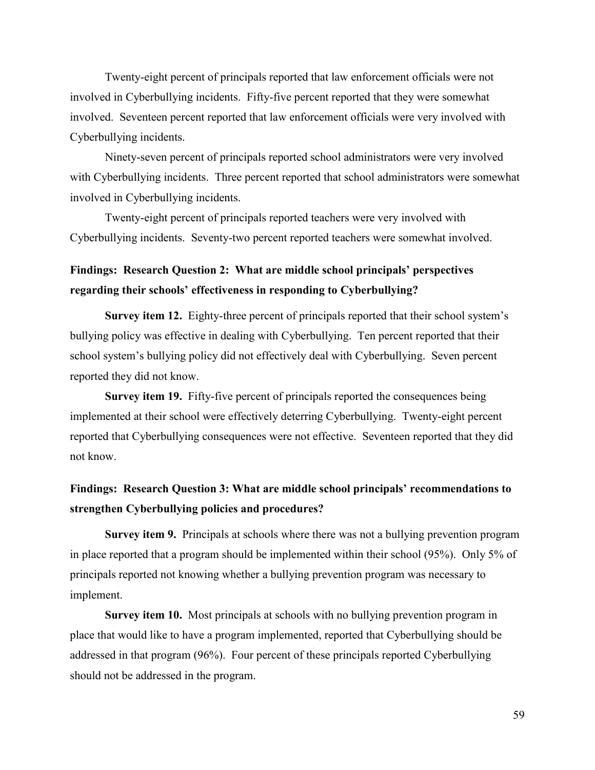Twenty-eight percent of principals reported that law enforcement officials were not involved in Cyberbullying incidents. Fifty-five percent reported that they were somewhat involved. Seventeen percent reported that law enforcement officials were very involved with Cyberbullying incidents.

Ninety-seven percent of principals reported school administrators were very involved with Cyberbullying incidents. Three percent reported that school administrators were somewhat involved in Cyberbullying incidents.

Twenty-eight percent of principals reported teachers were very involved with Cyberbullying incidents. Seventy-two percent reported teachers were somewhat involved.

# **Findings: Research Question 2: What are middle school principals' perspectives regarding their schools' effectiveness in responding to Cyberbullying?**

**Survey item 12.** Eighty-three percent of principals reported that their school system's bullying policy was effective in dealing with Cyberbullying. Ten percent reported that their school system's bullying policy did not effectively deal with Cyberbullying. Seven percent reported they did not know.

**Survey item 19.** Fifty-five percent of principals reported the consequences being implemented at their school were effectively deterring Cyberbullying. Twenty-eight percent reported that Cyberbullying consequences were not effective. Seventeen reported that they did not know.

# **Findings: Research Question 3: What are middle school principals' recommendations to strengthen Cyberbullying policies and procedures?**

**Survey item 9.** Principals at schools where there was not a bullying prevention program in place reported that a program should be implemented within their school (95%). Only 5% of principals reported not knowing whether a bullying prevention program was necessary to implement.

**Survey item 10.** Most principals at schools with no bullying prevention program in place that would like to have a program implemented, reported that Cyberbullying should be addressed in that program (96%). Four percent of these principals reported Cyberbullying should not be addressed in the program.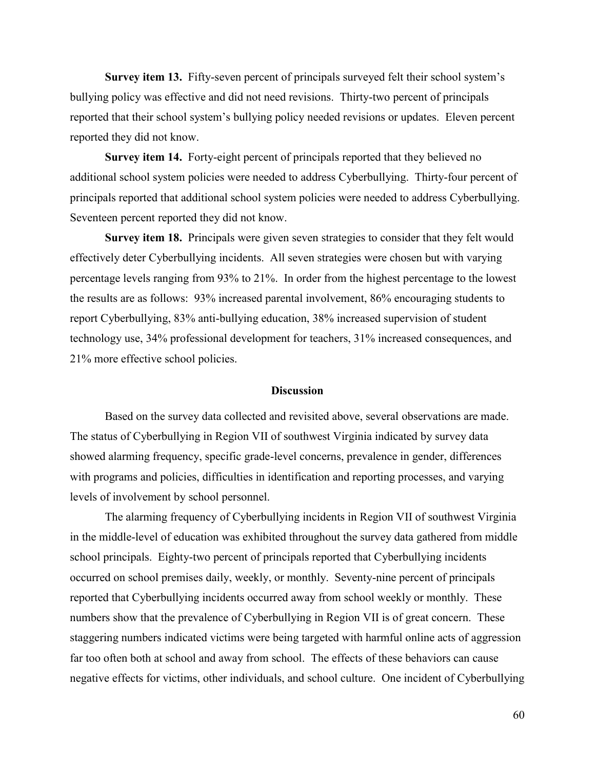**Survey item 13.** Fifty-seven percent of principals surveyed felt their school system's bullying policy was effective and did not need revisions. Thirty-two percent of principals reported that their school system's bullying policy needed revisions or updates. Eleven percent reported they did not know.

**Survey item 14.** Forty-eight percent of principals reported that they believed no additional school system policies were needed to address Cyberbullying. Thirty-four percent of principals reported that additional school system policies were needed to address Cyberbullying. Seventeen percent reported they did not know.

**Survey item 18.** Principals were given seven strategies to consider that they felt would effectively deter Cyberbullying incidents. All seven strategies were chosen but with varying percentage levels ranging from 93% to 21%. In order from the highest percentage to the lowest the results are as follows: 93% increased parental involvement, 86% encouraging students to report Cyberbullying, 83% anti-bullying education, 38% increased supervision of student technology use, 34% professional development for teachers, 31% increased consequences, and 21% more effective school policies.

#### **Discussion**

Based on the survey data collected and revisited above, several observations are made. The status of Cyberbullying in Region VII of southwest Virginia indicated by survey data showed alarming frequency, specific grade-level concerns, prevalence in gender, differences with programs and policies, difficulties in identification and reporting processes, and varying levels of involvement by school personnel.

The alarming frequency of Cyberbullying incidents in Region VII of southwest Virginia in the middle-level of education was exhibited throughout the survey data gathered from middle school principals. Eighty-two percent of principals reported that Cyberbullying incidents occurred on school premises daily, weekly, or monthly. Seventy-nine percent of principals reported that Cyberbullying incidents occurred away from school weekly or monthly. These numbers show that the prevalence of Cyberbullying in Region VII is of great concern. These staggering numbers indicated victims were being targeted with harmful online acts of aggression far too often both at school and away from school. The effects of these behaviors can cause negative effects for victims, other individuals, and school culture. One incident of Cyberbullying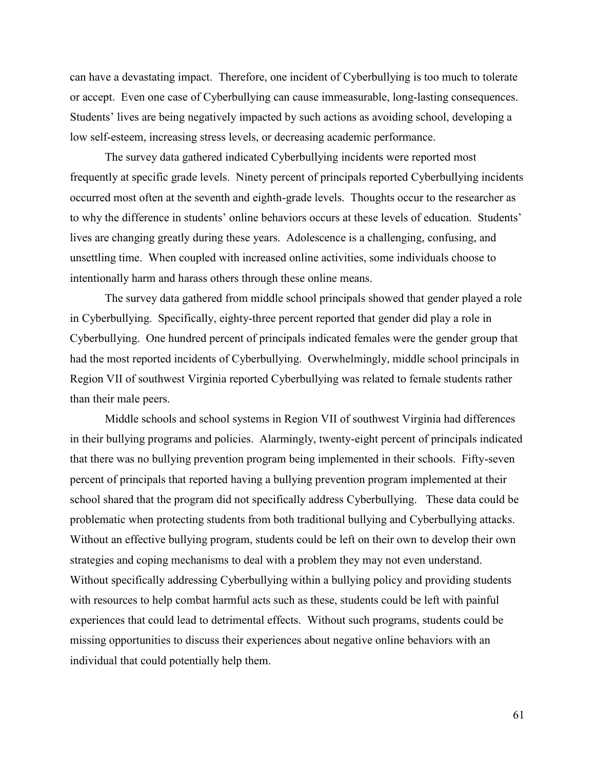can have a devastating impact. Therefore, one incident of Cyberbullying is too much to tolerate or accept. Even one case of Cyberbullying can cause immeasurable, long-lasting consequences. Students' lives are being negatively impacted by such actions as avoiding school, developing a low self-esteem, increasing stress levels, or decreasing academic performance.

The survey data gathered indicated Cyberbullying incidents were reported most frequently at specific grade levels. Ninety percent of principals reported Cyberbullying incidents occurred most often at the seventh and eighth-grade levels. Thoughts occur to the researcher as to why the difference in students' online behaviors occurs at these levels of education. Students' lives are changing greatly during these years. Adolescence is a challenging, confusing, and unsettling time. When coupled with increased online activities, some individuals choose to intentionally harm and harass others through these online means.

The survey data gathered from middle school principals showed that gender played a role in Cyberbullying. Specifically, eighty-three percent reported that gender did play a role in Cyberbullying. One hundred percent of principals indicated females were the gender group that had the most reported incidents of Cyberbullying. Overwhelmingly, middle school principals in Region VII of southwest Virginia reported Cyberbullying was related to female students rather than their male peers.

Middle schools and school systems in Region VII of southwest Virginia had differences in their bullying programs and policies. Alarmingly, twenty-eight percent of principals indicated that there was no bullying prevention program being implemented in their schools. Fifty-seven percent of principals that reported having a bullying prevention program implemented at their school shared that the program did not specifically address Cyberbullying. These data could be problematic when protecting students from both traditional bullying and Cyberbullying attacks. Without an effective bullying program, students could be left on their own to develop their own strategies and coping mechanisms to deal with a problem they may not even understand. Without specifically addressing Cyberbullying within a bullying policy and providing students with resources to help combat harmful acts such as these, students could be left with painful experiences that could lead to detrimental effects. Without such programs, students could be missing opportunities to discuss their experiences about negative online behaviors with an individual that could potentially help them.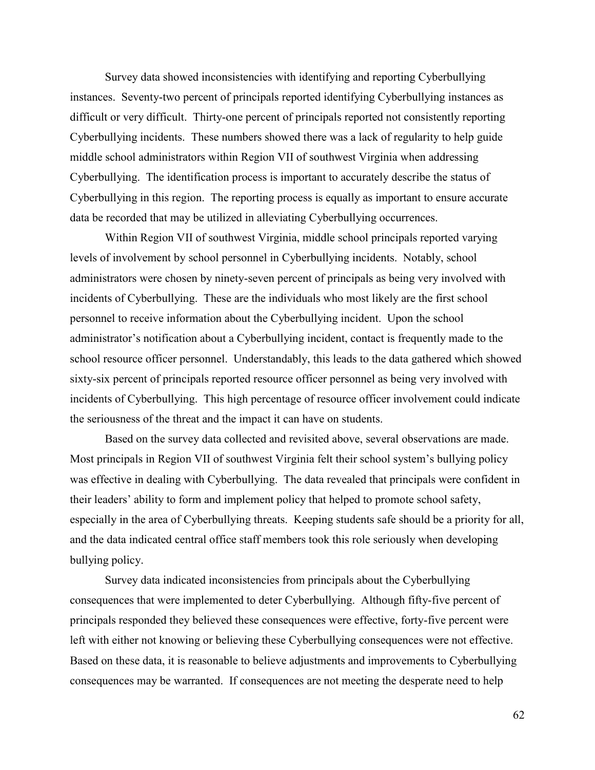Survey data showed inconsistencies with identifying and reporting Cyberbullying instances. Seventy-two percent of principals reported identifying Cyberbullying instances as difficult or very difficult. Thirty-one percent of principals reported not consistently reporting Cyberbullying incidents. These numbers showed there was a lack of regularity to help guide middle school administrators within Region VII of southwest Virginia when addressing Cyberbullying. The identification process is important to accurately describe the status of Cyberbullying in this region. The reporting process is equally as important to ensure accurate data be recorded that may be utilized in alleviating Cyberbullying occurrences.

Within Region VII of southwest Virginia, middle school principals reported varying levels of involvement by school personnel in Cyberbullying incidents. Notably, school administrators were chosen by ninety-seven percent of principals as being very involved with incidents of Cyberbullying. These are the individuals who most likely are the first school personnel to receive information about the Cyberbullying incident. Upon the school administrator's notification about a Cyberbullying incident, contact is frequently made to the school resource officer personnel. Understandably, this leads to the data gathered which showed sixty-six percent of principals reported resource officer personnel as being very involved with incidents of Cyberbullying. This high percentage of resource officer involvement could indicate the seriousness of the threat and the impact it can have on students.

Based on the survey data collected and revisited above, several observations are made. Most principals in Region VII of southwest Virginia felt their school system's bullying policy was effective in dealing with Cyberbullying. The data revealed that principals were confident in their leaders' ability to form and implement policy that helped to promote school safety, especially in the area of Cyberbullying threats. Keeping students safe should be a priority for all, and the data indicated central office staff members took this role seriously when developing bullying policy.

Survey data indicated inconsistencies from principals about the Cyberbullying consequences that were implemented to deter Cyberbullying. Although fifty-five percent of principals responded they believed these consequences were effective, forty-five percent were left with either not knowing or believing these Cyberbullying consequences were not effective. Based on these data, it is reasonable to believe adjustments and improvements to Cyberbullying consequences may be warranted. If consequences are not meeting the desperate need to help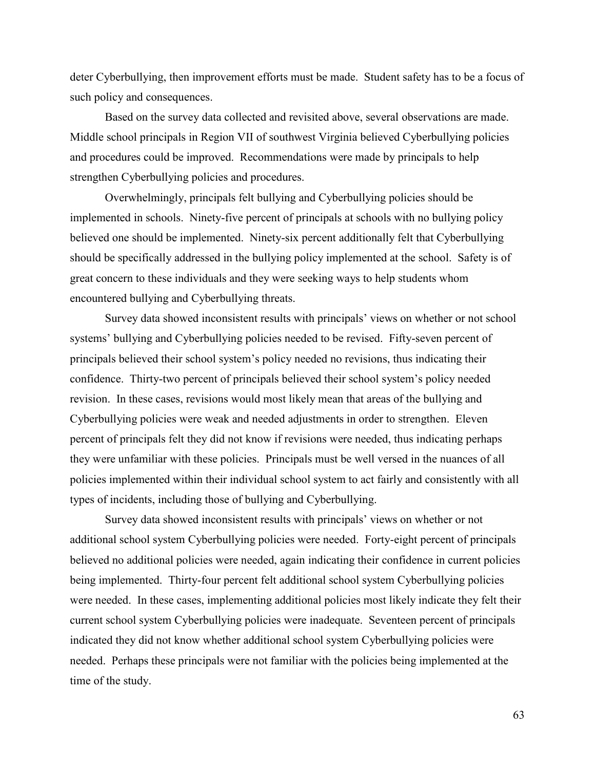deter Cyberbullying, then improvement efforts must be made. Student safety has to be a focus of such policy and consequences.

Based on the survey data collected and revisited above, several observations are made. Middle school principals in Region VII of southwest Virginia believed Cyberbullying policies and procedures could be improved. Recommendations were made by principals to help strengthen Cyberbullying policies and procedures.

Overwhelmingly, principals felt bullying and Cyberbullying policies should be implemented in schools. Ninety-five percent of principals at schools with no bullying policy believed one should be implemented. Ninety-six percent additionally felt that Cyberbullying should be specifically addressed in the bullying policy implemented at the school. Safety is of great concern to these individuals and they were seeking ways to help students whom encountered bullying and Cyberbullying threats.

Survey data showed inconsistent results with principals' views on whether or not school systems' bullying and Cyberbullying policies needed to be revised. Fifty-seven percent of principals believed their school system's policy needed no revisions, thus indicating their confidence. Thirty-two percent of principals believed their school system's policy needed revision. In these cases, revisions would most likely mean that areas of the bullying and Cyberbullying policies were weak and needed adjustments in order to strengthen. Eleven percent of principals felt they did not know if revisions were needed, thus indicating perhaps they were unfamiliar with these policies. Principals must be well versed in the nuances of all policies implemented within their individual school system to act fairly and consistently with all types of incidents, including those of bullying and Cyberbullying.

Survey data showed inconsistent results with principals' views on whether or not additional school system Cyberbullying policies were needed. Forty-eight percent of principals believed no additional policies were needed, again indicating their confidence in current policies being implemented. Thirty-four percent felt additional school system Cyberbullying policies were needed. In these cases, implementing additional policies most likely indicate they felt their current school system Cyberbullying policies were inadequate. Seventeen percent of principals indicated they did not know whether additional school system Cyberbullying policies were needed. Perhaps these principals were not familiar with the policies being implemented at the time of the study.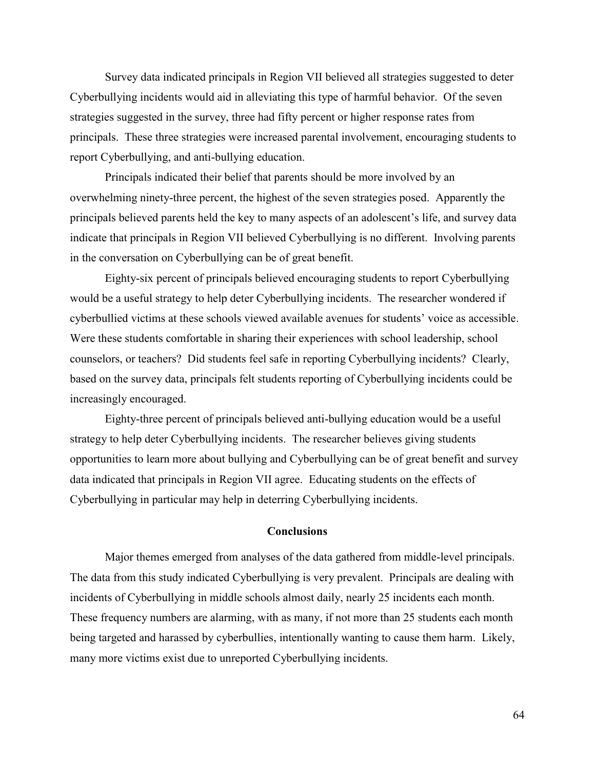Survey data indicated principals in Region VII believed all strategies suggested to deter Cyberbullying incidents would aid in alleviating this type of harmful behavior. Of the seven strategies suggested in the survey, three had fifty percent or higher response rates from principals. These three strategies were increased parental involvement, encouraging students to report Cyberbullying, and anti-bullying education.

Principals indicated their belief that parents should be more involved by an overwhelming ninety-three percent, the highest of the seven strategies posed. Apparently the principals believed parents held the key to many aspects of an adolescent's life, and survey data indicate that principals in Region VII believed Cyberbullying is no different. Involving parents in the conversation on Cyberbullying can be of great benefit.

Eighty-six percent of principals believed encouraging students to report Cyberbullying would be a useful strategy to help deter Cyberbullying incidents. The researcher wondered if cyberbullied victims at these schools viewed available avenues for students' voice as accessible. Were these students comfortable in sharing their experiences with school leadership, school counselors, or teachers? Did students feel safe in reporting Cyberbullying incidents? Clearly, based on the survey data, principals felt students reporting of Cyberbullying incidents could be increasingly encouraged.

Eighty-three percent of principals believed anti-bullying education would be a useful strategy to help deter Cyberbullying incidents. The researcher believes giving students opportunities to learn more about bullying and Cyberbullying can be of great benefit and survey data indicated that principals in Region VII agree. Educating students on the effects of Cyberbullying in particular may help in deterring Cyberbullying incidents.

### **Conclusions**

Major themes emerged from analyses of the data gathered from middle-level principals. The data from this study indicated Cyberbullying is very prevalent. Principals are dealing with incidents of Cyberbullying in middle schools almost daily, nearly 25 incidents each month. These frequency numbers are alarming, with as many, if not more than 25 students each month being targeted and harassed by cyberbullies, intentionally wanting to cause them harm. Likely, many more victims exist due to unreported Cyberbullying incidents.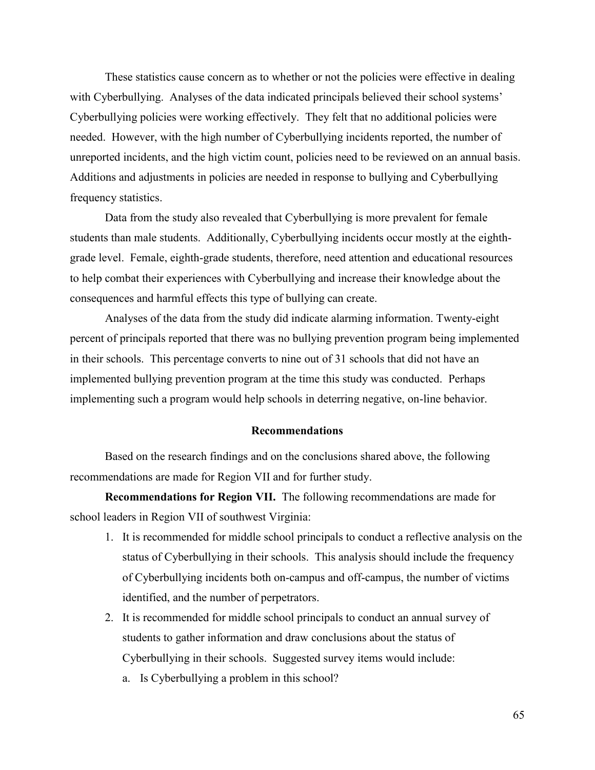These statistics cause concern as to whether or not the policies were effective in dealing with Cyberbullying. Analyses of the data indicated principals believed their school systems' Cyberbullying policies were working effectively. They felt that no additional policies were needed. However, with the high number of Cyberbullying incidents reported, the number of unreported incidents, and the high victim count, policies need to be reviewed on an annual basis. Additions and adjustments in policies are needed in response to bullying and Cyberbullying frequency statistics.

Data from the study also revealed that Cyberbullying is more prevalent for female students than male students. Additionally, Cyberbullying incidents occur mostly at the eighthgrade level. Female, eighth-grade students, therefore, need attention and educational resources to help combat their experiences with Cyberbullying and increase their knowledge about the consequences and harmful effects this type of bullying can create.

Analyses of the data from the study did indicate alarming information. Twenty-eight percent of principals reported that there was no bullying prevention program being implemented in their schools. This percentage converts to nine out of 31 schools that did not have an implemented bullying prevention program at the time this study was conducted. Perhaps implementing such a program would help schools in deterring negative, on-line behavior.

#### **Recommendations**

Based on the research findings and on the conclusions shared above, the following recommendations are made for Region VII and for further study.

**Recommendations for Region VII.** The following recommendations are made for school leaders in Region VII of southwest Virginia:

- 1. It is recommended for middle school principals to conduct a reflective analysis on the status of Cyberbullying in their schools. This analysis should include the frequency of Cyberbullying incidents both on-campus and off-campus, the number of victims identified, and the number of perpetrators.
- 2. It is recommended for middle school principals to conduct an annual survey of students to gather information and draw conclusions about the status of Cyberbullying in their schools. Suggested survey items would include:
	- a. Is Cyberbullying a problem in this school?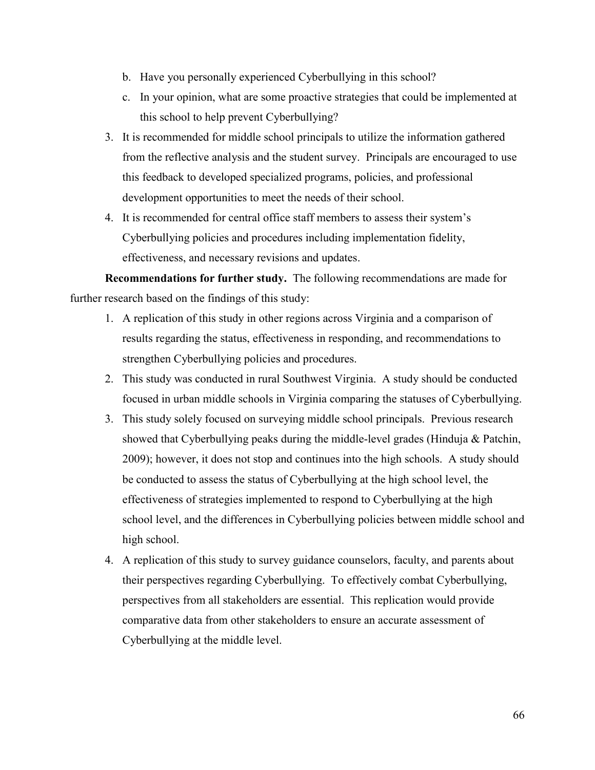- b. Have you personally experienced Cyberbullying in this school?
- c. In your opinion, what are some proactive strategies that could be implemented at this school to help prevent Cyberbullying?
- 3. It is recommended for middle school principals to utilize the information gathered from the reflective analysis and the student survey. Principals are encouraged to use this feedback to developed specialized programs, policies, and professional development opportunities to meet the needs of their school.
- 4. It is recommended for central office staff members to assess their system's Cyberbullying policies and procedures including implementation fidelity, effectiveness, and necessary revisions and updates.

**Recommendations for further study.** The following recommendations are made for further research based on the findings of this study:

- 1. A replication of this study in other regions across Virginia and a comparison of results regarding the status, effectiveness in responding, and recommendations to strengthen Cyberbullying policies and procedures.
- 2. This study was conducted in rural Southwest Virginia. A study should be conducted focused in urban middle schools in Virginia comparing the statuses of Cyberbullying.
- 3. This study solely focused on surveying middle school principals. Previous research showed that Cyberbullying peaks during the middle-level grades (Hinduja & Patchin, 2009); however, it does not stop and continues into the high schools. A study should be conducted to assess the status of Cyberbullying at the high school level, the effectiveness of strategies implemented to respond to Cyberbullying at the high school level, and the differences in Cyberbullying policies between middle school and high school.
- 4. A replication of this study to survey guidance counselors, faculty, and parents about their perspectives regarding Cyberbullying. To effectively combat Cyberbullying, perspectives from all stakeholders are essential. This replication would provide comparative data from other stakeholders to ensure an accurate assessment of Cyberbullying at the middle level.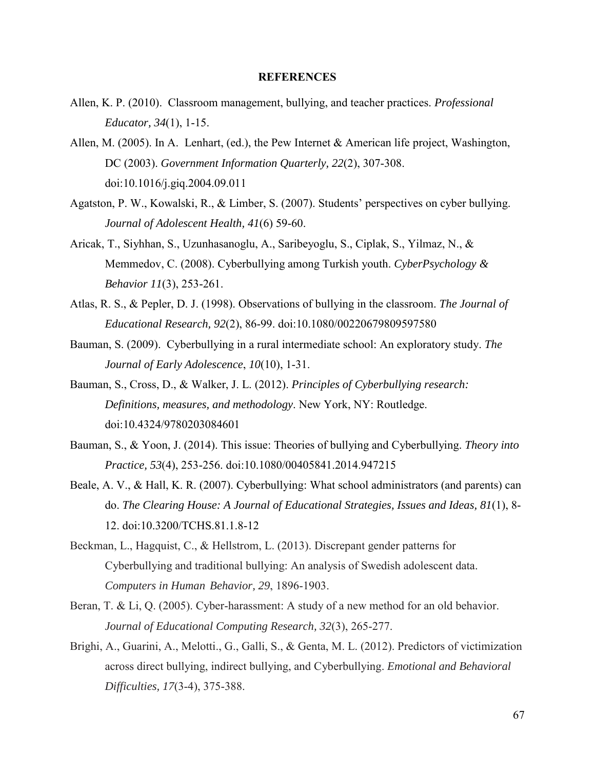#### **REFERENCES**

- Allen, K. P. (2010). Classroom management, bullying, and teacher practices. *Professional Educator, 34*(1), 1-15.
- Allen, M. (2005). In A. Lenhart, (ed.), the Pew Internet & American life project, Washington, DC (2003). *Government Information Quarterly, 22*(2), 307-308. doi:10.1016/j.giq.2004.09.011
- Agatston, P. W., Kowalski, R., & Limber, S. (2007). Students' perspectives on cyber bullying. *Journal of Adolescent Health, 41*(6) 59-60.
- Aricak, T., Siyhhan, S., Uzunhasanoglu, A., Saribeyoglu, S., Ciplak, S., Yilmaz, N., & Memmedov, C. (2008). Cyberbullying among Turkish youth. *CyberPsychology & Behavior 11*(3), 253-261.
- Atlas, R. S., & Pepler, D. J. (1998). Observations of bullying in the classroom. *The Journal of Educational Research, 92*(2), 86-99. doi:10.1080/00220679809597580
- Bauman, S. (2009). Cyberbullying in a rural intermediate school: An exploratory study. *The Journal of Early Adolescence*, *10*(10), 1-31.
- Bauman, S., Cross, D., & Walker, J. L. (2012). *Principles of Cyberbullying research: Definitions, measures, and methodology*. New York, NY: Routledge. doi:10.4324/9780203084601
- Bauman, S., & Yoon, J. (2014). This issue: Theories of bullying and Cyberbullying. *Theory into Practice, 53*(4), 253-256. doi:10.1080/00405841.2014.947215
- Beale, A. V., & Hall, K. R. (2007). Cyberbullying: What school administrators (and parents) can do. *The Clearing House: A Journal of Educational Strategies, Issues and Ideas, 81*(1), 8- 12. doi:10.3200/TCHS.81.1.8-12
- Beckman, L., Hagquist, C., & Hellstrom, L. (2013). Discrepant gender patterns for Cyberbullying and traditional bullying: An analysis of Swedish adolescent data. *Computers in Human Behavior, 29*, 1896-1903.
- Beran, T. & Li, Q. (2005). Cyber-harassment: A study of a new method for an old behavior. *Journal of Educational Computing Research, 32*(3), 265-277.
- Brighi, A., Guarini, A., Melotti., G., Galli, S., & Genta, M. L. (2012). Predictors of victimization across direct bullying, indirect bullying, and Cyberbullying. *Emotional and Behavioral Difficulties, 17*(3-4), 375-388.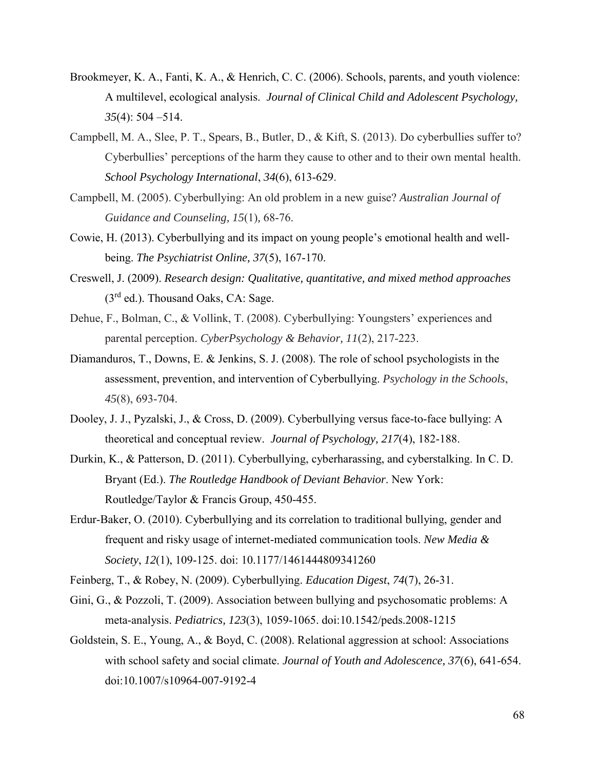- Brookmeyer, K. A., Fanti, K. A., & Henrich, C. C. (2006). Schools, parents, and youth violence: A multilevel, ecological analysis. *Journal of Clinical Child and Adolescent Psychology, 35*(4): 504 –514.
- Campbell, M. A., Slee, P. T., Spears, B., Butler, D., & Kift, S. (2013). Do cyberbullies suffer to? Cyberbullies' perceptions of the harm they cause to other and to their own mental health. *School Psychology International*, *34*(6), 613-629.
- Campbell, M. (2005). Cyberbullying: An old problem in a new guise? *Australian Journal of Guidance and Counseling, 15*(1)*,* 68-76.
- Cowie, H. (2013). Cyberbullying and its impact on young people's emotional health and wellbeing. *The Psychiatrist Online, 37*(5), 167-170.
- Creswell, J. (2009). *Research design: Qualitative, quantitative, and mixed method approaches*  $(3<sup>rd</sup>$  ed.). Thousand Oaks, CA: Sage.
- Dehue, F., Bolman, C., & Vollink, T. (2008). Cyberbullying: Youngsters' experiences and parental perception. *CyberPsychology & Behavior, 11*(2), 217-223.
- Diamanduros, T., Downs, E. & Jenkins, S. J. (2008). The role of school psychologists in the assessment, prevention, and intervention of Cyberbullying. *Psychology in the Schools*, *45*(8), 693-704.
- Dooley, J. J., Pyzalski, J., & Cross, D. (2009). Cyberbullying versus face-to-face bullying: A theoretical and conceptual review. *Journal of Psychology, 217*(4), 182-188.
- Durkin, K., & Patterson, D. (2011). Cyberbullying, cyberharassing, and cyberstalking. In C. D. Bryant (Ed.). *The Routledge Handbook of Deviant Behavior*. New York: Routledge/Taylor & Francis Group, 450-455.
- Erdur-Baker, O. (2010). Cyberbullying and its correlation to traditional bullying, gender and frequent and risky usage of internet-mediated communication tools. *New Media & Society*, *12*(1), 109-125. doi: 10.1177/1461444809341260
- Feinberg, T., & Robey, N. (2009). Cyberbullying. *Education Digest*, *74*(7), 26-31.
- Gini, G., & Pozzoli, T. (2009). Association between bullying and psychosomatic problems: A meta-analysis. *Pediatrics, 123*(3), 1059-1065. doi:10.1542/peds.2008-1215
- Goldstein, S. E., Young, A., & Boyd, C. (2008). Relational aggression at school: Associations with school safety and social climate. *Journal of Youth and Adolescence, 37*(6), 641-654. doi:10.1007/s10964-007-9192-4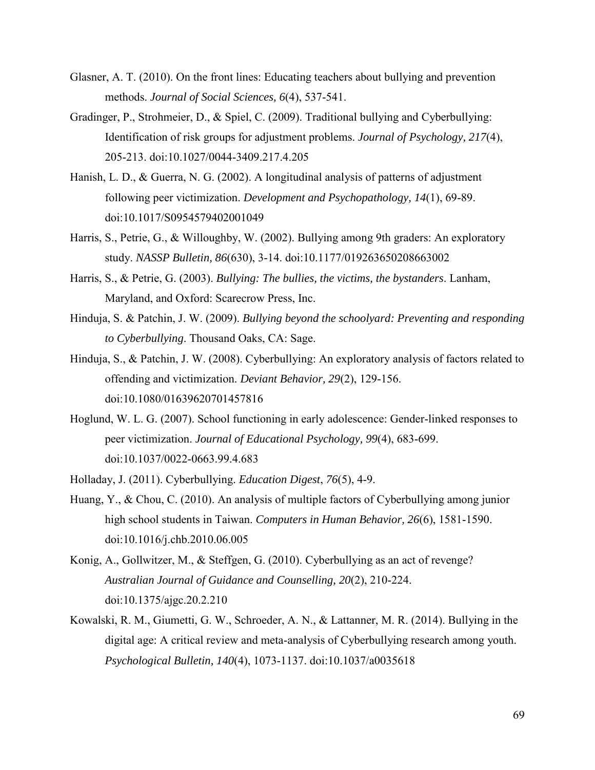- Glasner, A. T. (2010). On the front lines: Educating teachers about bullying and prevention methods. *Journal of Social Sciences, 6*(4), 537-541.
- Gradinger, P., Strohmeier, D., & Spiel, C. (2009). Traditional bullying and Cyberbullying: Identification of risk groups for adjustment problems. *Journal of Psychology, 217*(4), 205-213. doi:10.1027/0044-3409.217.4.205
- Hanish, L. D., & Guerra, N. G. (2002). A longitudinal analysis of patterns of adjustment following peer victimization. *Development and Psychopathology, 14*(1), 69-89. doi:10.1017/S0954579402001049
- Harris, S., Petrie, G., & Willoughby, W. (2002). Bullying among 9th graders: An exploratory study. *NASSP Bulletin, 86*(630), 3-14. doi:10.1177/019263650208663002
- Harris, S., & Petrie, G. (2003). *Bullying: The bullies, the victims, the bystanders*. Lanham, Maryland, and Oxford: Scarecrow Press, Inc.
- Hinduja, S. & Patchin, J. W. (2009). *Bullying beyond the schoolyard: Preventing and responding to Cyberbullying*. Thousand Oaks, CA: Sage.
- Hinduja, S., & Patchin, J. W. (2008). Cyberbullying: An exploratory analysis of factors related to offending and victimization. *Deviant Behavior, 29*(2), 129-156. doi:10.1080/01639620701457816
- Hoglund, W. L. G. (2007). School functioning in early adolescence: Gender-linked responses to peer victimization. *Journal of Educational Psychology, 99*(4), 683-699. doi:10.1037/0022-0663.99.4.683
- Holladay, J. (2011). Cyberbullying. *Education Digest*, *76*(5), 4-9.
- Huang, Y., & Chou, C. (2010). An analysis of multiple factors of Cyberbullying among junior high school students in Taiwan. *Computers in Human Behavior, 26*(6), 1581-1590. doi:10.1016/j.chb.2010.06.005
- Konig, A., Gollwitzer, M., & Steffgen, G. (2010). Cyberbullying as an act of revenge? *Australian Journal of Guidance and Counselling, 20*(2), 210-224. doi:10.1375/ajgc.20.2.210
- Kowalski, R. M., Giumetti, G. W., Schroeder, A. N., & Lattanner, M. R. (2014). Bullying in the digital age: A critical review and meta-analysis of Cyberbullying research among youth. *Psychological Bulletin, 140*(4), 1073-1137. doi:10.1037/a0035618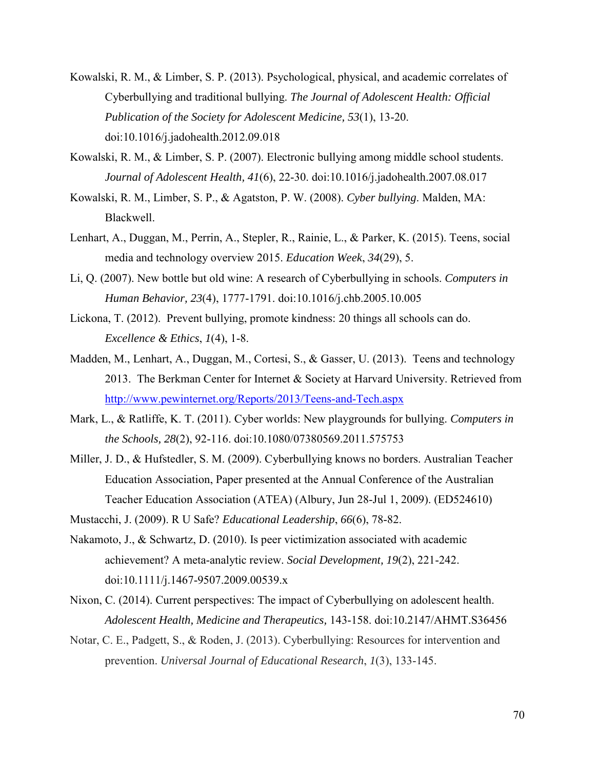- Kowalski, R. M., & Limber, S. P. (2013). Psychological, physical, and academic correlates of Cyberbullying and traditional bullying. *The Journal of Adolescent Health: Official Publication of the Society for Adolescent Medicine, 53*(1), 13-20. doi:10.1016/j.jadohealth.2012.09.018
- Kowalski, R. M., & Limber, S. P. (2007). Electronic bullying among middle school students. *Journal of Adolescent Health, 41*(6), 22-30. doi:10.1016/j.jadohealth.2007.08.017
- Kowalski, R. M., Limber, S. P., & Agatston, P. W. (2008). *Cyber bullying*. Malden, MA: Blackwell.
- Lenhart, A., Duggan, M., Perrin, A., Stepler, R., Rainie, L., & Parker, K. (2015). Teens, social media and technology overview 2015. *Education Week*, *34*(29), 5.
- Li, Q. (2007). New bottle but old wine: A research of Cyberbullying in schools. *Computers in Human Behavior, 23*(4), 1777-1791. doi:10.1016/j.chb.2005.10.005
- Lickona, T. (2012). Prevent bullying, promote kindness: 20 things all schools can do. *Excellence & Ethics*, *1*(4), 1-8.
- Madden, M., Lenhart, A., Duggan, M., Cortesi, S., & Gasser, U. (2013). Teens and technology 2013. The Berkman Center for Internet & Society at Harvard University. Retrieved from <http://www.pewinternet.org/Reports/2013/Teens-and-Tech.aspx>
- Mark, L., & Ratliffe, K. T. (2011). Cyber worlds: New playgrounds for bullying. *Computers in the Schools, 28*(2), 92-116. doi:10.1080/07380569.2011.575753
- Miller, J. D., & Hufstedler, S. M. (2009). Cyberbullying knows no borders. Australian Teacher Education Association, Paper presented at the Annual Conference of the Australian Teacher Education Association (ATEA) (Albury, Jun 28-Jul 1, 2009). (ED524610)

Mustacchi, J. (2009). R U Safe? *Educational Leadership*, *66*(6), 78-82.

- Nakamoto, J., & Schwartz, D. (2010). Is peer victimization associated with academic achievement? A meta-analytic review. *Social Development, 19*(2), 221-242. doi:10.1111/j.1467-9507.2009.00539.x
- Nixon, C. (2014). Current perspectives: The impact of Cyberbullying on adolescent health. *Adolescent Health, Medicine and Therapeutics,* 143-158. doi:10.2147/AHMT.S36456
- Notar, C. E., Padgett, S., & Roden, J. (2013). Cyberbullying: Resources for intervention and prevention. *Universal Journal of Educational Research*, *1*(3), 133-145.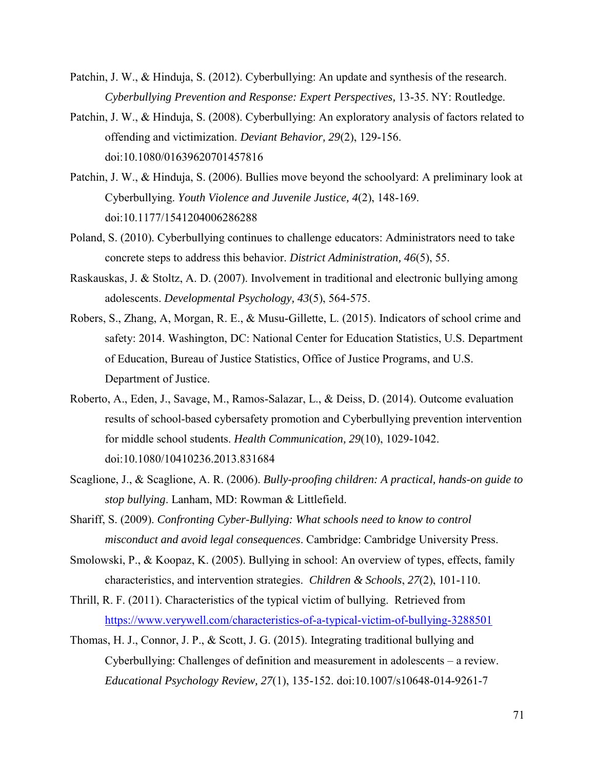- Patchin, J. W., & Hinduja, S. (2012). Cyberbullying: An update and synthesis of the research. *Cyberbullying Prevention and Response: Expert Perspectives,* 13-35. NY: Routledge.
- Patchin, J. W., & Hinduja, S. (2008). Cyberbullying: An exploratory analysis of factors related to offending and victimization. *Deviant Behavior, 29*(2), 129-156. doi:10.1080/01639620701457816
- Patchin, J. W., & Hinduja, S. (2006). Bullies move beyond the schoolyard: A preliminary look at Cyberbullying. *Youth Violence and Juvenile Justice, 4*(2), 148-169. doi:10.1177/1541204006286288
- Poland, S. (2010). Cyberbullying continues to challenge educators: Administrators need to take concrete steps to address this behavior. *District Administration, 46*(5), 55.
- Raskauskas, J. & Stoltz, A. D. (2007). Involvement in traditional and electronic bullying among adolescents. *Developmental Psychology, 43*(5), 564-575.
- Robers, S., Zhang, A, Morgan, R. E., & Musu-Gillette, L. (2015). Indicators of school crime and safety: 2014. Washington, DC: National Center for Education Statistics, U.S. Department of Education, Bureau of Justice Statistics, Office of Justice Programs, and U.S. Department of Justice.
- Roberto, A., Eden, J., Savage, M., Ramos-Salazar, L., & Deiss, D. (2014). Outcome evaluation results of school-based cybersafety promotion and Cyberbullying prevention intervention for middle school students. *Health Communication, 29*(10), 1029-1042. doi:10.1080/10410236.2013.831684
- Scaglione, J., & Scaglione, A. R. (2006). *Bully-proofing children: A practical, hands-on guide to stop bullying*. Lanham, MD: Rowman & Littlefield.
- Shariff, S. (2009). *Confronting Cyber-Bullying: What schools need to know to control misconduct and avoid legal consequences*. Cambridge: Cambridge University Press.
- Smolowski, P., & Koopaz, K. (2005). Bullying in school: An overview of types, effects, family characteristics, and intervention strategies. *Children & Schools*, *27*(2), 101-110.
- Thrill, R. F. (2011). Characteristics of the typical victim of bullying. Retrieved from <https://www.verywell.com/characteristics-of-a-typical-victim-of-bullying-3288501>
- Thomas, H. J., Connor, J. P., & Scott, J. G. (2015). Integrating traditional bullying and Cyberbullying: Challenges of definition and measurement in adolescents – a review. *Educational Psychology Review, 27*(1), 135-152. doi:10.1007/s10648-014-9261-7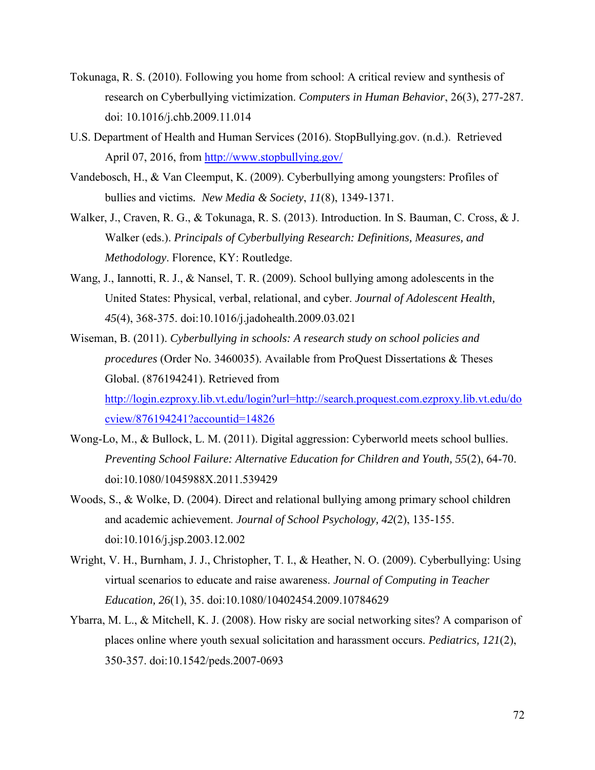- Tokunaga, R. S. (2010). Following you home from school: A critical review and synthesis of research on Cyberbullying victimization. *Computers in Human Behavior*, 26(3), 277-287. doi: 10.1016/j.chb.2009.11.014
- U.S. Department of Health and Human Services (2016). StopBullying.gov. (n.d.). Retrieved April 07, 2016, from<http://www.stopbullying.gov/>
- Vandebosch, H., & Van Cleemput, K. (2009). Cyberbullying among youngsters: Profiles of bullies and victims*. New Media & Society*, *11*(8), 1349-1371.
- Walker, J., Craven, R. G., & Tokunaga, R. S. (2013). Introduction. In S. Bauman, C. Cross, & J. Walker (eds.). *Principals of Cyberbullying Research: Definitions, Measures, and Methodology*. Florence, KY: Routledge.
- Wang, J., Iannotti, R. J., & Nansel, T. R. (2009). School bullying among adolescents in the United States: Physical, verbal, relational, and cyber. *Journal of Adolescent Health, 45*(4), 368-375. doi:10.1016/j.jadohealth.2009.03.021
- Wiseman, B. (2011). *Cyberbullying in schools: A research study on school policies and procedures* (Order No. 3460035). Available from ProQuest Dissertations & Theses Global. (876194241). Retrieved from [http://login.ezproxy.lib.vt.edu/login?url=http://search.proquest.com.ezproxy.lib.vt.edu/do](http://login.ezproxy.lib.vt.edu/login?url=http://search.proquest.com.ezproxy.lib.vt.edu/docview/876194241?accountid=14826) [cview/876194241?accountid=14826](http://login.ezproxy.lib.vt.edu/login?url=http://search.proquest.com.ezproxy.lib.vt.edu/docview/876194241?accountid=14826)
- Wong-Lo, M., & Bullock, L. M. (2011). Digital aggression: Cyberworld meets school bullies. *Preventing School Failure: Alternative Education for Children and Youth, 55*(2), 64-70. doi:10.1080/1045988X.2011.539429
- Woods, S., & Wolke, D. (2004). Direct and relational bullying among primary school children and academic achievement. *Journal of School Psychology, 42*(2), 135-155. doi:10.1016/j.jsp.2003.12.002
- Wright, V. H., Burnham, J. J., Christopher, T. I., & Heather, N. O. (2009). Cyberbullying: Using virtual scenarios to educate and raise awareness. *Journal of Computing in Teacher Education, 26*(1), 35. doi:10.1080/10402454.2009.10784629
- Ybarra, M. L., & Mitchell, K. J. (2008). How risky are social networking sites? A comparison of places online where youth sexual solicitation and harassment occurs. *Pediatrics, 121*(2), 350-357. doi:10.1542/peds.2007-0693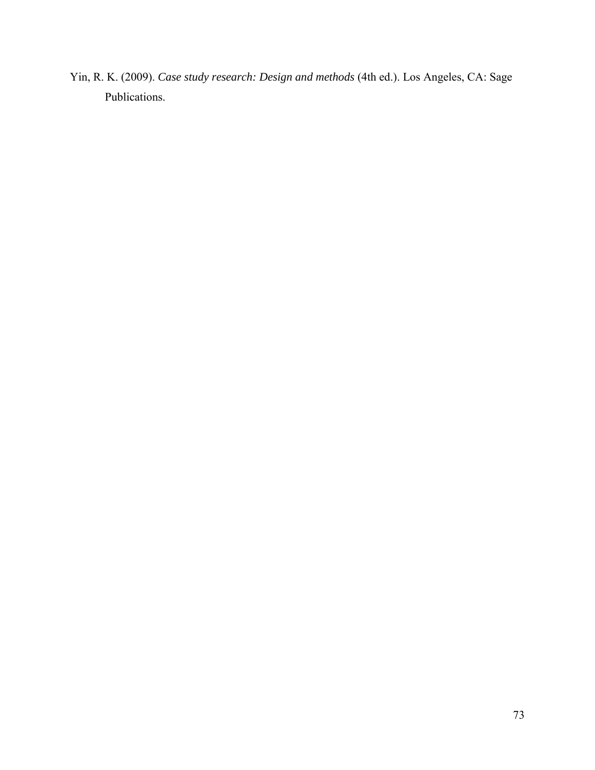Yin, R. K. (2009). *Case study research: Design and methods* (4th ed.). Los Angeles, CA: Sage Publications.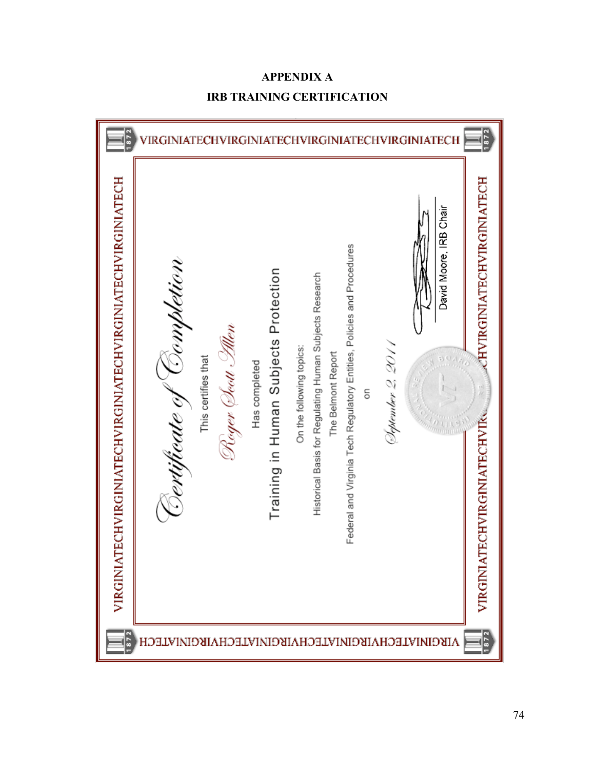

# **APPENDIX A IRB TRAINING CERTIFICATION**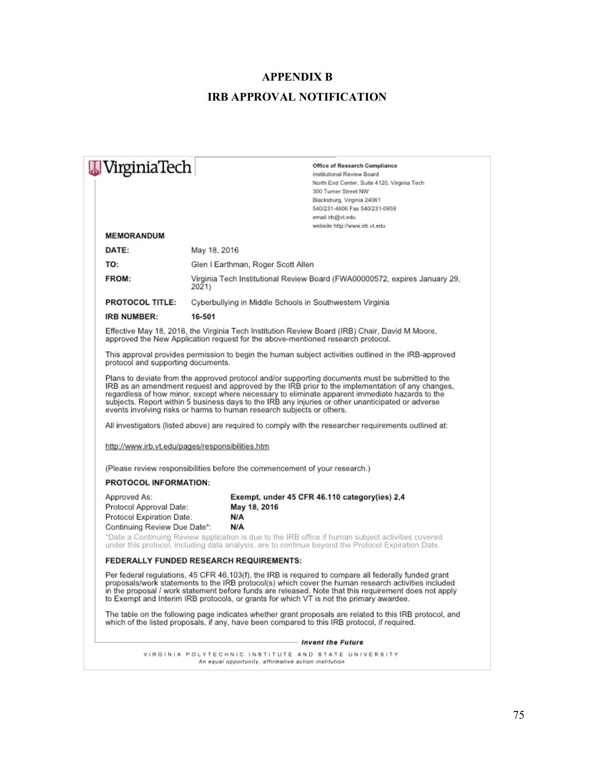## **APPENDIX B IRB APPROVAL NOTIFICATION**

| WirginiaTech                       |                                                                                     | Office of Research Compliance                                                                                                                                                                                                                                                                                                                                                                                   |  |
|------------------------------------|-------------------------------------------------------------------------------------|-----------------------------------------------------------------------------------------------------------------------------------------------------------------------------------------------------------------------------------------------------------------------------------------------------------------------------------------------------------------------------------------------------------------|--|
|                                    |                                                                                     | Institutional Review Board                                                                                                                                                                                                                                                                                                                                                                                      |  |
|                                    |                                                                                     | North End Center, Suite 4120, Virginia Tech<br>300 Turner Street NW                                                                                                                                                                                                                                                                                                                                             |  |
|                                    |                                                                                     | Blacksburg, Virginia 24061                                                                                                                                                                                                                                                                                                                                                                                      |  |
|                                    |                                                                                     | 540/231-4606 Fax 540/231-0959                                                                                                                                                                                                                                                                                                                                                                                   |  |
|                                    |                                                                                     | email irb@vt.edu                                                                                                                                                                                                                                                                                                                                                                                                |  |
|                                    |                                                                                     | website http://www.irb.vt.edu                                                                                                                                                                                                                                                                                                                                                                                   |  |
| <b>MEMORANDUM</b>                  |                                                                                     |                                                                                                                                                                                                                                                                                                                                                                                                                 |  |
| DATE:                              | May 18, 2016                                                                        |                                                                                                                                                                                                                                                                                                                                                                                                                 |  |
| TO:                                | Glen I Earthman, Roger Scott Allen                                                  |                                                                                                                                                                                                                                                                                                                                                                                                                 |  |
| FROM:                              | Virginia Tech Institutional Review Board (FWA00000572, expires January 29,<br>2021) |                                                                                                                                                                                                                                                                                                                                                                                                                 |  |
| <b>PROTOCOL TITLE:</b>             | Cyberbullying in Middle Schools in Southwestern Virginia                            |                                                                                                                                                                                                                                                                                                                                                                                                                 |  |
| <b>IRB NUMBER:</b>                 | 16-501                                                                              |                                                                                                                                                                                                                                                                                                                                                                                                                 |  |
|                                    |                                                                                     | Effective May 18, 2016, the Virginia Tech Institution Review Board (IRB) Chair, David M Moore,<br>approved the New Application request for the above-mentioned research protocol.                                                                                                                                                                                                                               |  |
| protocol and supporting documents. |                                                                                     | This approval provides permission to begin the human subject activities outlined in the IRB-approved                                                                                                                                                                                                                                                                                                            |  |
|                                    | events involving risks or harms to human research subjects or others.               | Plans to deviate from the approved protocol and/or supporting documents must be submitted to the<br>IRB as an amendment request and approved by the IRB prior to the implementation of any changes,<br>regardless of how minor, except where necessary to eliminate apparent immediate hazards to the<br>subjects. Report within 5 business days to the IRB any injuries or other unanticipated or adverse      |  |
|                                    |                                                                                     | All investigators (listed above) are required to comply with the researcher requirements outlined at:                                                                                                                                                                                                                                                                                                           |  |
|                                    | http://www.irb.vt.edu/pages/responsibilities.htm                                    |                                                                                                                                                                                                                                                                                                                                                                                                                 |  |
|                                    | (Please review responsibilities before the commencement of your research.)          |                                                                                                                                                                                                                                                                                                                                                                                                                 |  |
| <b>PROTOCOL INFORMATION:</b>       |                                                                                     |                                                                                                                                                                                                                                                                                                                                                                                                                 |  |
| Approved As:                       |                                                                                     | Exempt, under 45 CFR 46.110 category(ies) 2,4                                                                                                                                                                                                                                                                                                                                                                   |  |
| Protocol Approval Date:            | May 18, 2016                                                                        |                                                                                                                                                                                                                                                                                                                                                                                                                 |  |
| Protocol Expiration Date:          | N/A                                                                                 |                                                                                                                                                                                                                                                                                                                                                                                                                 |  |
| Continuing Review Due Date*:       | N/A                                                                                 |                                                                                                                                                                                                                                                                                                                                                                                                                 |  |
|                                    |                                                                                     | *Date a Continuing Review application is due to the IRB office if human subject activities covered<br>under this protocol, including data analysis, are to continue beyond the Protocol Expiration Date.                                                                                                                                                                                                        |  |
|                                    | <b>FEDERALLY FUNDED RESEARCH REQUIREMENTS:</b>                                      |                                                                                                                                                                                                                                                                                                                                                                                                                 |  |
|                                    |                                                                                     | Per federal regulations, 45 CFR 46.103(f), the IRB is required to compare all federally funded grant<br>proposals/work statements to the IRB protocol(s) which cover the human research activities included<br>in the proposal / work statement before funds are released. Note that this requirement does not apply<br>to Exempt and Interim IRB protocols, or grants for which VT is not the primary awardee. |  |

The table on the following page indicates whether grant proposals are related to this IRB protocol, and<br>which of the listed proposals, if any, have been compared to this IRB protocol, if required.

#### - Invent the Future

VIRGINIA POLYTECHNIC INSTITUTE AND STATE UNIVERSITY  $An$ equal opportunity, affirmative action institution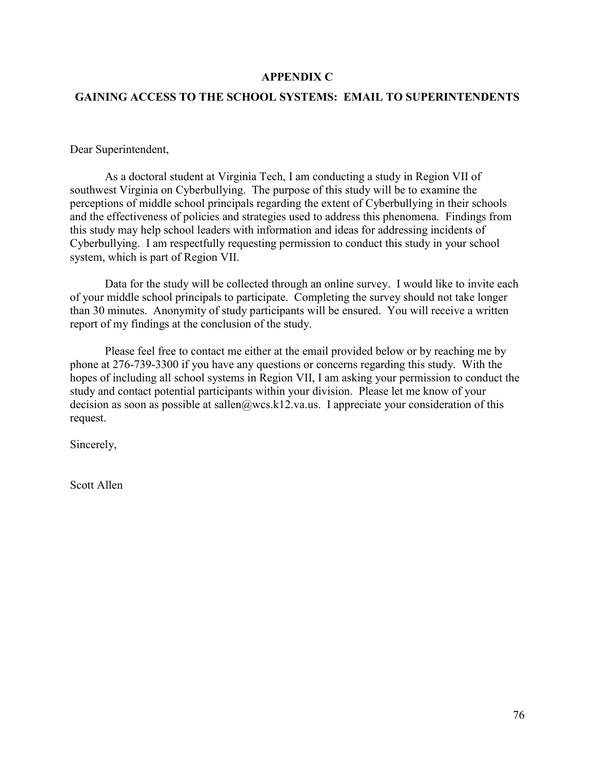## **APPENDIX C**

## **GAINING ACCESS TO THE SCHOOL SYSTEMS: EMAIL TO SUPERINTENDENTS**

Dear Superintendent,

As a doctoral student at Virginia Tech, I am conducting a study in Region VII of southwest Virginia on Cyberbullying. The purpose of this study will be to examine the perceptions of middle school principals regarding the extent of Cyberbullying in their schools and the effectiveness of policies and strategies used to address this phenomena. Findings from this study may help school leaders with information and ideas for addressing incidents of Cyberbullying. I am respectfully requesting permission to conduct this study in your school system, which is part of Region VII.

Data for the study will be collected through an online survey. I would like to invite each of your middle school principals to participate. Completing the survey should not take longer than 30 minutes. Anonymity of study participants will be ensured. You will receive a written report of my findings at the conclusion of the study.

Please feel free to contact me either at the email provided below or by reaching me by phone at 276-739-3300 if you have any questions or concerns regarding this study. With the hopes of including all school systems in Region VII, I am asking your permission to conduct the study and contact potential participants within your division. Please let me know of your decision as soon as possible at sallen@wcs.k12.va.us. I appreciate your consideration of this request.

Sincerely,

Scott Allen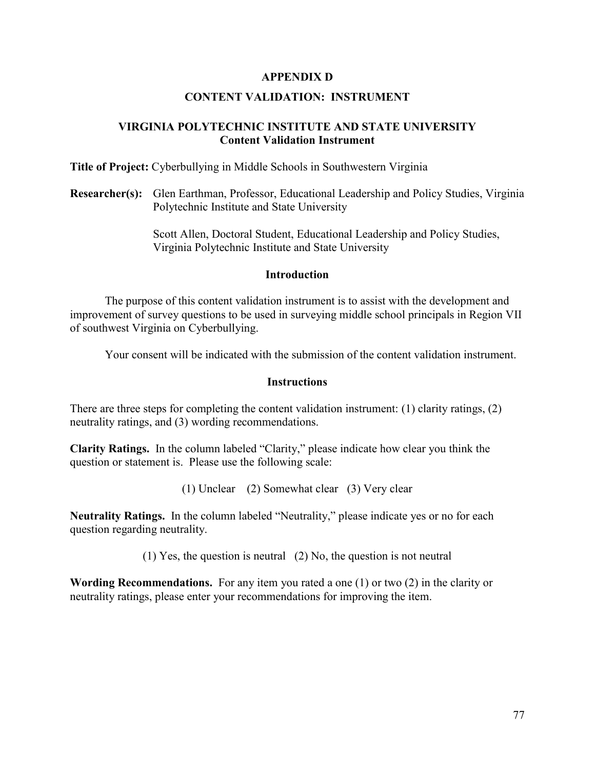## **APPENDIX D**

## **CONTENT VALIDATION: INSTRUMENT**

## **VIRGINIA POLYTECHNIC INSTITUTE AND STATE UNIVERSITY Content Validation Instrument**

**Title of Project:** Cyberbullying in Middle Schools in Southwestern Virginia

**Researcher(s):** Glen Earthman, Professor, Educational Leadership and Policy Studies, Virginia Polytechnic Institute and State University

> Scott Allen, Doctoral Student, Educational Leadership and Policy Studies, Virginia Polytechnic Institute and State University

#### **Introduction**

The purpose of this content validation instrument is to assist with the development and improvement of survey questions to be used in surveying middle school principals in Region VII of southwest Virginia on Cyberbullying.

Your consent will be indicated with the submission of the content validation instrument.

## **Instructions**

There are three steps for completing the content validation instrument: (1) clarity ratings, (2) neutrality ratings, and (3) wording recommendations.

**Clarity Ratings.** In the column labeled "Clarity," please indicate how clear you think the question or statement is. Please use the following scale:

(1) Unclear (2) Somewhat clear (3) Very clear

**Neutrality Ratings.** In the column labeled "Neutrality," please indicate yes or no for each question regarding neutrality.

(1) Yes, the question is neutral (2) No, the question is not neutral

**Wording Recommendations.** For any item you rated a one (1) or two (2) in the clarity or neutrality ratings, please enter your recommendations for improving the item.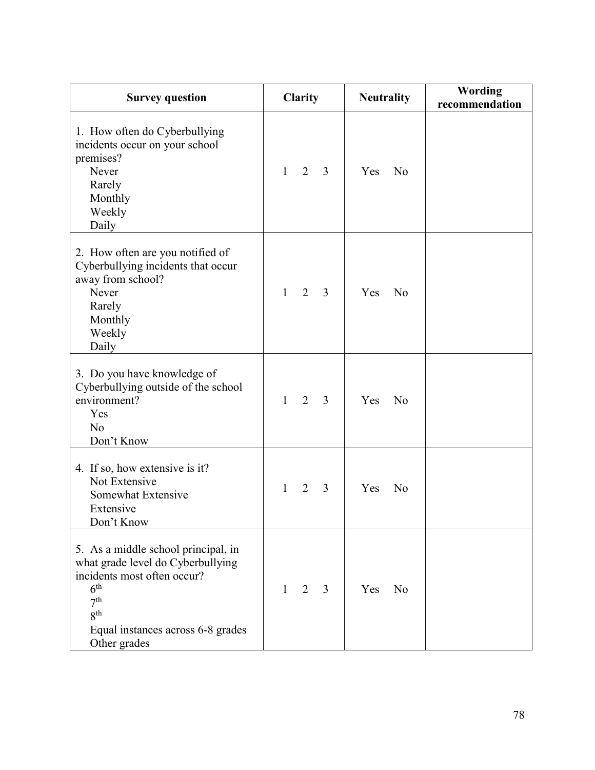| <b>Survey question</b>                                                                                                                                                                                                | <b>Clarity</b>                                   | <b>Neutrality</b>     | <b>Wording</b><br>recommendation |
|-----------------------------------------------------------------------------------------------------------------------------------------------------------------------------------------------------------------------|--------------------------------------------------|-----------------------|----------------------------------|
| 1. How often do Cyberbullying<br>incidents occur on your school<br>premises?<br>Never<br>Rarely<br>Monthly<br>Weekly<br>Daily                                                                                         | $\overline{2}$<br>3<br>$\mathbf{1}$              | Yes<br>N <sub>o</sub> |                                  |
| 2. How often are you notified of<br>Cyberbullying incidents that occur<br>away from school?<br>Never<br>Rarely<br>Monthly<br>Weekly<br>Daily                                                                          | $\overline{2}$<br>$\overline{3}$<br>$\mathbf{1}$ | Yes<br>N <sub>o</sub> |                                  |
| 3. Do you have knowledge of<br>Cyberbullying outside of the school<br>environment?<br>Yes<br>No<br>Don't Know                                                                                                         | 2<br>$\mathbf{1}$<br>3                           | Yes<br>N <sub>o</sub> |                                  |
| 4. If so, how extensive is it?<br>Not Extensive<br>Somewhat Extensive<br>Extensive<br>Don't Know                                                                                                                      | $\overline{2}$<br>$\overline{3}$<br>1            | Yes<br>N <sub>o</sub> |                                  |
| 5. As a middle school principal, in<br>what grade level do Cyberbullying<br>incidents most often occur?<br>6 <sup>th</sup><br>7 <sup>th</sup><br>8 <sup>th</sup><br>Equal instances across 6-8 grades<br>Other grades | $\overline{2}$<br>3<br>1                         | Yes<br>N <sub>o</sub> |                                  |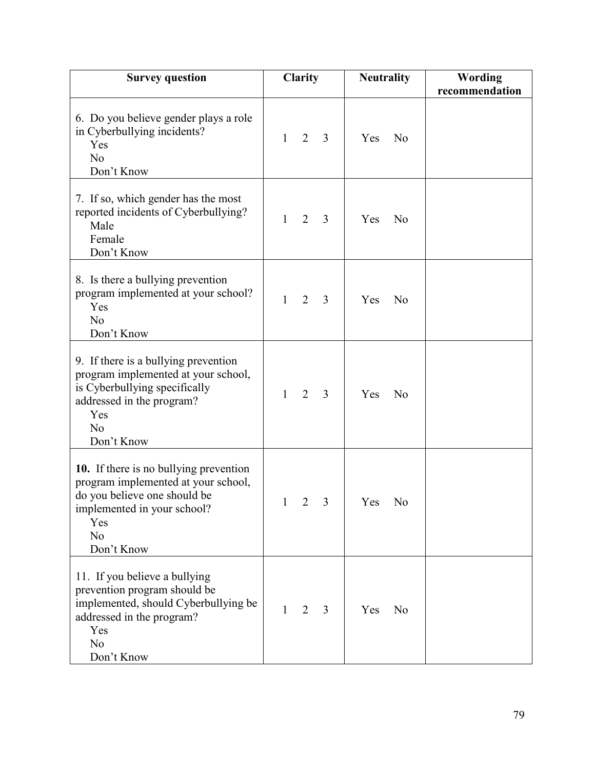| <b>Survey question</b>                                                                                                                                                  | Clarity                        |                | <b>Neutrality</b> |    | <b>Wording</b><br>recommendation |
|-------------------------------------------------------------------------------------------------------------------------------------------------------------------------|--------------------------------|----------------|-------------------|----|----------------------------------|
| 6. Do you believe gender plays a role<br>in Cyberbullying incidents?<br>Yes<br>N <sub>o</sub><br>Don't Know                                                             | $\overline{2}$<br>1            | $\overline{3}$ | Yes               | No |                                  |
| 7. If so, which gender has the most<br>reported incidents of Cyberbullying?<br>Male<br>Female<br>Don't Know                                                             | $\overline{2}$<br>$\mathbf{1}$ | 3              | Yes               | No |                                  |
| 8. Is there a bullying prevention<br>program implemented at your school?<br>Yes<br>No<br>Don't Know                                                                     | 1<br>$\overline{2}$            | 3              | Yes               | No |                                  |
| 9. If there is a bullying prevention<br>program implemented at your school,<br>is Cyberbullying specifically<br>addressed in the program?<br>Yes<br>No<br>Don't Know    | $\overline{2}$<br>1            | $\overline{3}$ | Yes               | No |                                  |
| 10. If there is no bullying prevention<br>program implemented at your school,<br>do you believe one should be<br>implemented in your school?<br>Yes<br>No<br>Don't Know | 1                              | 3<br>2         | Yes               | No |                                  |
| 11. If you believe a bullying<br>prevention program should be<br>implemented, should Cyberbullying be<br>addressed in the program?<br>Yes<br>No<br>Don't Know           | $\overline{2}$<br>1            | 3              | Yes               | No |                                  |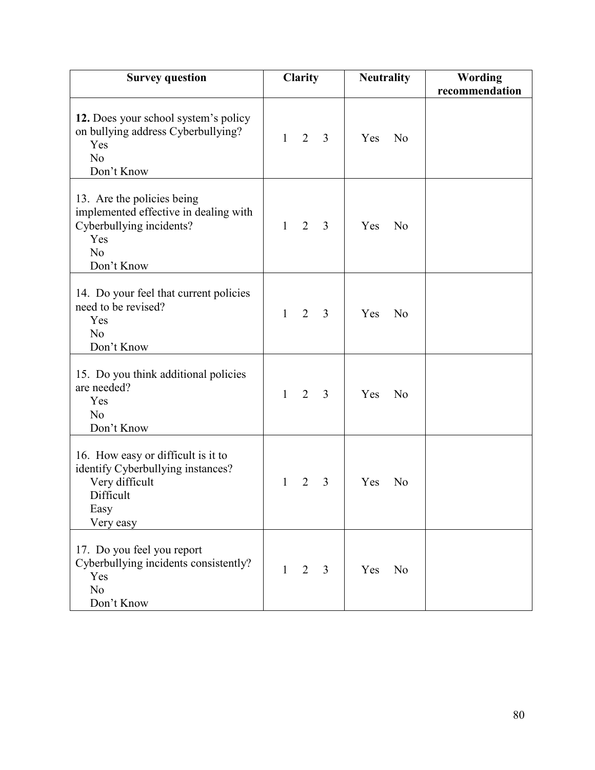| <b>Survey question</b>                                                                                                      | Clarity                                          | <b>Neutrality</b>     | <b>Wording</b><br>recommendation |
|-----------------------------------------------------------------------------------------------------------------------------|--------------------------------------------------|-----------------------|----------------------------------|
| 12. Does your school system's policy<br>on bullying address Cyberbullying?<br>Yes<br>N <sub>o</sub><br>Don't Know           | $\overline{2}$<br>$\overline{3}$<br>$\mathbf{1}$ | Yes<br>N <sub>o</sub> |                                  |
| 13. Are the policies being<br>implemented effective in dealing with<br>Cyberbullying incidents?<br>Yes<br>No<br>Don't Know  | 2<br>$\mathbf{1}$<br>3                           | Yes<br>N <sub>o</sub> |                                  |
| 14. Do your feel that current policies<br>need to be revised?<br>Yes<br>N <sub>o</sub><br>Don't Know                        | $\overline{2}$<br>3<br>$\mathbf{1}$              | Yes<br>No             |                                  |
| 15. Do you think additional policies<br>are needed?<br>Yes<br>N <sub>o</sub><br>Don't Know                                  | $\overline{2}$<br>$\mathbf{1}$<br>3              | Yes<br>N <sub>o</sub> |                                  |
| 16. How easy or difficult is it to<br>identify Cyberbullying instances?<br>Very difficult<br>Difficult<br>Easy<br>Very easy | $\overline{2}$<br>$\overline{3}$<br>1            | Yes<br>N <sub>o</sub> |                                  |
| 17. Do you feel you report<br>Cyberbullying incidents consistently?<br>Yes<br>No<br>Don't Know                              | $\mathbf{1}$<br>2<br>3                           | Yes<br>No             |                                  |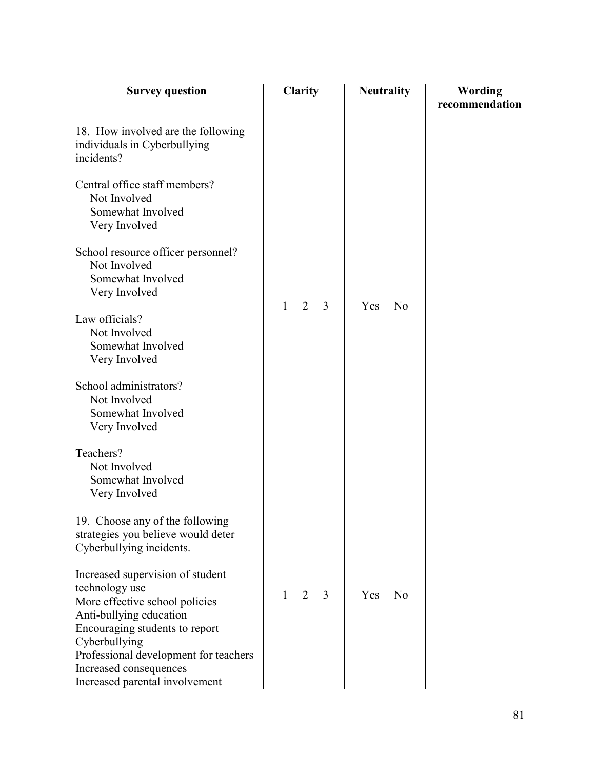| <b>Survey question</b>                                                                                                                                                                                                                                                                                                                                                                                                                                                                         | <b>Clarity</b>                      | <b>Neutrality</b>     | <b>Wording</b><br>recommendation |
|------------------------------------------------------------------------------------------------------------------------------------------------------------------------------------------------------------------------------------------------------------------------------------------------------------------------------------------------------------------------------------------------------------------------------------------------------------------------------------------------|-------------------------------------|-----------------------|----------------------------------|
| 18. How involved are the following<br>individuals in Cyberbullying<br>incidents?<br>Central office staff members?<br>Not Involved<br>Somewhat Involved<br>Very Involved<br>School resource officer personnel?<br>Not Involved<br>Somewhat Involved<br>Very Involved<br>Law officials?<br>Not Involved<br>Somewhat Involved<br>Very Involved<br>School administrators?<br>Not Involved<br>Somewhat Involved<br>Very Involved<br>Teachers?<br>Not Involved<br>Somewhat Involved<br>Very Involved | $\mathbf{1}$<br>2<br>$\overline{3}$ | Yes<br>N <sub>o</sub> |                                  |
| 19. Choose any of the following<br>strategies you believe would deter<br>Cyberbullying incidents.<br>Increased supervision of student<br>technology use<br>More effective school policies<br>Anti-bullying education<br>Encouraging students to report<br>Cyberbullying<br>Professional development for teachers<br>Increased consequences<br>Increased parental involvement                                                                                                                   | $\overline{2}$<br>3<br>$\mathbf{1}$ | Yes<br>No             |                                  |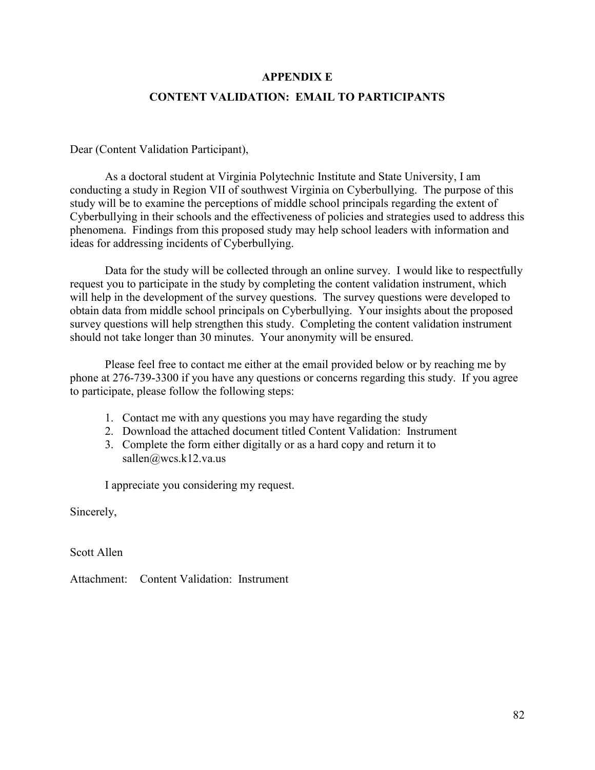## **APPENDIX E**

## **CONTENT VALIDATION: EMAIL TO PARTICIPANTS**

Dear (Content Validation Participant),

As a doctoral student at Virginia Polytechnic Institute and State University, I am conducting a study in Region VII of southwest Virginia on Cyberbullying. The purpose of this study will be to examine the perceptions of middle school principals regarding the extent of Cyberbullying in their schools and the effectiveness of policies and strategies used to address this phenomena. Findings from this proposed study may help school leaders with information and ideas for addressing incidents of Cyberbullying.

Data for the study will be collected through an online survey. I would like to respectfully request you to participate in the study by completing the content validation instrument, which will help in the development of the survey questions. The survey questions were developed to obtain data from middle school principals on Cyberbullying. Your insights about the proposed survey questions will help strengthen this study. Completing the content validation instrument should not take longer than 30 minutes. Your anonymity will be ensured.

Please feel free to contact me either at the email provided below or by reaching me by phone at 276-739-3300 if you have any questions or concerns regarding this study. If you agree to participate, please follow the following steps:

- 1. Contact me with any questions you may have regarding the study
- 2. Download the attached document titled Content Validation: Instrument
- 3. Complete the form either digitally or as a hard copy and return it to sallen@wcs.k12.va.us

I appreciate you considering my request.

Sincerely,

Scott Allen

Attachment: Content Validation: Instrument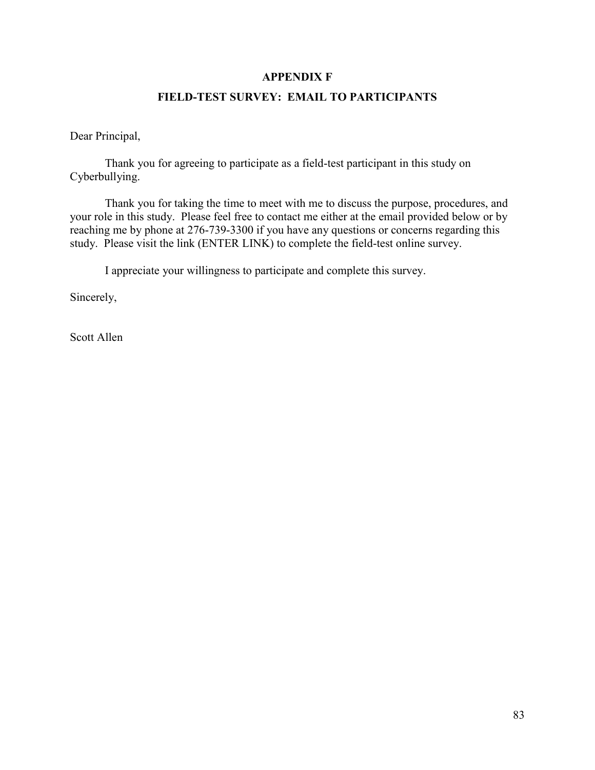## **APPENDIX F**

## **FIELD-TEST SURVEY: EMAIL TO PARTICIPANTS**

Dear Principal,

Thank you for agreeing to participate as a field-test participant in this study on Cyberbullying.

Thank you for taking the time to meet with me to discuss the purpose, procedures, and your role in this study. Please feel free to contact me either at the email provided below or by reaching me by phone at 276-739-3300 if you have any questions or concerns regarding this study. Please visit the link (ENTER LINK) to complete the field-test online survey.

I appreciate your willingness to participate and complete this survey.

Sincerely,

Scott Allen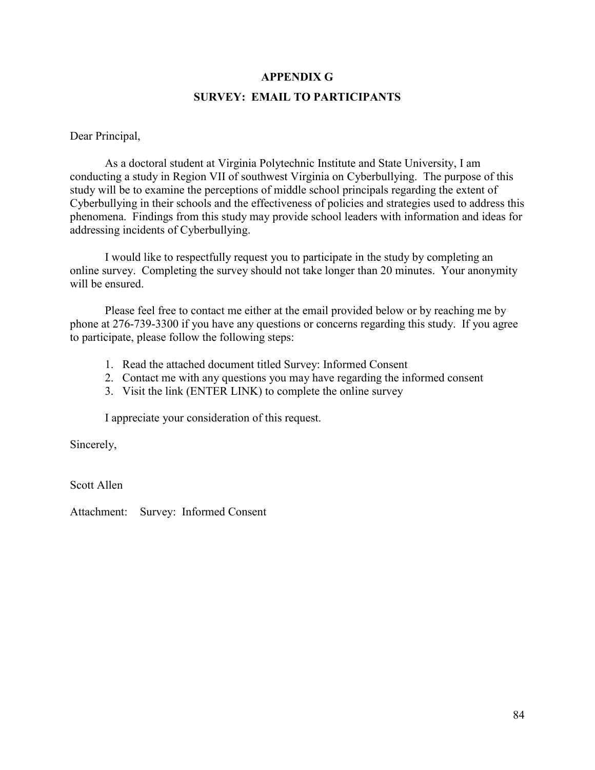## **APPENDIX G SURVEY: EMAIL TO PARTICIPANTS**

Dear Principal,

As a doctoral student at Virginia Polytechnic Institute and State University, I am conducting a study in Region VII of southwest Virginia on Cyberbullying. The purpose of this study will be to examine the perceptions of middle school principals regarding the extent of Cyberbullying in their schools and the effectiveness of policies and strategies used to address this phenomena. Findings from this study may provide school leaders with information and ideas for addressing incidents of Cyberbullying.

I would like to respectfully request you to participate in the study by completing an online survey. Completing the survey should not take longer than 20 minutes. Your anonymity will be ensured.

Please feel free to contact me either at the email provided below or by reaching me by phone at 276-739-3300 if you have any questions or concerns regarding this study. If you agree to participate, please follow the following steps:

- 1. Read the attached document titled Survey: Informed Consent
- 2. Contact me with any questions you may have regarding the informed consent
- 3. Visit the link (ENTER LINK) to complete the online survey

I appreciate your consideration of this request.

Sincerely,

Scott Allen

Attachment: Survey: Informed Consent